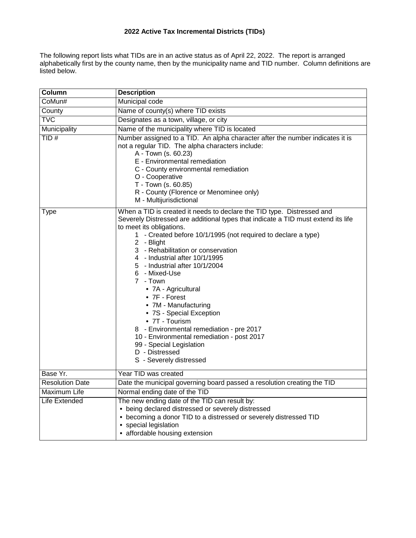# **2022 Active Tax Incremental Districts (TIDs)**

The following report lists what TIDs are in an active status as of April 22, 2022. The report is arranged alphabetically first by the county name, then by the municipality name and TID number. Column definitions are listed below.

| Column                 | <b>Description</b>                                                                                                                                                                                                                                                                                                                                                                                                                                                                                                                                                                                                                                                                             |
|------------------------|------------------------------------------------------------------------------------------------------------------------------------------------------------------------------------------------------------------------------------------------------------------------------------------------------------------------------------------------------------------------------------------------------------------------------------------------------------------------------------------------------------------------------------------------------------------------------------------------------------------------------------------------------------------------------------------------|
| CoMun#                 | Municipal code                                                                                                                                                                                                                                                                                                                                                                                                                                                                                                                                                                                                                                                                                 |
| County                 | Name of county(s) where TID exists                                                                                                                                                                                                                                                                                                                                                                                                                                                                                                                                                                                                                                                             |
| <b>TVC</b>             | Designates as a town, village, or city                                                                                                                                                                                                                                                                                                                                                                                                                                                                                                                                                                                                                                                         |
| Municipality           | Name of the municipality where TID is located                                                                                                                                                                                                                                                                                                                                                                                                                                                                                                                                                                                                                                                  |
| TID#                   | Number assigned to a TID. An alpha character after the number indicates it is<br>not a regular TID. The alpha characters include:<br>A - Town (s. 60.23)<br>E - Environmental remediation<br>C - County environmental remediation<br>O - Cooperative<br>T - Town (s. 60.85)<br>R - County (Florence or Menominee only)<br>M - Multijurisdictional                                                                                                                                                                                                                                                                                                                                              |
| Type                   | When a TID is created it needs to declare the TID type. Distressed and<br>Severely Distressed are additional types that indicate a TID must extend its life<br>to meet its obligations.<br>1 - Created before 10/1/1995 (not required to declare a type)<br>2 - Blight<br>3 - Rehabilitation or conservation<br>4 - Industrial after 10/1/1995<br>5 - Industrial after 10/1/2004<br>6 - Mixed-Use<br>7 - Town<br>• 7A - Agricultural<br>• 7F - Forest<br>• 7M - Manufacturing<br>• 7S - Special Exception<br>• 7T - Tourism<br>8 - Environmental remediation - pre 2017<br>10 - Environmental remediation - post 2017<br>99 - Special Legislation<br>D - Distressed<br>S - Severely distressed |
| Base Yr.               | Year TID was created                                                                                                                                                                                                                                                                                                                                                                                                                                                                                                                                                                                                                                                                           |
| <b>Resolution Date</b> | Date the municipal governing board passed a resolution creating the TID                                                                                                                                                                                                                                                                                                                                                                                                                                                                                                                                                                                                                        |
| Maximum Life           | Normal ending date of the TID                                                                                                                                                                                                                                                                                                                                                                                                                                                                                                                                                                                                                                                                  |
| Life Extended          | The new ending date of the TID can result by:<br>• being declared distressed or severely distressed<br>• becoming a donor TID to a distressed or severely distressed TID<br>• special legislation<br>• affordable housing extension                                                                                                                                                                                                                                                                                                                                                                                                                                                            |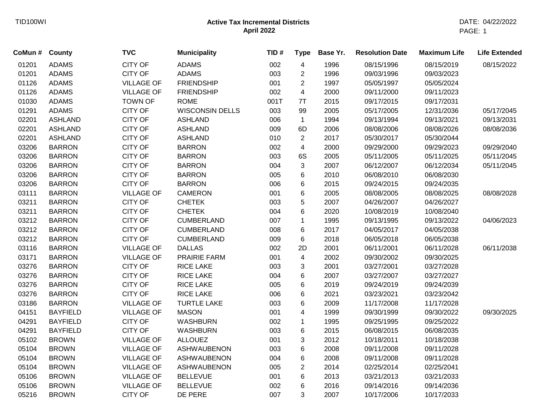| CoMun # | <b>County</b>   | <b>TVC</b>        | <b>Municipality</b>    | TID# | <b>Type</b>             | Base Yr. | <b>Resolution Date</b> | <b>Maximum Life</b> | <b>Life Extended</b> |
|---------|-----------------|-------------------|------------------------|------|-------------------------|----------|------------------------|---------------------|----------------------|
| 01201   | <b>ADAMS</b>    | <b>CITY OF</b>    | <b>ADAMS</b>           | 002  | 4                       | 1996     | 08/15/1996             | 08/15/2019          | 08/15/2022           |
| 01201   | <b>ADAMS</b>    | <b>CITY OF</b>    | <b>ADAMS</b>           | 003  | $\overline{2}$          | 1996     | 09/03/1996             | 09/03/2023          |                      |
| 01126   | <b>ADAMS</b>    | <b>VILLAGE OF</b> | <b>FRIENDSHIP</b>      | 001  | $\overline{c}$          | 1997     | 05/05/1997             | 05/05/2024          |                      |
| 01126   | <b>ADAMS</b>    | <b>VILLAGE OF</b> | <b>FRIENDSHIP</b>      | 002  | $\overline{\mathbf{4}}$ | 2000     | 09/11/2000             | 09/11/2023          |                      |
| 01030   | <b>ADAMS</b>    | <b>TOWN OF</b>    | <b>ROME</b>            | 001T | 7T                      | 2015     | 09/17/2015             | 09/17/2031          |                      |
| 01291   | <b>ADAMS</b>    | <b>CITY OF</b>    | <b>WISCONSIN DELLS</b> | 003  | 99                      | 2005     | 05/17/2005             | 12/31/2036          | 05/17/2045           |
| 02201   | <b>ASHLAND</b>  | <b>CITY OF</b>    | <b>ASHLAND</b>         | 006  | $\mathbf{1}$            | 1994     | 09/13/1994             | 09/13/2021          | 09/13/2031           |
| 02201   | <b>ASHLAND</b>  | <b>CITY OF</b>    | <b>ASHLAND</b>         | 009  | 6D                      | 2006     | 08/08/2006             | 08/08/2026          | 08/08/2036           |
| 02201   | <b>ASHLAND</b>  | <b>CITY OF</b>    | <b>ASHLAND</b>         | 010  | $\overline{2}$          | 2017     | 05/30/2017             | 05/30/2044          |                      |
| 03206   | <b>BARRON</b>   | <b>CITY OF</b>    | <b>BARRON</b>          | 002  | $\overline{\mathbf{4}}$ | 2000     | 09/29/2000             | 09/29/2023          | 09/29/2040           |
| 03206   | <b>BARRON</b>   | <b>CITY OF</b>    | <b>BARRON</b>          | 003  | 6S                      | 2005     | 05/11/2005             | 05/11/2025          | 05/11/2045           |
| 03206   | <b>BARRON</b>   | <b>CITY OF</b>    | <b>BARRON</b>          | 004  | $\mathbf{3}$            | 2007     | 06/12/2007             | 06/12/2034          | 05/11/2045           |
| 03206   | <b>BARRON</b>   | <b>CITY OF</b>    | <b>BARRON</b>          | 005  | 6                       | 2010     | 06/08/2010             | 06/08/2030          |                      |
| 03206   | <b>BARRON</b>   | <b>CITY OF</b>    | <b>BARRON</b>          | 006  | 6                       | 2015     | 09/24/2015             | 09/24/2035          |                      |
| 03111   | <b>BARRON</b>   | <b>VILLAGE OF</b> | <b>CAMERON</b>         | 001  | 6                       | 2005     | 08/08/2005             | 08/08/2025          | 08/08/2028           |
| 03211   | <b>BARRON</b>   | <b>CITY OF</b>    | <b>CHETEK</b>          | 003  | 5                       | 2007     | 04/26/2007             | 04/26/2027          |                      |
| 03211   | <b>BARRON</b>   | <b>CITY OF</b>    | <b>CHETEK</b>          | 004  | 6                       | 2020     | 10/08/2019             | 10/08/2040          |                      |
| 03212   | <b>BARRON</b>   | <b>CITY OF</b>    | <b>CUMBERLAND</b>      | 007  | $\mathbf{1}$            | 1995     | 09/13/1995             | 09/13/2022          | 04/06/2023           |
| 03212   | <b>BARRON</b>   | <b>CITY OF</b>    | <b>CUMBERLAND</b>      | 008  | 6                       | 2017     | 04/05/2017             | 04/05/2038          |                      |
| 03212   | <b>BARRON</b>   | <b>CITY OF</b>    | <b>CUMBERLAND</b>      | 009  | 6                       | 2018     | 06/05/2018             | 06/05/2038          |                      |
| 03116   | <b>BARRON</b>   | <b>VILLAGE OF</b> | <b>DALLAS</b>          | 002  | 2D                      | 2001     | 06/11/2001             | 06/11/2028          | 06/11/2038           |
| 03171   | <b>BARRON</b>   | <b>VILLAGE OF</b> | <b>PRAIRIE FARM</b>    | 001  | 4                       | 2002     | 09/30/2002             | 09/30/2025          |                      |
| 03276   | <b>BARRON</b>   | <b>CITY OF</b>    | <b>RICE LAKE</b>       | 003  | 3                       | 2001     | 03/27/2001             | 03/27/2028          |                      |
| 03276   | <b>BARRON</b>   | CITY OF           | <b>RICE LAKE</b>       | 004  | 6                       | 2007     | 03/27/2007             | 03/27/2027          |                      |
| 03276   | <b>BARRON</b>   | <b>CITY OF</b>    | <b>RICE LAKE</b>       | 005  | $\,6$                   | 2019     | 09/24/2019             | 09/24/2039          |                      |
| 03276   | <b>BARRON</b>   | <b>CITY OF</b>    | <b>RICE LAKE</b>       | 006  | 6                       | 2021     | 03/23/2021             | 03/23/2042          |                      |
| 03186   | <b>BARRON</b>   | <b>VILLAGE OF</b> | <b>TURTLE LAKE</b>     | 003  | 6                       | 2009     | 11/17/2008             | 11/17/2028          |                      |
| 04151   | <b>BAYFIELD</b> | <b>VILLAGE OF</b> | <b>MASON</b>           | 001  | 4                       | 1999     | 09/30/1999             | 09/30/2022          | 09/30/2025           |
| 04291   | <b>BAYFIELD</b> | <b>CITY OF</b>    | <b>WASHBURN</b>        | 002  | $\mathbf{1}$            | 1995     | 09/25/1995             | 09/25/2022          |                      |
| 04291   | <b>BAYFIELD</b> | <b>CITY OF</b>    | <b>WASHBURN</b>        | 003  | 6                       | 2015     | 06/08/2015             | 06/08/2035          |                      |
| 05102   | <b>BROWN</b>    | <b>VILLAGE OF</b> | <b>ALLOUEZ</b>         | 001  | 3                       | 2012     | 10/18/2011             | 10/18/2038          |                      |
| 05104   | <b>BROWN</b>    | <b>VILLAGE OF</b> | <b>ASHWAUBENON</b>     | 003  | $\,6$                   | 2008     | 09/11/2008             | 09/11/2028          |                      |
| 05104   | <b>BROWN</b>    | <b>VILLAGE OF</b> | <b>ASHWAUBENON</b>     | 004  | 6                       | 2008     | 09/11/2008             | 09/11/2028          |                      |
| 05104   | <b>BROWN</b>    | <b>VILLAGE OF</b> | <b>ASHWAUBENON</b>     | 005  | $\overline{2}$          | 2014     | 02/25/2014             | 02/25/2041          |                      |
| 05106   | <b>BROWN</b>    | <b>VILLAGE OF</b> | <b>BELLEVUE</b>        | 001  | 6                       | 2013     | 03/21/2013             | 03/21/2033          |                      |
| 05106   | <b>BROWN</b>    | <b>VILLAGE OF</b> | <b>BELLEVUE</b>        | 002  | 6                       | 2016     | 09/14/2016             | 09/14/2036          |                      |
| 05216   | <b>BROWN</b>    | <b>CITY OF</b>    | DE PERE                | 007  | 3                       | 2007     | 10/17/2006             | 10/17/2033          |                      |
|         |                 |                   |                        |      |                         |          |                        |                     |                      |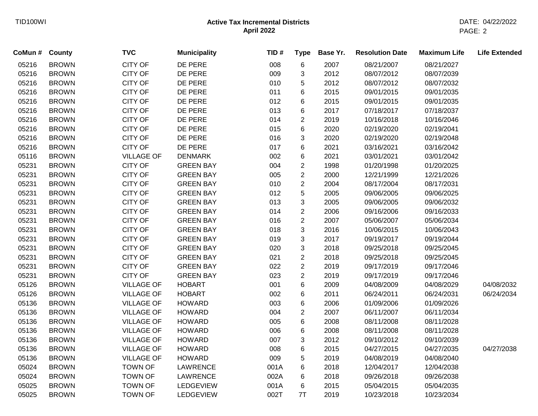| CoMun # County |              | <b>TVC</b>        | <b>Municipality</b> | TID# | <b>Type</b>    | Base Yr. | <b>Resolution Date</b> | <b>Maximum Life</b> | <b>Life Extended</b> |
|----------------|--------------|-------------------|---------------------|------|----------------|----------|------------------------|---------------------|----------------------|
| 05216          | <b>BROWN</b> | <b>CITY OF</b>    | DE PERE             | 008  | $\,6$          | 2007     | 08/21/2007             | 08/21/2027          |                      |
| 05216          | <b>BROWN</b> | CITY OF           | DE PERE             | 009  | 3              | 2012     | 08/07/2012             | 08/07/2039          |                      |
| 05216          | <b>BROWN</b> | <b>CITY OF</b>    | DE PERE             | 010  | 5              | 2012     | 08/07/2012             | 08/07/2032          |                      |
| 05216          | <b>BROWN</b> | <b>CITY OF</b>    | DE PERE             | 011  | 6              | 2015     | 09/01/2015             | 09/01/2035          |                      |
| 05216          | <b>BROWN</b> | <b>CITY OF</b>    | DE PERE             | 012  | 6              | 2015     | 09/01/2015             | 09/01/2035          |                      |
| 05216          | <b>BROWN</b> | CITY OF           | DE PERE             | 013  | 6              | 2017     | 07/18/2017             | 07/18/2037          |                      |
| 05216          | <b>BROWN</b> | CITY OF           | DE PERE             | 014  | $\overline{2}$ | 2019     | 10/16/2018             | 10/16/2046          |                      |
| 05216          | <b>BROWN</b> | <b>CITY OF</b>    | DE PERE             | 015  | 6              | 2020     | 02/19/2020             | 02/19/2041          |                      |
| 05216          | <b>BROWN</b> | <b>CITY OF</b>    | DE PERE             | 016  | 3              | 2020     | 02/19/2020             | 02/19/2048          |                      |
| 05216          | <b>BROWN</b> | <b>CITY OF</b>    | DE PERE             | 017  | 6              | 2021     | 03/16/2021             | 03/16/2042          |                      |
| 05116          | <b>BROWN</b> | <b>VILLAGE OF</b> | <b>DENMARK</b>      | 002  | 6              | 2021     | 03/01/2021             | 03/01/2042          |                      |
| 05231          | <b>BROWN</b> | <b>CITY OF</b>    | <b>GREEN BAY</b>    | 004  | $\overline{2}$ | 1998     | 01/20/1998             | 01/20/2025          |                      |
| 05231          | <b>BROWN</b> | CITY OF           | <b>GREEN BAY</b>    | 005  | $\overline{2}$ | 2000     | 12/21/1999             | 12/21/2026          |                      |
| 05231          | <b>BROWN</b> | CITY OF           | <b>GREEN BAY</b>    | 010  | $\overline{2}$ | 2004     | 08/17/2004             | 08/17/2031          |                      |
| 05231          | <b>BROWN</b> | <b>CITY OF</b>    | <b>GREEN BAY</b>    | 012  | 5              | 2005     | 09/06/2005             | 09/06/2025          |                      |
| 05231          | <b>BROWN</b> | CITY OF           | <b>GREEN BAY</b>    | 013  | 3              | 2005     | 09/06/2005             | 09/06/2032          |                      |
| 05231          | <b>BROWN</b> | CITY OF           | <b>GREEN BAY</b>    | 014  | $\overline{2}$ | 2006     | 09/16/2006             | 09/16/2033          |                      |
| 05231          | <b>BROWN</b> | CITY OF           | <b>GREEN BAY</b>    | 016  | $\overline{2}$ | 2007     | 05/06/2007             | 05/06/2034          |                      |
| 05231          | <b>BROWN</b> | <b>CITY OF</b>    | <b>GREEN BAY</b>    | 018  | 3              | 2016     | 10/06/2015             | 10/06/2043          |                      |
| 05231          | <b>BROWN</b> | CITY OF           | <b>GREEN BAY</b>    | 019  | 3              | 2017     | 09/19/2017             | 09/19/2044          |                      |
| 05231          | <b>BROWN</b> | CITY OF           | <b>GREEN BAY</b>    | 020  | 3              | 2018     | 09/25/2018             | 09/25/2045          |                      |
| 05231          | <b>BROWN</b> | CITY OF           | <b>GREEN BAY</b>    | 021  | $\overline{2}$ | 2018     | 09/25/2018             | 09/25/2045          |                      |
| 05231          | <b>BROWN</b> | <b>CITY OF</b>    | <b>GREEN BAY</b>    | 022  | $\overline{c}$ | 2019     | 09/17/2019             | 09/17/2046          |                      |
| 05231          | <b>BROWN</b> | <b>CITY OF</b>    | <b>GREEN BAY</b>    | 023  | $\overline{c}$ | 2019     | 09/17/2019             | 09/17/2046          |                      |
| 05126          | <b>BROWN</b> | <b>VILLAGE OF</b> | <b>HOBART</b>       | 001  | 6              | 2009     | 04/08/2009             | 04/08/2029          | 04/08/2032           |
| 05126          | <b>BROWN</b> | <b>VILLAGE OF</b> | <b>HOBART</b>       | 002  | 6              | 2011     | 06/24/2011             | 06/24/2031          | 06/24/2034           |
| 05136          | <b>BROWN</b> | <b>VILLAGE OF</b> | <b>HOWARD</b>       | 003  | 6              | 2006     | 01/09/2006             | 01/09/2026          |                      |
| 05136          | <b>BROWN</b> | <b>VILLAGE OF</b> | <b>HOWARD</b>       | 004  | $\overline{2}$ | 2007     | 06/11/2007             | 06/11/2034          |                      |
| 05136          | <b>BROWN</b> | <b>VILLAGE OF</b> | <b>HOWARD</b>       | 005  | 6              | 2008     | 08/11/2008             | 08/11/2028          |                      |
| 05136          | <b>BROWN</b> | <b>VILLAGE OF</b> | <b>HOWARD</b>       | 006  | 6              | 2008     | 08/11/2008             | 08/11/2028          |                      |
| 05136          | <b>BROWN</b> | <b>VILLAGE OF</b> | <b>HOWARD</b>       | 007  | 3              | 2012     | 09/10/2012             | 09/10/2039          |                      |
| 05136          | <b>BROWN</b> | <b>VILLAGE OF</b> | <b>HOWARD</b>       | 008  | 6              | 2015     | 04/27/2015             | 04/27/2035          | 04/27/2038           |
| 05136          | <b>BROWN</b> | <b>VILLAGE OF</b> | <b>HOWARD</b>       | 009  | 5              | 2019     | 04/08/2019             | 04/08/2040          |                      |
| 05024          | <b>BROWN</b> | <b>TOWN OF</b>    | LAWRENCE            | 001A | 6              | 2018     | 12/04/2017             | 12/04/2038          |                      |
| 05024          | <b>BROWN</b> | <b>TOWN OF</b>    | <b>LAWRENCE</b>     | 002A | 6              | 2018     | 09/26/2018             | 09/26/2038          |                      |
| 05025          | <b>BROWN</b> | <b>TOWN OF</b>    | LEDGEVIEW           | 001A | 6              | 2015     | 05/04/2015             | 05/04/2035          |                      |
| 05025          | <b>BROWN</b> | <b>TOWN OF</b>    | LEDGEVIEW           | 002T | 7T             | 2019     | 10/23/2018             | 10/23/2034          |                      |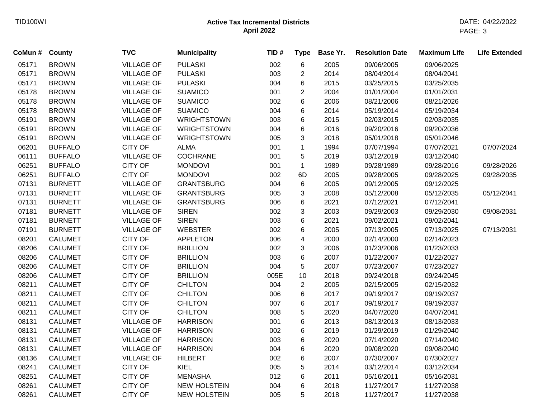| CoMun # | County         | <b>TVC</b>        | <b>Municipality</b> | TID# | <b>Type</b>               | Base Yr. | <b>Resolution Date</b> | <b>Maximum Life</b> | <b>Life Extended</b> |
|---------|----------------|-------------------|---------------------|------|---------------------------|----------|------------------------|---------------------|----------------------|
| 05171   | <b>BROWN</b>   | <b>VILLAGE OF</b> | <b>PULASKI</b>      | 002  | 6                         | 2005     | 09/06/2005             | 09/06/2025          |                      |
| 05171   | <b>BROWN</b>   | <b>VILLAGE OF</b> | <b>PULASKI</b>      | 003  | $\overline{2}$            | 2014     | 08/04/2014             | 08/04/2041          |                      |
| 05171   | <b>BROWN</b>   | <b>VILLAGE OF</b> | <b>PULASKI</b>      | 004  | 6                         | 2015     | 03/25/2015             | 03/25/2035          |                      |
| 05178   | <b>BROWN</b>   | <b>VILLAGE OF</b> | <b>SUAMICO</b>      | 001  | $\overline{c}$            | 2004     | 01/01/2004             | 01/01/2031          |                      |
| 05178   | <b>BROWN</b>   | <b>VILLAGE OF</b> | <b>SUAMICO</b>      | 002  | 6                         | 2006     | 08/21/2006             | 08/21/2026          |                      |
| 05178   | <b>BROWN</b>   | <b>VILLAGE OF</b> | <b>SUAMICO</b>      | 004  | 6                         | 2014     | 05/19/2014             | 05/19/2034          |                      |
| 05191   | <b>BROWN</b>   | <b>VILLAGE OF</b> | <b>WRIGHTSTOWN</b>  | 003  | 6                         | 2015     | 02/03/2015             | 02/03/2035          |                      |
| 05191   | <b>BROWN</b>   | <b>VILLAGE OF</b> | <b>WRIGHTSTOWN</b>  | 004  | 6                         | 2016     | 09/20/2016             | 09/20/2036          |                      |
| 05191   | <b>BROWN</b>   | <b>VILLAGE OF</b> | <b>WRIGHTSTOWN</b>  | 005  | 3                         | 2018     | 05/01/2018             | 05/01/2046          |                      |
| 06201   | <b>BUFFALO</b> | <b>CITY OF</b>    | ALMA                | 001  | $\mathbf{1}$              | 1994     | 07/07/1994             | 07/07/2021          | 07/07/2024           |
| 06111   | <b>BUFFALO</b> | <b>VILLAGE OF</b> | <b>COCHRANE</b>     | 001  | 5                         | 2019     | 03/12/2019             | 03/12/2040          |                      |
| 06251   | <b>BUFFALO</b> | <b>CITY OF</b>    | <b>MONDOVI</b>      | 001  | $\mathbf 1$               | 1989     | 09/28/1989             | 09/28/2016          | 09/28/2026           |
| 06251   | <b>BUFFALO</b> | <b>CITY OF</b>    | <b>MONDOVI</b>      | 002  | 6D                        | 2005     | 09/28/2005             | 09/28/2025          | 09/28/2035           |
| 07131   | <b>BURNETT</b> | <b>VILLAGE OF</b> | <b>GRANTSBURG</b>   | 004  | $\,6$                     | 2005     | 09/12/2005             | 09/12/2025          |                      |
| 07131   | <b>BURNETT</b> | <b>VILLAGE OF</b> | <b>GRANTSBURG</b>   | 005  | $\ensuremath{\mathsf{3}}$ | 2008     | 05/12/2008             | 05/12/2035          | 05/12/2041           |
| 07131   | <b>BURNETT</b> | <b>VILLAGE OF</b> | <b>GRANTSBURG</b>   | 006  | 6                         | 2021     | 07/12/2021             | 07/12/2041          |                      |
| 07181   | <b>BURNETT</b> | <b>VILLAGE OF</b> | <b>SIREN</b>        | 002  | 3                         | 2003     | 09/29/2003             | 09/29/2030          | 09/08/2031           |
| 07181   | <b>BURNETT</b> | <b>VILLAGE OF</b> | <b>SIREN</b>        | 003  | 6                         | 2021     | 09/02/2021             | 09/02/2041          |                      |
| 07191   | <b>BURNETT</b> | <b>VILLAGE OF</b> | <b>WEBSTER</b>      | 002  | 6                         | 2005     | 07/13/2005             | 07/13/2025          | 07/13/2031           |
| 08201   | <b>CALUMET</b> | <b>CITY OF</b>    | <b>APPLETON</b>     | 006  | 4                         | 2000     | 02/14/2000             | 02/14/2023          |                      |
| 08206   | <b>CALUMET</b> | <b>CITY OF</b>    | <b>BRILLION</b>     | 002  | 3                         | 2006     | 01/23/2006             | 01/23/2033          |                      |
| 08206   | <b>CALUMET</b> | <b>CITY OF</b>    | <b>BRILLION</b>     | 003  | 6                         | 2007     | 01/22/2007             | 01/22/2027          |                      |
| 08206   | <b>CALUMET</b> | <b>CITY OF</b>    | <b>BRILLION</b>     | 004  | 5                         | 2007     | 07/23/2007             | 07/23/2027          |                      |
| 08206   | <b>CALUMET</b> | <b>CITY OF</b>    | <b>BRILLION</b>     | 005E | 10                        | 2018     | 09/24/2018             | 09/24/2045          |                      |
| 08211   | <b>CALUMET</b> | <b>CITY OF</b>    | <b>CHILTON</b>      | 004  | $\overline{2}$            | 2005     | 02/15/2005             | 02/15/2032          |                      |
| 08211   | <b>CALUMET</b> | <b>CITY OF</b>    | <b>CHILTON</b>      | 006  | 6                         | 2017     | 09/19/2017             | 09/19/2037          |                      |
| 08211   | <b>CALUMET</b> | <b>CITY OF</b>    | <b>CHILTON</b>      | 007  | 6                         | 2017     | 09/19/2017             | 09/19/2037          |                      |
| 08211   | <b>CALUMET</b> | <b>CITY OF</b>    | <b>CHILTON</b>      | 008  | 5                         | 2020     | 04/07/2020             | 04/07/2041          |                      |
| 08131   | <b>CALUMET</b> | <b>VILLAGE OF</b> | <b>HARRISON</b>     | 001  | 6                         | 2013     | 08/13/2013             | 08/13/2033          |                      |
| 08131   | <b>CALUMET</b> | <b>VILLAGE OF</b> | <b>HARRISON</b>     | 002  | 6                         | 2019     | 01/29/2019             | 01/29/2040          |                      |
| 08131   | <b>CALUMET</b> | <b>VILLAGE OF</b> | <b>HARRISON</b>     | 003  | 6                         | 2020     | 07/14/2020             | 07/14/2040          |                      |
| 08131   | <b>CALUMET</b> | <b>VILLAGE OF</b> | <b>HARRISON</b>     | 004  | 6                         | 2020     | 09/08/2020             | 09/08/2040          |                      |
| 08136   | <b>CALUMET</b> | <b>VILLAGE OF</b> | <b>HILBERT</b>      | 002  | 6                         | 2007     | 07/30/2007             | 07/30/2027          |                      |
| 08241   | <b>CALUMET</b> | <b>CITY OF</b>    | KIEL                | 005  | 5                         | 2014     | 03/12/2014             | 03/12/2034          |                      |
| 08251   | <b>CALUMET</b> | <b>CITY OF</b>    | <b>MENASHA</b>      | 012  | 6                         | 2011     | 05/16/2011             | 05/16/2031          |                      |
| 08261   | <b>CALUMET</b> | <b>CITY OF</b>    | <b>NEW HOLSTEIN</b> | 004  | 6                         | 2018     | 11/27/2017             | 11/27/2038          |                      |
| 08261   | <b>CALUMET</b> | <b>CITY OF</b>    | <b>NEW HOLSTEIN</b> | 005  | 5                         | 2018     | 11/27/2017             | 11/27/2038          |                      |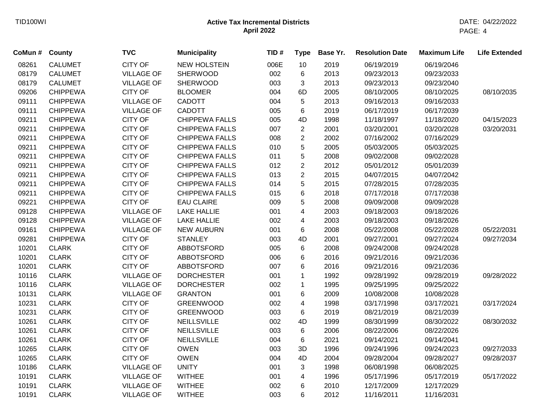| CoMun # | County          | <b>TVC</b>        | <b>Municipality</b>   | TID# | <b>Type</b>             | Base Yr. | <b>Resolution Date</b> | <b>Maximum Life</b> | <b>Life Extended</b> |
|---------|-----------------|-------------------|-----------------------|------|-------------------------|----------|------------------------|---------------------|----------------------|
| 08261   | <b>CALUMET</b>  | <b>CITY OF</b>    | <b>NEW HOLSTEIN</b>   | 006E | 10                      | 2019     | 06/19/2019             | 06/19/2046          |                      |
| 08179   | <b>CALUMET</b>  | <b>VILLAGE OF</b> | <b>SHERWOOD</b>       | 002  | 6                       | 2013     | 09/23/2013             | 09/23/2033          |                      |
| 08179   | <b>CALUMET</b>  | <b>VILLAGE OF</b> | <b>SHERWOOD</b>       | 003  | 3                       | 2013     | 09/23/2013             | 09/23/2040          |                      |
| 09206   | <b>CHIPPEWA</b> | <b>CITY OF</b>    | <b>BLOOMER</b>        | 004  | 6D                      | 2005     | 08/10/2005             | 08/10/2025          | 08/10/2035           |
| 09111   | <b>CHIPPEWA</b> | <b>VILLAGE OF</b> | <b>CADOTT</b>         | 004  | 5                       | 2013     | 09/16/2013             | 09/16/2033          |                      |
| 09111   | <b>CHIPPEWA</b> | <b>VILLAGE OF</b> | <b>CADOTT</b>         | 005  | 6                       | 2019     | 06/17/2019             | 06/17/2039          |                      |
| 09211   | <b>CHIPPEWA</b> | <b>CITY OF</b>    | <b>CHIPPEWA FALLS</b> | 005  | 4D                      | 1998     | 11/18/1997             | 11/18/2020          | 04/15/2023           |
| 09211   | <b>CHIPPEWA</b> | <b>CITY OF</b>    | <b>CHIPPEWA FALLS</b> | 007  | $\overline{c}$          | 2001     | 03/20/2001             | 03/20/2028          | 03/20/2031           |
| 09211   | <b>CHIPPEWA</b> | <b>CITY OF</b>    | <b>CHIPPEWA FALLS</b> | 008  | $\overline{c}$          | 2002     | 07/16/2002             | 07/16/2029          |                      |
| 09211   | <b>CHIPPEWA</b> | <b>CITY OF</b>    | <b>CHIPPEWA FALLS</b> | 010  | 5                       | 2005     | 05/03/2005             | 05/03/2025          |                      |
| 09211   | <b>CHIPPEWA</b> | <b>CITY OF</b>    | <b>CHIPPEWA FALLS</b> | 011  | 5                       | 2008     | 09/02/2008             | 09/02/2028          |                      |
| 09211   | <b>CHIPPEWA</b> | <b>CITY OF</b>    | <b>CHIPPEWA FALLS</b> | 012  | $\overline{2}$          | 2012     | 05/01/2012             | 05/01/2039          |                      |
| 09211   | <b>CHIPPEWA</b> | <b>CITY OF</b>    | <b>CHIPPEWA FALLS</b> | 013  | $\overline{2}$          | 2015     | 04/07/2015             | 04/07/2042          |                      |
| 09211   | <b>CHIPPEWA</b> | <b>CITY OF</b>    | <b>CHIPPEWA FALLS</b> | 014  | 5                       | 2015     | 07/28/2015             | 07/28/2035          |                      |
| 09211   | <b>CHIPPEWA</b> | <b>CITY OF</b>    | <b>CHIPPEWA FALLS</b> | 015  | 6                       | 2018     | 07/17/2018             | 07/17/2038          |                      |
| 09221   | <b>CHIPPEWA</b> | <b>CITY OF</b>    | <b>EAU CLAIRE</b>     | 009  | 5                       | 2008     | 09/09/2008             | 09/09/2028          |                      |
| 09128   | <b>CHIPPEWA</b> | <b>VILLAGE OF</b> | <b>LAKE HALLIE</b>    | 001  | $\overline{\mathbf{4}}$ | 2003     | 09/18/2003             | 09/18/2026          |                      |
| 09128   | <b>CHIPPEWA</b> | <b>VILLAGE OF</b> | <b>LAKE HALLIE</b>    | 002  | $\overline{\mathbf{4}}$ | 2003     | 09/18/2003             | 09/18/2026          |                      |
| 09161   | <b>CHIPPEWA</b> | <b>VILLAGE OF</b> | <b>NEW AUBURN</b>     | 001  | 6                       | 2008     | 05/22/2008             | 05/22/2028          | 05/22/2031           |
| 09281   | <b>CHIPPEWA</b> | <b>CITY OF</b>    | <b>STANLEY</b>        | 003  | 4D                      | 2001     | 09/27/2001             | 09/27/2024          | 09/27/2034           |
| 10201   | <b>CLARK</b>    | <b>CITY OF</b>    | <b>ABBOTSFORD</b>     | 005  | 6                       | 2008     | 09/24/2008             | 09/24/2028          |                      |
| 10201   | <b>CLARK</b>    | <b>CITY OF</b>    | <b>ABBOTSFORD</b>     | 006  | 6                       | 2016     | 09/21/2016             | 09/21/2036          |                      |
| 10201   | <b>CLARK</b>    | <b>CITY OF</b>    | ABBOTSFORD            | 007  | 6                       | 2016     | 09/21/2016             | 09/21/2036          |                      |
| 10116   | <b>CLARK</b>    | <b>VILLAGE OF</b> | <b>DORCHESTER</b>     | 001  | $\mathbf 1$             | 1992     | 09/28/1992             | 09/28/2019          | 09/28/2022           |
| 10116   | <b>CLARK</b>    | <b>VILLAGE OF</b> | <b>DORCHESTER</b>     | 002  | $\mathbf{1}$            | 1995     | 09/25/1995             | 09/25/2022          |                      |
| 10131   | <b>CLARK</b>    | <b>VILLAGE OF</b> | <b>GRANTON</b>        | 001  | 6                       | 2009     | 10/08/2008             | 10/08/2028          |                      |
| 10231   | <b>CLARK</b>    | <b>CITY OF</b>    | <b>GREENWOOD</b>      | 002  | 4                       | 1998     | 03/17/1998             | 03/17/2021          | 03/17/2024           |
| 10231   | <b>CLARK</b>    | <b>CITY OF</b>    | <b>GREENWOOD</b>      | 003  | 6                       | 2019     | 08/21/2019             | 08/21/2039          |                      |
| 10261   | <b>CLARK</b>    | <b>CITY OF</b>    | <b>NEILLSVILLE</b>    | 002  | 4D                      | 1999     | 08/30/1999             | 08/30/2022          | 08/30/2032           |
| 10261   | <b>CLARK</b>    | <b>CITY OF</b>    | <b>NEILLSVILLE</b>    | 003  | 6                       | 2006     | 08/22/2006             | 08/22/2026          |                      |
| 10261   | <b>CLARK</b>    | <b>CITY OF</b>    | <b>NEILLSVILLE</b>    | 004  | 6                       | 2021     | 09/14/2021             | 09/14/2041          |                      |
| 10265   | <b>CLARK</b>    | <b>CITY OF</b>    | <b>OWEN</b>           | 003  | 3D                      | 1996     | 09/24/1996             | 09/24/2023          | 09/27/2033           |
| 10265   | <b>CLARK</b>    | <b>CITY OF</b>    | <b>OWEN</b>           | 004  | 4D                      | 2004     | 09/28/2004             | 09/28/2027          | 09/28/2037           |
| 10186   | <b>CLARK</b>    | <b>VILLAGE OF</b> | <b>UNITY</b>          | 001  | 3                       | 1998     | 06/08/1998             | 06/08/2025          |                      |
| 10191   | <b>CLARK</b>    | <b>VILLAGE OF</b> | <b>WITHEE</b>         | 001  | 4                       | 1996     | 05/17/1996             | 05/17/2019          | 05/17/2022           |
| 10191   | <b>CLARK</b>    | <b>VILLAGE OF</b> | <b>WITHEE</b>         | 002  | 6                       | 2010     | 12/17/2009             | 12/17/2029          |                      |
| 10191   | <b>CLARK</b>    | <b>VILLAGE OF</b> | <b>WITHEE</b>         | 003  | 6                       | 2012     | 11/16/2011             | 11/16/2031          |                      |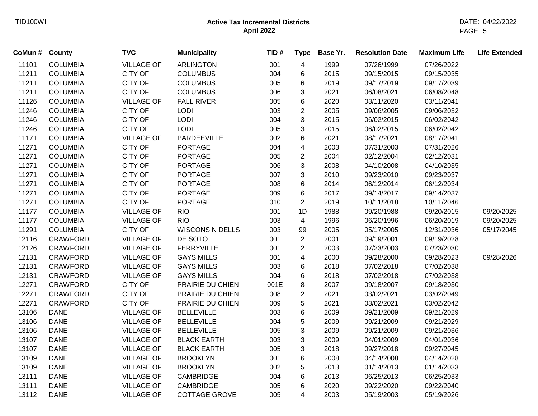| CoMun # County |                 | <b>TVC</b>        | <b>Municipality</b>    | TID# | <b>Type</b>    | Base Yr. | <b>Resolution Date</b> | <b>Maximum Life</b> | <b>Life Extended</b> |
|----------------|-----------------|-------------------|------------------------|------|----------------|----------|------------------------|---------------------|----------------------|
| 11101          | <b>COLUMBIA</b> | <b>VILLAGE OF</b> | <b>ARLINGTON</b>       | 001  | $\overline{4}$ | 1999     | 07/26/1999             | 07/26/2022          |                      |
| 11211          | <b>COLUMBIA</b> | <b>CITY OF</b>    | <b>COLUMBUS</b>        | 004  | 6              | 2015     | 09/15/2015             | 09/15/2035          |                      |
| 11211          | <b>COLUMBIA</b> | <b>CITY OF</b>    | <b>COLUMBUS</b>        | 005  | 6              | 2019     | 09/17/2019             | 09/17/2039          |                      |
| 11211          | <b>COLUMBIA</b> | <b>CITY OF</b>    | <b>COLUMBUS</b>        | 006  | 3              | 2021     | 06/08/2021             | 06/08/2048          |                      |
| 11126          | <b>COLUMBIA</b> | <b>VILLAGE OF</b> | <b>FALL RIVER</b>      | 005  | 6              | 2020     | 03/11/2020             | 03/11/2041          |                      |
| 11246          | <b>COLUMBIA</b> | <b>CITY OF</b>    | LODI                   | 003  | $\overline{2}$ | 2005     | 09/06/2005             | 09/06/2032          |                      |
| 11246          | <b>COLUMBIA</b> | <b>CITY OF</b>    | LODI                   | 004  | 3              | 2015     | 06/02/2015             | 06/02/2042          |                      |
| 11246          | <b>COLUMBIA</b> | <b>CITY OF</b>    | <b>LODI</b>            | 005  | 3              | 2015     | 06/02/2015             | 06/02/2042          |                      |
| 11171          | <b>COLUMBIA</b> | <b>VILLAGE OF</b> | PARDEEVILLE            | 002  | 6              | 2021     | 08/17/2021             | 08/17/2041          |                      |
| 11271          | <b>COLUMBIA</b> | <b>CITY OF</b>    | <b>PORTAGE</b>         | 004  | 4              | 2003     | 07/31/2003             | 07/31/2026          |                      |
| 11271          | <b>COLUMBIA</b> | CITY OF           | <b>PORTAGE</b>         | 005  | $\overline{2}$ | 2004     | 02/12/2004             | 02/12/2031          |                      |
| 11271          | <b>COLUMBIA</b> | <b>CITY OF</b>    | <b>PORTAGE</b>         | 006  | 3              | 2008     | 04/10/2008             | 04/10/2035          |                      |
| 11271          | <b>COLUMBIA</b> | <b>CITY OF</b>    | <b>PORTAGE</b>         | 007  | 3              | 2010     | 09/23/2010             | 09/23/2037          |                      |
| 11271          | <b>COLUMBIA</b> | <b>CITY OF</b>    | <b>PORTAGE</b>         | 008  | 6              | 2014     | 06/12/2014             | 06/12/2034          |                      |
| 11271          | <b>COLUMBIA</b> | CITY OF           | <b>PORTAGE</b>         | 009  | 6              | 2017     | 09/14/2017             | 09/14/2037          |                      |
| 11271          | <b>COLUMBIA</b> | <b>CITY OF</b>    | <b>PORTAGE</b>         | 010  | $\overline{2}$ | 2019     | 10/11/2018             | 10/11/2046          |                      |
| 11177          | <b>COLUMBIA</b> | <b>VILLAGE OF</b> | <b>RIO</b>             | 001  | 1D             | 1988     | 09/20/1988             | 09/20/2015          | 09/20/2025           |
| 11177          | <b>COLUMBIA</b> | <b>VILLAGE OF</b> | <b>RIO</b>             | 003  | 4              | 1996     | 06/20/1996             | 06/20/2019          | 09/20/2025           |
| 11291          | <b>COLUMBIA</b> | <b>CITY OF</b>    | <b>WISCONSIN DELLS</b> | 003  | 99             | 2005     | 05/17/2005             | 12/31/2036          | 05/17/2045           |
| 12116          | <b>CRAWFORD</b> | <b>VILLAGE OF</b> | DE SOTO                | 001  | $\overline{2}$ | 2001     | 09/19/2001             | 09/19/2028          |                      |
| 12126          | <b>CRAWFORD</b> | <b>VILLAGE OF</b> | <b>FERRYVILLE</b>      | 001  | $\overline{c}$ | 2003     | 07/23/2003             | 07/23/2030          |                      |
| 12131          | <b>CRAWFORD</b> | <b>VILLAGE OF</b> | <b>GAYS MILLS</b>      | 001  | 4              | 2000     | 09/28/2000             | 09/28/2023          | 09/28/2026           |
| 12131          | <b>CRAWFORD</b> | <b>VILLAGE OF</b> | <b>GAYS MILLS</b>      | 003  | 6              | 2018     | 07/02/2018             | 07/02/2038          |                      |
| 12131          | <b>CRAWFORD</b> | <b>VILLAGE OF</b> | <b>GAYS MILLS</b>      | 004  | 6              | 2018     | 07/02/2018             | 07/02/2038          |                      |
| 12271          | <b>CRAWFORD</b> | <b>CITY OF</b>    | PRAIRIE DU CHIEN       | 001E | 8              | 2007     | 09/18/2007             | 09/18/2030          |                      |
| 12271          | <b>CRAWFORD</b> | <b>CITY OF</b>    | PRAIRIE DU CHIEN       | 008  | $\overline{c}$ | 2021     | 03/02/2021             | 03/02/2049          |                      |
| 12271          | <b>CRAWFORD</b> | CITY OF           | PRAIRIE DU CHIEN       | 009  | 5              | 2021     | 03/02/2021             | 03/02/2042          |                      |
| 13106          | <b>DANE</b>     | <b>VILLAGE OF</b> | <b>BELLEVILLE</b>      | 003  | 6              | 2009     | 09/21/2009             | 09/21/2029          |                      |
| 13106          | <b>DANE</b>     | <b>VILLAGE OF</b> | <b>BELLEVILLE</b>      | 004  | 5              | 2009     | 09/21/2009             | 09/21/2029          |                      |
| 13106          | <b>DANE</b>     | <b>VILLAGE OF</b> | <b>BELLEVILLE</b>      | 005  | 3              | 2009     | 09/21/2009             | 09/21/2036          |                      |
| 13107          | <b>DANE</b>     | <b>VILLAGE OF</b> | <b>BLACK EARTH</b>     | 003  | 3              | 2009     | 04/01/2009             | 04/01/2036          |                      |
| 13107          | <b>DANE</b>     | <b>VILLAGE OF</b> | <b>BLACK EARTH</b>     | 005  | 3              | 2018     | 09/27/2018             | 09/27/2045          |                      |
| 13109          | <b>DANE</b>     | <b>VILLAGE OF</b> | <b>BROOKLYN</b>        | 001  | 6              | 2008     | 04/14/2008             | 04/14/2028          |                      |
| 13109          | <b>DANE</b>     | <b>VILLAGE OF</b> | <b>BROOKLYN</b>        | 002  | 5              | 2013     | 01/14/2013             | 01/14/2033          |                      |
| 13111          | <b>DANE</b>     | <b>VILLAGE OF</b> | <b>CAMBRIDGE</b>       | 004  | 6              | 2013     | 06/25/2013             | 06/25/2033          |                      |
| 13111          | <b>DANE</b>     | <b>VILLAGE OF</b> | <b>CAMBRIDGE</b>       | 005  | 6              | 2020     | 09/22/2020             | 09/22/2040          |                      |
| 13112          | <b>DANE</b>     | <b>VILLAGE OF</b> | <b>COTTAGE GROVE</b>   | 005  | $\overline{4}$ | 2003     | 05/19/2003             | 05/19/2026          |                      |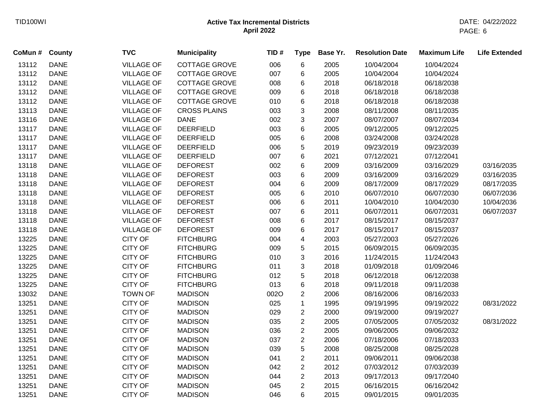| CoMun # County |             | <b>TVC</b>        | <b>Municipality</b>  | TID# | <b>Type</b>    | Base Yr. | <b>Resolution Date</b> | <b>Maximum Life</b> | <b>Life Extended</b> |
|----------------|-------------|-------------------|----------------------|------|----------------|----------|------------------------|---------------------|----------------------|
| 13112          | <b>DANE</b> | <b>VILLAGE OF</b> | <b>COTTAGE GROVE</b> | 006  | 6              | 2005     | 10/04/2004             | 10/04/2024          |                      |
| 13112          | <b>DANE</b> | <b>VILLAGE OF</b> | <b>COTTAGE GROVE</b> | 007  | 6              | 2005     | 10/04/2004             | 10/04/2024          |                      |
| 13112          | <b>DANE</b> | <b>VILLAGE OF</b> | <b>COTTAGE GROVE</b> | 008  | 6              | 2018     | 06/18/2018             | 06/18/2038          |                      |
| 13112          | <b>DANE</b> | <b>VILLAGE OF</b> | <b>COTTAGE GROVE</b> | 009  | 6              | 2018     | 06/18/2018             | 06/18/2038          |                      |
| 13112          | <b>DANE</b> | <b>VILLAGE OF</b> | COTTAGE GROVE        | 010  | 6              | 2018     | 06/18/2018             | 06/18/2038          |                      |
| 13113          | <b>DANE</b> | <b>VILLAGE OF</b> | <b>CROSS PLAINS</b>  | 003  | 3              | 2008     | 08/11/2008             | 08/11/2035          |                      |
| 13116          | <b>DANE</b> | <b>VILLAGE OF</b> | <b>DANE</b>          | 002  | 3              | 2007     | 08/07/2007             | 08/07/2034          |                      |
| 13117          | <b>DANE</b> | <b>VILLAGE OF</b> | <b>DEERFIELD</b>     | 003  | 6              | 2005     | 09/12/2005             | 09/12/2025          |                      |
| 13117          | <b>DANE</b> | <b>VILLAGE OF</b> | <b>DEERFIELD</b>     | 005  | 6              | 2008     | 03/24/2008             | 03/24/2028          |                      |
| 13117          | <b>DANE</b> | <b>VILLAGE OF</b> | <b>DEERFIELD</b>     | 006  | 5              | 2019     | 09/23/2019             | 09/23/2039          |                      |
| 13117          | <b>DANE</b> | <b>VILLAGE OF</b> | <b>DEERFIELD</b>     | 007  | 6              | 2021     | 07/12/2021             | 07/12/2041          |                      |
| 13118          | <b>DANE</b> | <b>VILLAGE OF</b> | <b>DEFOREST</b>      | 002  | 6              | 2009     | 03/16/2009             | 03/16/2029          | 03/16/2035           |
| 13118          | <b>DANE</b> | <b>VILLAGE OF</b> | <b>DEFOREST</b>      | 003  | 6              | 2009     | 03/16/2009             | 03/16/2029          | 03/16/2035           |
| 13118          | <b>DANE</b> | <b>VILLAGE OF</b> | <b>DEFOREST</b>      | 004  | 6              | 2009     | 08/17/2009             | 08/17/2029          | 08/17/2035           |
| 13118          | <b>DANE</b> | <b>VILLAGE OF</b> | <b>DEFOREST</b>      | 005  | 6              | 2010     | 06/07/2010             | 06/07/2030          | 06/07/2036           |
| 13118          | <b>DANE</b> | <b>VILLAGE OF</b> | <b>DEFOREST</b>      | 006  | 6              | 2011     | 10/04/2010             | 10/04/2030          | 10/04/2036           |
| 13118          | <b>DANE</b> | <b>VILLAGE OF</b> | <b>DEFOREST</b>      | 007  | 6              | 2011     | 06/07/2011             | 06/07/2031          | 06/07/2037           |
| 13118          | <b>DANE</b> | <b>VILLAGE OF</b> | <b>DEFOREST</b>      | 008  | 6              | 2017     | 08/15/2017             | 08/15/2037          |                      |
| 13118          | <b>DANE</b> | <b>VILLAGE OF</b> | <b>DEFOREST</b>      | 009  | 6              | 2017     | 08/15/2017             | 08/15/2037          |                      |
| 13225          | <b>DANE</b> | <b>CITY OF</b>    | <b>FITCHBURG</b>     | 004  | 4              | 2003     | 05/27/2003             | 05/27/2026          |                      |
| 13225          | <b>DANE</b> | CITY OF           | <b>FITCHBURG</b>     | 009  | 5              | 2015     | 06/09/2015             | 06/09/2035          |                      |
| 13225          | <b>DANE</b> | CITY OF           | <b>FITCHBURG</b>     | 010  | 3              | 2016     | 11/24/2015             | 11/24/2043          |                      |
| 13225          | <b>DANE</b> | <b>CITY OF</b>    | <b>FITCHBURG</b>     | 011  | 3              | 2018     | 01/09/2018             | 01/09/2046          |                      |
| 13225          | <b>DANE</b> | <b>CITY OF</b>    | <b>FITCHBURG</b>     | 012  | 5              | 2018     | 06/12/2018             | 06/12/2038          |                      |
| 13225          | <b>DANE</b> | <b>CITY OF</b>    | <b>FITCHBURG</b>     | 013  | 6              | 2018     | 09/11/2018             | 09/11/2038          |                      |
| 13032          | <b>DANE</b> | <b>TOWN OF</b>    | <b>MADISON</b>       | 002O | $\overline{2}$ | 2006     | 08/16/2006             | 08/16/2033          |                      |
| 13251          | <b>DANE</b> | <b>CITY OF</b>    | <b>MADISON</b>       | 025  | $\mathbf 1$    | 1995     | 09/19/1995             | 09/19/2022          | 08/31/2022           |
| 13251          | <b>DANE</b> | <b>CITY OF</b>    | <b>MADISON</b>       | 029  | $\overline{c}$ | 2000     | 09/19/2000             | 09/19/2027          |                      |
| 13251          | <b>DANE</b> | CITY OF           | <b>MADISON</b>       | 035  | $\overline{c}$ | 2005     | 07/05/2005             | 07/05/2032          | 08/31/2022           |
| 13251          | <b>DANE</b> | <b>CITY OF</b>    | <b>MADISON</b>       | 036  | $\overline{2}$ | 2005     | 09/06/2005             | 09/06/2032          |                      |
| 13251          | <b>DANE</b> | <b>CITY OF</b>    | <b>MADISON</b>       | 037  | $\overline{2}$ | 2006     | 07/18/2006             | 07/18/2033          |                      |
| 13251          | <b>DANE</b> | <b>CITY OF</b>    | <b>MADISON</b>       | 039  | 5              | 2008     | 08/25/2008             | 08/25/2028          |                      |
| 13251          | <b>DANE</b> | <b>CITY OF</b>    | <b>MADISON</b>       | 041  | $\overline{c}$ | 2011     | 09/06/2011             | 09/06/2038          |                      |
| 13251          | <b>DANE</b> | <b>CITY OF</b>    | <b>MADISON</b>       | 042  | $\overline{c}$ | 2012     | 07/03/2012             | 07/03/2039          |                      |
| 13251          | <b>DANE</b> | <b>CITY OF</b>    | <b>MADISON</b>       | 044  | $\overline{c}$ | 2013     | 09/17/2013             | 09/17/2040          |                      |
| 13251          | <b>DANE</b> | <b>CITY OF</b>    | <b>MADISON</b>       | 045  | $\overline{2}$ | 2015     | 06/16/2015             | 06/16/2042          |                      |
| 13251          | <b>DANE</b> | <b>CITY OF</b>    | <b>MADISON</b>       | 046  | 6              | 2015     | 09/01/2015             | 09/01/2035          |                      |
|                |             |                   |                      |      |                |          |                        |                     |                      |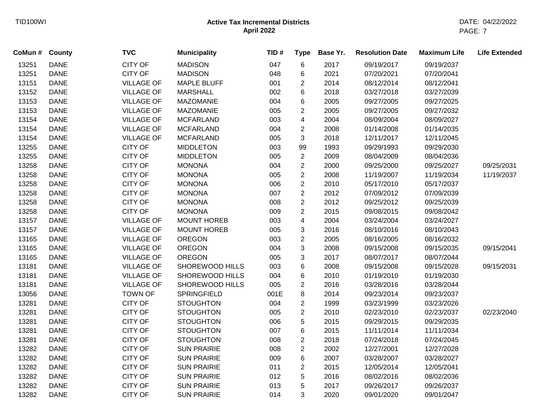| CoMun # | County      | <b>TVC</b>        | <b>Municipality</b> | TID# | <b>Type</b>    | Base Yr. | <b>Resolution Date</b> | <b>Maximum Life</b> | <b>Life Extended</b> |
|---------|-------------|-------------------|---------------------|------|----------------|----------|------------------------|---------------------|----------------------|
| 13251   | <b>DANE</b> | <b>CITY OF</b>    | <b>MADISON</b>      | 047  | 6              | 2017     | 09/19/2017             | 09/19/2037          |                      |
| 13251   | <b>DANE</b> | <b>CITY OF</b>    | <b>MADISON</b>      | 048  | 6              | 2021     | 07/20/2021             | 07/20/2041          |                      |
| 13151   | <b>DANE</b> | <b>VILLAGE OF</b> | <b>MAPLE BLUFF</b>  | 001  | $\overline{2}$ | 2014     | 08/12/2014             | 08/12/2041          |                      |
| 13152   | <b>DANE</b> | <b>VILLAGE OF</b> | <b>MARSHALL</b>     | 002  | 6              | 2018     | 03/27/2018             | 03/27/2039          |                      |
| 13153   | <b>DANE</b> | <b>VILLAGE OF</b> | <b>MAZOMANIE</b>    | 004  | 6              | 2005     | 09/27/2005             | 09/27/2025          |                      |
| 13153   | <b>DANE</b> | <b>VILLAGE OF</b> | <b>MAZOMANIE</b>    | 005  | $\overline{2}$ | 2005     | 09/27/2005             | 09/27/2032          |                      |
| 13154   | <b>DANE</b> | <b>VILLAGE OF</b> | <b>MCFARLAND</b>    | 003  | 4              | 2004     | 08/09/2004             | 08/09/2027          |                      |
| 13154   | <b>DANE</b> | <b>VILLAGE OF</b> | <b>MCFARLAND</b>    | 004  | $\overline{2}$ | 2008     | 01/14/2008             | 01/14/2035          |                      |
| 13154   | <b>DANE</b> | <b>VILLAGE OF</b> | <b>MCFARLAND</b>    | 005  | 3              | 2018     | 12/11/2017             | 12/11/2045          |                      |
| 13255   | <b>DANE</b> | <b>CITY OF</b>    | <b>MIDDLETON</b>    | 003  | 99             | 1993     | 09/29/1993             | 09/29/2030          |                      |
| 13255   | <b>DANE</b> | <b>CITY OF</b>    | <b>MIDDLETON</b>    | 005  | $\overline{2}$ | 2009     | 08/04/2009             | 08/04/2036          |                      |
| 13258   | <b>DANE</b> | <b>CITY OF</b>    | <b>MONONA</b>       | 004  | $\overline{2}$ | 2000     | 09/25/2000             | 09/25/2027          | 09/25/2031           |
| 13258   | <b>DANE</b> | <b>CITY OF</b>    | <b>MONONA</b>       | 005  | $\overline{2}$ | 2008     | 11/19/2007             | 11/19/2034          | 11/19/2037           |
| 13258   | <b>DANE</b> | <b>CITY OF</b>    | <b>MONONA</b>       | 006  | $\overline{2}$ | 2010     | 05/17/2010             | 05/17/2037          |                      |
| 13258   | <b>DANE</b> | <b>CITY OF</b>    | <b>MONONA</b>       | 007  | $\overline{2}$ | 2012     | 07/09/2012             | 07/09/2039          |                      |
| 13258   | <b>DANE</b> | <b>CITY OF</b>    | <b>MONONA</b>       | 008  | $\overline{2}$ | 2012     | 09/25/2012             | 09/25/2039          |                      |
| 13258   | <b>DANE</b> | <b>CITY OF</b>    | <b>MONONA</b>       | 009  | $\overline{2}$ | 2015     | 09/08/2015             | 09/08/2042          |                      |
| 13157   | <b>DANE</b> | <b>VILLAGE OF</b> | <b>MOUNT HOREB</b>  | 003  | 4              | 2004     | 03/24/2004             | 03/24/2027          |                      |
| 13157   | <b>DANE</b> | <b>VILLAGE OF</b> | <b>MOUNT HOREB</b>  | 005  | 3              | 2016     | 08/10/2016             | 08/10/2043          |                      |
| 13165   | <b>DANE</b> | <b>VILLAGE OF</b> | <b>OREGON</b>       | 003  | $\overline{2}$ | 2005     | 08/16/2005             | 08/16/2032          |                      |
| 13165   | <b>DANE</b> | <b>VILLAGE OF</b> | <b>OREGON</b>       | 004  | 3              | 2008     | 09/15/2008             | 09/15/2035          | 09/15/2041           |
| 13165   | <b>DANE</b> | <b>VILLAGE OF</b> | <b>OREGON</b>       | 005  | 3              | 2017     | 08/07/2017             | 08/07/2044          |                      |
| 13181   | <b>DANE</b> | <b>VILLAGE OF</b> | SHOREWOOD HILLS     | 003  | 6              | 2008     | 09/15/2008             | 09/15/2028          | 09/15/2031           |
| 13181   | <b>DANE</b> | <b>VILLAGE OF</b> | SHOREWOOD HILLS     | 004  | 6              | 2010     | 01/19/2010             | 01/19/2030          |                      |
| 13181   | <b>DANE</b> | <b>VILLAGE OF</b> | SHOREWOOD HILLS     | 005  | $\overline{c}$ | 2016     | 03/28/2016             | 03/28/2044          |                      |
| 13056   | <b>DANE</b> | <b>TOWN OF</b>    | <b>SPRINGFIELD</b>  | 001E | 8              | 2014     | 09/23/2014             | 09/23/2037          |                      |
| 13281   | <b>DANE</b> | <b>CITY OF</b>    | <b>STOUGHTON</b>    | 004  | $\overline{2}$ | 1999     | 03/23/1999             | 03/23/2026          |                      |
| 13281   | <b>DANE</b> | <b>CITY OF</b>    | <b>STOUGHTON</b>    | 005  | $\overline{2}$ | 2010     | 02/23/2010             | 02/23/2037          | 02/23/2040           |
| 13281   | <b>DANE</b> | <b>CITY OF</b>    | <b>STOUGHTON</b>    | 006  | 5              | 2015     | 09/29/2015             | 09/29/2035          |                      |
| 13281   | <b>DANE</b> | CITY OF           | <b>STOUGHTON</b>    | 007  | 6              | 2015     | 11/11/2014             | 11/11/2034          |                      |
| 13281   | <b>DANE</b> | <b>CITY OF</b>    | <b>STOUGHTON</b>    | 008  | $\overline{2}$ | 2018     | 07/24/2018             | 07/24/2045          |                      |
| 13282   | <b>DANE</b> | <b>CITY OF</b>    | <b>SUN PRAIRIE</b>  | 008  | $\overline{2}$ | 2002     | 12/27/2001             | 12/27/2028          |                      |
| 13282   | <b>DANE</b> | <b>CITY OF</b>    | <b>SUN PRAIRIE</b>  | 009  | 6              | 2007     | 03/28/2007             | 03/28/2027          |                      |
| 13282   | <b>DANE</b> | CITY OF           | <b>SUN PRAIRIE</b>  | 011  | $\overline{c}$ | 2015     | 12/05/2014             | 12/05/2041          |                      |
| 13282   | <b>DANE</b> | <b>CITY OF</b>    | <b>SUN PRAIRIE</b>  | 012  | 5              | 2016     | 08/02/2016             | 08/02/2036          |                      |
| 13282   | <b>DANE</b> | <b>CITY OF</b>    | <b>SUN PRAIRIE</b>  | 013  | 5              | 2017     | 09/26/2017             | 09/26/2037          |                      |
| 13282   | <b>DANE</b> | <b>CITY OF</b>    | <b>SUN PRAIRIE</b>  | 014  | 3              | 2020     | 09/01/2020             | 09/01/2047          |                      |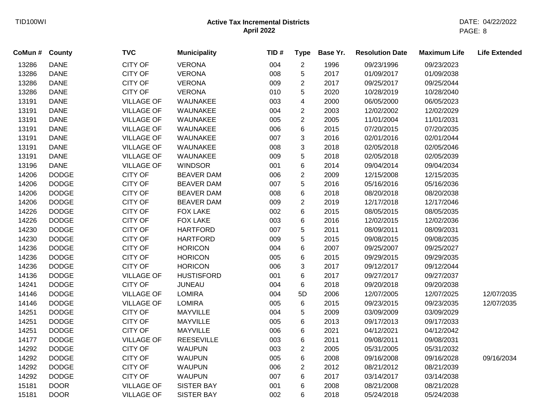| CoMun # County |              | <b>TVC</b>        | <b>Municipality</b> | TID# | <b>Type</b>    | Base Yr. | <b>Resolution Date</b> | <b>Maximum Life</b> | <b>Life Extended</b> |
|----------------|--------------|-------------------|---------------------|------|----------------|----------|------------------------|---------------------|----------------------|
| 13286          | <b>DANE</b>  | <b>CITY OF</b>    | <b>VERONA</b>       | 004  | $\mathbf{2}$   | 1996     | 09/23/1996             | 09/23/2023          |                      |
| 13286          | <b>DANE</b>  | <b>CITY OF</b>    | <b>VERONA</b>       | 008  | 5              | 2017     | 01/09/2017             | 01/09/2038          |                      |
| 13286          | <b>DANE</b>  | CITY OF           | <b>VERONA</b>       | 009  | $\overline{2}$ | 2017     | 09/25/2017             | 09/25/2044          |                      |
| 13286          | <b>DANE</b>  | <b>CITY OF</b>    | <b>VERONA</b>       | 010  | 5              | 2020     | 10/28/2019             | 10/28/2040          |                      |
| 13191          | <b>DANE</b>  | <b>VILLAGE OF</b> | WAUNAKEE            | 003  | 4              | 2000     | 06/05/2000             | 06/05/2023          |                      |
| 13191          | <b>DANE</b>  | <b>VILLAGE OF</b> | WAUNAKEE            | 004  | $\overline{c}$ | 2003     | 12/02/2002             | 12/02/2029          |                      |
| 13191          | <b>DANE</b>  | <b>VILLAGE OF</b> | WAUNAKEE            | 005  | $\overline{c}$ | 2005     | 11/01/2004             | 11/01/2031          |                      |
| 13191          | <b>DANE</b>  | <b>VILLAGE OF</b> | WAUNAKEE            | 006  | 6              | 2015     | 07/20/2015             | 07/20/2035          |                      |
| 13191          | <b>DANE</b>  | <b>VILLAGE OF</b> | WAUNAKEE            | 007  | 3              | 2016     | 02/01/2016             | 02/01/2044          |                      |
| 13191          | <b>DANE</b>  | <b>VILLAGE OF</b> | WAUNAKEE            | 008  | 3              | 2018     | 02/05/2018             | 02/05/2046          |                      |
| 13191          | <b>DANE</b>  | <b>VILLAGE OF</b> | WAUNAKEE            | 009  | 5              | 2018     | 02/05/2018             | 02/05/2039          |                      |
| 13196          | <b>DANE</b>  | <b>VILLAGE OF</b> | <b>WINDSOR</b>      | 001  | 6              | 2014     | 09/04/2014             | 09/04/2034          |                      |
| 14206          | <b>DODGE</b> | CITY OF           | <b>BEAVER DAM</b>   | 006  | $\overline{c}$ | 2009     | 12/15/2008             | 12/15/2035          |                      |
| 14206          | <b>DODGE</b> | <b>CITY OF</b>    | <b>BEAVER DAM</b>   | 007  | 5              | 2016     | 05/16/2016             | 05/16/2036          |                      |
| 14206          | <b>DODGE</b> | <b>CITY OF</b>    | <b>BEAVER DAM</b>   | 008  | 6              | 2018     | 08/20/2018             | 08/20/2038          |                      |
| 14206          | <b>DODGE</b> | <b>CITY OF</b>    | <b>BEAVER DAM</b>   | 009  | $\overline{2}$ | 2019     | 12/17/2018             | 12/17/2046          |                      |
| 14226          | <b>DODGE</b> | CITY OF           | <b>FOX LAKE</b>     | 002  | 6              | 2015     | 08/05/2015             | 08/05/2035          |                      |
| 14226          | <b>DODGE</b> | CITY OF           | <b>FOX LAKE</b>     | 003  | 6              | 2016     | 12/02/2015             | 12/02/2036          |                      |
| 14230          | <b>DODGE</b> | CITY OF           | <b>HARTFORD</b>     | 007  | 5              | 2011     | 08/09/2011             | 08/09/2031          |                      |
| 14230          | <b>DODGE</b> | CITY OF           | <b>HARTFORD</b>     | 009  | 5              | 2015     | 09/08/2015             | 09/08/2035          |                      |
| 14236          | <b>DODGE</b> | CITY OF           | <b>HORICON</b>      | 004  | 6              | 2007     | 09/25/2007             | 09/25/2027          |                      |
| 14236          | <b>DODGE</b> | <b>CITY OF</b>    | <b>HORICON</b>      | 005  | 6              | 2015     | 09/29/2015             | 09/29/2035          |                      |
| 14236          | <b>DODGE</b> | <b>CITY OF</b>    | <b>HORICON</b>      | 006  | 3              | 2017     | 09/12/2017             | 09/12/2044          |                      |
| 14136          | <b>DODGE</b> | <b>VILLAGE OF</b> | <b>HUSTISFORD</b>   | 001  | 6              | 2017     | 09/27/2017             | 09/27/2037          |                      |
| 14241          | <b>DODGE</b> | <b>CITY OF</b>    | <b>JUNEAU</b>       | 004  | 6              | 2018     | 09/20/2018             | 09/20/2038          |                      |
| 14146          | <b>DODGE</b> | <b>VILLAGE OF</b> | <b>LOMIRA</b>       | 004  | 5D             | 2006     | 12/07/2005             | 12/07/2025          | 12/07/2035           |
| 14146          | <b>DODGE</b> | <b>VILLAGE OF</b> | <b>LOMIRA</b>       | 005  | 6              | 2015     | 09/23/2015             | 09/23/2035          | 12/07/2035           |
| 14251          | <b>DODGE</b> | CITY OF           | <b>MAYVILLE</b>     | 004  | 5              | 2009     | 03/09/2009             | 03/09/2029          |                      |
| 14251          | <b>DODGE</b> | <b>CITY OF</b>    | MAYVILLE            | 005  | 6              | 2013     | 09/17/2013             | 09/17/2033          |                      |
| 14251          | <b>DODGE</b> | CITY OF           | MAYVILLE            | 006  | 6              | 2021     | 04/12/2021             | 04/12/2042          |                      |
| 14177          | <b>DODGE</b> | <b>VILLAGE OF</b> | <b>REESEVILLE</b>   | 003  | 6              | 2011     | 09/08/2011             | 09/08/2031          |                      |
| 14292          | <b>DODGE</b> | <b>CITY OF</b>    | <b>WAUPUN</b>       | 003  | $\overline{2}$ | 2005     | 05/31/2005             | 05/31/2032          |                      |
| 14292          | <b>DODGE</b> | <b>CITY OF</b>    | <b>WAUPUN</b>       | 005  | 6              | 2008     | 09/16/2008             | 09/16/2028          | 09/16/2034           |
| 14292          | <b>DODGE</b> | <b>CITY OF</b>    | <b>WAUPUN</b>       | 006  | $\overline{2}$ | 2012     | 08/21/2012             | 08/21/2039          |                      |
| 14292          | <b>DODGE</b> | <b>CITY OF</b>    | <b>WAUPUN</b>       | 007  | 6              | 2017     | 03/14/2017             | 03/14/2038          |                      |
| 15181          | <b>DOOR</b>  | <b>VILLAGE OF</b> | <b>SISTER BAY</b>   | 001  | 6              | 2008     | 08/21/2008             | 08/21/2028          |                      |
| 15181          | <b>DOOR</b>  | <b>VILLAGE OF</b> | <b>SISTER BAY</b>   | 002  | 6              | 2018     | 05/24/2018             | 05/24/2038          |                      |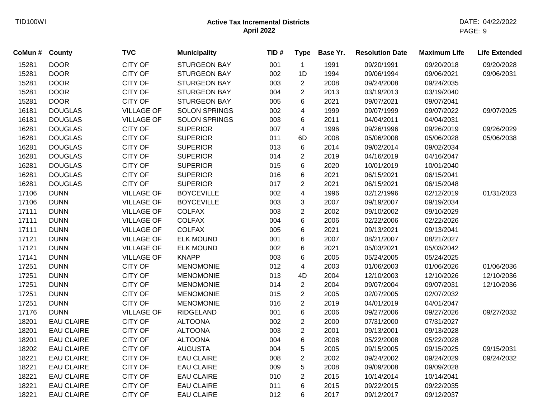| <b>DOOR</b><br><b>CITY OF</b><br>15281<br><b>STURGEON BAY</b><br>001<br>1991<br>09/20/1991<br>09/20/2018<br>$\mathbf{1}$<br><b>DOOR</b><br><b>CITY OF</b><br>002<br>15281<br><b>STURGEON BAY</b><br>1D<br>1994<br>09/06/1994<br>09/06/2021<br><b>DOOR</b><br><b>CITY OF</b><br>15281<br><b>STURGEON BAY</b><br>003<br>$\overline{2}$<br>2008<br>09/24/2008<br>09/24/2035<br>15281<br><b>DOOR</b><br><b>CITY OF</b><br><b>STURGEON BAY</b><br>004<br>$\overline{2}$<br>2013<br>03/19/2013<br>03/19/2040<br><b>CITY OF</b><br>15281<br><b>DOOR</b><br><b>STURGEON BAY</b><br>005<br>6<br>2021<br>09/07/2021<br>09/07/2041<br>16181<br><b>DOUGLAS</b><br><b>VILLAGE OF</b><br><b>SOLON SPRINGS</b><br>002<br>1999<br>09/07/1999<br>4<br>09/07/2022<br>16181<br><b>DOUGLAS</b><br><b>VILLAGE OF</b><br><b>SOLON SPRINGS</b><br>003<br>6<br>2011<br>04/04/2011<br>04/04/2031<br>$\overline{\mathbf{4}}$<br>16281<br><b>DOUGLAS</b><br><b>CITY OF</b><br><b>SUPERIOR</b><br>007<br>1996<br>09/26/1996<br>09/26/2019<br><b>CITY OF</b><br>16281<br><b>DOUGLAS</b><br><b>SUPERIOR</b><br>011<br>2008<br>6D<br>05/06/2008<br>05/06/2028<br><b>CITY OF</b><br>16281<br><b>DOUGLAS</b><br><b>SUPERIOR</b><br>013<br>6<br>2014<br>09/02/2014<br>09/02/2034<br>$\overline{2}$<br>16281<br><b>DOUGLAS</b><br><b>CITY OF</b><br><b>SUPERIOR</b><br>014<br>2019<br>04/16/2019<br>04/16/2047<br>$\,6$<br>16281<br><b>DOUGLAS</b><br><b>CITY OF</b><br><b>SUPERIOR</b><br>015<br>2020<br>10/01/2019<br>10/01/2040<br>16281<br><b>CITY OF</b><br><b>SUPERIOR</b><br>6<br>2021<br>06/15/2041<br><b>DOUGLAS</b><br>016<br>06/15/2021<br><b>CITY OF</b><br><b>SUPERIOR</b><br>$\overline{2}$<br>2021<br>16281<br><b>DOUGLAS</b><br>017<br>06/15/2021<br>06/15/2048<br>17106<br><b>DUNN</b><br><b>VILLAGE OF</b><br><b>BOYCEVILLE</b><br>4<br>1996<br>002<br>02/12/1996<br>02/12/2019<br>17106<br><b>DUNN</b><br><b>VILLAGE OF</b><br><b>BOYCEVILLE</b><br>003<br>3<br>2007<br>09/19/2007<br>09/19/2034 | 09/20/2028 |
|----------------------------------------------------------------------------------------------------------------------------------------------------------------------------------------------------------------------------------------------------------------------------------------------------------------------------------------------------------------------------------------------------------------------------------------------------------------------------------------------------------------------------------------------------------------------------------------------------------------------------------------------------------------------------------------------------------------------------------------------------------------------------------------------------------------------------------------------------------------------------------------------------------------------------------------------------------------------------------------------------------------------------------------------------------------------------------------------------------------------------------------------------------------------------------------------------------------------------------------------------------------------------------------------------------------------------------------------------------------------------------------------------------------------------------------------------------------------------------------------------------------------------------------------------------------------------------------------------------------------------------------------------------------------------------------------------------------------------------------------------------------------------------------------------------------------------------------------------------------------------------------------------------------------------------------------------------------------------------|------------|
|                                                                                                                                                                                                                                                                                                                                                                                                                                                                                                                                                                                                                                                                                                                                                                                                                                                                                                                                                                                                                                                                                                                                                                                                                                                                                                                                                                                                                                                                                                                                                                                                                                                                                                                                                                                                                                                                                                                                                                                  |            |
|                                                                                                                                                                                                                                                                                                                                                                                                                                                                                                                                                                                                                                                                                                                                                                                                                                                                                                                                                                                                                                                                                                                                                                                                                                                                                                                                                                                                                                                                                                                                                                                                                                                                                                                                                                                                                                                                                                                                                                                  | 09/06/2031 |
|                                                                                                                                                                                                                                                                                                                                                                                                                                                                                                                                                                                                                                                                                                                                                                                                                                                                                                                                                                                                                                                                                                                                                                                                                                                                                                                                                                                                                                                                                                                                                                                                                                                                                                                                                                                                                                                                                                                                                                                  |            |
|                                                                                                                                                                                                                                                                                                                                                                                                                                                                                                                                                                                                                                                                                                                                                                                                                                                                                                                                                                                                                                                                                                                                                                                                                                                                                                                                                                                                                                                                                                                                                                                                                                                                                                                                                                                                                                                                                                                                                                                  |            |
|                                                                                                                                                                                                                                                                                                                                                                                                                                                                                                                                                                                                                                                                                                                                                                                                                                                                                                                                                                                                                                                                                                                                                                                                                                                                                                                                                                                                                                                                                                                                                                                                                                                                                                                                                                                                                                                                                                                                                                                  |            |
|                                                                                                                                                                                                                                                                                                                                                                                                                                                                                                                                                                                                                                                                                                                                                                                                                                                                                                                                                                                                                                                                                                                                                                                                                                                                                                                                                                                                                                                                                                                                                                                                                                                                                                                                                                                                                                                                                                                                                                                  | 09/07/2025 |
|                                                                                                                                                                                                                                                                                                                                                                                                                                                                                                                                                                                                                                                                                                                                                                                                                                                                                                                                                                                                                                                                                                                                                                                                                                                                                                                                                                                                                                                                                                                                                                                                                                                                                                                                                                                                                                                                                                                                                                                  |            |
|                                                                                                                                                                                                                                                                                                                                                                                                                                                                                                                                                                                                                                                                                                                                                                                                                                                                                                                                                                                                                                                                                                                                                                                                                                                                                                                                                                                                                                                                                                                                                                                                                                                                                                                                                                                                                                                                                                                                                                                  | 09/26/2029 |
|                                                                                                                                                                                                                                                                                                                                                                                                                                                                                                                                                                                                                                                                                                                                                                                                                                                                                                                                                                                                                                                                                                                                                                                                                                                                                                                                                                                                                                                                                                                                                                                                                                                                                                                                                                                                                                                                                                                                                                                  | 05/06/2038 |
|                                                                                                                                                                                                                                                                                                                                                                                                                                                                                                                                                                                                                                                                                                                                                                                                                                                                                                                                                                                                                                                                                                                                                                                                                                                                                                                                                                                                                                                                                                                                                                                                                                                                                                                                                                                                                                                                                                                                                                                  |            |
|                                                                                                                                                                                                                                                                                                                                                                                                                                                                                                                                                                                                                                                                                                                                                                                                                                                                                                                                                                                                                                                                                                                                                                                                                                                                                                                                                                                                                                                                                                                                                                                                                                                                                                                                                                                                                                                                                                                                                                                  |            |
|                                                                                                                                                                                                                                                                                                                                                                                                                                                                                                                                                                                                                                                                                                                                                                                                                                                                                                                                                                                                                                                                                                                                                                                                                                                                                                                                                                                                                                                                                                                                                                                                                                                                                                                                                                                                                                                                                                                                                                                  |            |
|                                                                                                                                                                                                                                                                                                                                                                                                                                                                                                                                                                                                                                                                                                                                                                                                                                                                                                                                                                                                                                                                                                                                                                                                                                                                                                                                                                                                                                                                                                                                                                                                                                                                                                                                                                                                                                                                                                                                                                                  |            |
|                                                                                                                                                                                                                                                                                                                                                                                                                                                                                                                                                                                                                                                                                                                                                                                                                                                                                                                                                                                                                                                                                                                                                                                                                                                                                                                                                                                                                                                                                                                                                                                                                                                                                                                                                                                                                                                                                                                                                                                  |            |
|                                                                                                                                                                                                                                                                                                                                                                                                                                                                                                                                                                                                                                                                                                                                                                                                                                                                                                                                                                                                                                                                                                                                                                                                                                                                                                                                                                                                                                                                                                                                                                                                                                                                                                                                                                                                                                                                                                                                                                                  | 01/31/2023 |
|                                                                                                                                                                                                                                                                                                                                                                                                                                                                                                                                                                                                                                                                                                                                                                                                                                                                                                                                                                                                                                                                                                                                                                                                                                                                                                                                                                                                                                                                                                                                                                                                                                                                                                                                                                                                                                                                                                                                                                                  |            |
| 17111<br><b>DUNN</b><br><b>VILLAGE OF</b><br><b>COLFAX</b><br>003<br>$\overline{2}$<br>2002<br>09/10/2002<br>09/10/2029                                                                                                                                                                                                                                                                                                                                                                                                                                                                                                                                                                                                                                                                                                                                                                                                                                                                                                                                                                                                                                                                                                                                                                                                                                                                                                                                                                                                                                                                                                                                                                                                                                                                                                                                                                                                                                                          |            |
| 17111<br><b>DUNN</b><br><b>VILLAGE OF</b><br><b>COLFAX</b><br>$\,6$<br>004<br>2006<br>02/22/2006<br>02/22/2026                                                                                                                                                                                                                                                                                                                                                                                                                                                                                                                                                                                                                                                                                                                                                                                                                                                                                                                                                                                                                                                                                                                                                                                                                                                                                                                                                                                                                                                                                                                                                                                                                                                                                                                                                                                                                                                                   |            |
| <b>DUNN</b><br><b>VILLAGE OF</b><br><b>COLFAX</b><br>$\,6$<br>17111<br>005<br>2021<br>09/13/2021<br>09/13/2041                                                                                                                                                                                                                                                                                                                                                                                                                                                                                                                                                                                                                                                                                                                                                                                                                                                                                                                                                                                                                                                                                                                                                                                                                                                                                                                                                                                                                                                                                                                                                                                                                                                                                                                                                                                                                                                                   |            |
| 17121<br><b>DUNN</b><br>6<br>2007<br><b>VILLAGE OF</b><br><b>ELK MOUND</b><br>001<br>08/21/2007<br>08/21/2027                                                                                                                                                                                                                                                                                                                                                                                                                                                                                                                                                                                                                                                                                                                                                                                                                                                                                                                                                                                                                                                                                                                                                                                                                                                                                                                                                                                                                                                                                                                                                                                                                                                                                                                                                                                                                                                                    |            |
| 17121<br><b>DUNN</b><br><b>VILLAGE OF</b><br><b>ELK MOUND</b><br>002<br>6<br>2021<br>05/03/2021<br>05/03/2042                                                                                                                                                                                                                                                                                                                                                                                                                                                                                                                                                                                                                                                                                                                                                                                                                                                                                                                                                                                                                                                                                                                                                                                                                                                                                                                                                                                                                                                                                                                                                                                                                                                                                                                                                                                                                                                                    |            |
| 17141<br><b>DUNN</b><br><b>VILLAGE OF</b><br><b>KNAPP</b><br>003<br>6<br>2005<br>05/24/2005<br>05/24/2025                                                                                                                                                                                                                                                                                                                                                                                                                                                                                                                                                                                                                                                                                                                                                                                                                                                                                                                                                                                                                                                                                                                                                                                                                                                                                                                                                                                                                                                                                                                                                                                                                                                                                                                                                                                                                                                                        |            |
| <b>CITY OF</b><br>17251<br><b>DUNN</b><br>012<br>$\overline{4}$<br>2003<br><b>MENOMONIE</b><br>01/06/2003<br>01/06/2026                                                                                                                                                                                                                                                                                                                                                                                                                                                                                                                                                                                                                                                                                                                                                                                                                                                                                                                                                                                                                                                                                                                                                                                                                                                                                                                                                                                                                                                                                                                                                                                                                                                                                                                                                                                                                                                          | 01/06/2036 |
| 17251<br><b>DUNN</b><br><b>CITY OF</b><br><b>MENOMONIE</b><br>013<br>4D<br>2004<br>12/10/2003<br>12/10/2026                                                                                                                                                                                                                                                                                                                                                                                                                                                                                                                                                                                                                                                                                                                                                                                                                                                                                                                                                                                                                                                                                                                                                                                                                                                                                                                                                                                                                                                                                                                                                                                                                                                                                                                                                                                                                                                                      | 12/10/2036 |
| 17251<br><b>DUNN</b><br><b>CITY OF</b><br><b>MENOMONIE</b><br>014<br>$\overline{2}$<br>2004<br>09/07/2004<br>09/07/2031                                                                                                                                                                                                                                                                                                                                                                                                                                                                                                                                                                                                                                                                                                                                                                                                                                                                                                                                                                                                                                                                                                                                                                                                                                                                                                                                                                                                                                                                                                                                                                                                                                                                                                                                                                                                                                                          | 12/10/2036 |
| $\overline{2}$<br>17251<br><b>DUNN</b><br><b>CITY OF</b><br>2005<br><b>MENOMONIE</b><br>015<br>02/07/2005<br>02/07/2032                                                                                                                                                                                                                                                                                                                                                                                                                                                                                                                                                                                                                                                                                                                                                                                                                                                                                                                                                                                                                                                                                                                                                                                                                                                                                                                                                                                                                                                                                                                                                                                                                                                                                                                                                                                                                                                          |            |
| $\overline{2}$<br>17251<br><b>DUNN</b><br><b>CITY OF</b><br>016<br>2019<br><b>MENOMONIE</b><br>04/01/2019<br>04/01/2047                                                                                                                                                                                                                                                                                                                                                                                                                                                                                                                                                                                                                                                                                                                                                                                                                                                                                                                                                                                                                                                                                                                                                                                                                                                                                                                                                                                                                                                                                                                                                                                                                                                                                                                                                                                                                                                          |            |
| $\,6$<br>17176<br><b>DUNN</b><br><b>VILLAGE OF</b><br>2006<br><b>RIDGELAND</b><br>001<br>09/27/2006<br>09/27/2026                                                                                                                                                                                                                                                                                                                                                                                                                                                                                                                                                                                                                                                                                                                                                                                                                                                                                                                                                                                                                                                                                                                                                                                                                                                                                                                                                                                                                                                                                                                                                                                                                                                                                                                                                                                                                                                                | 09/27/2032 |
| $\overline{c}$<br>18201<br><b>EAU CLAIRE</b><br><b>CITY OF</b><br><b>ALTOONA</b><br>2000<br>002<br>07/31/2000<br>07/31/2027                                                                                                                                                                                                                                                                                                                                                                                                                                                                                                                                                                                                                                                                                                                                                                                                                                                                                                                                                                                                                                                                                                                                                                                                                                                                                                                                                                                                                                                                                                                                                                                                                                                                                                                                                                                                                                                      |            |
| $\overline{2}$<br><b>EAU CLAIRE</b><br><b>CITY OF</b><br><b>ALTOONA</b><br>18201<br>003<br>2001<br>09/13/2001<br>09/13/2028                                                                                                                                                                                                                                                                                                                                                                                                                                                                                                                                                                                                                                                                                                                                                                                                                                                                                                                                                                                                                                                                                                                                                                                                                                                                                                                                                                                                                                                                                                                                                                                                                                                                                                                                                                                                                                                      |            |
| <b>EAU CLAIRE</b><br><b>CITY OF</b><br><b>ALTOONA</b><br>$\,6$<br>18201<br>004<br>2008<br>05/22/2008<br>05/22/2028                                                                                                                                                                                                                                                                                                                                                                                                                                                                                                                                                                                                                                                                                                                                                                                                                                                                                                                                                                                                                                                                                                                                                                                                                                                                                                                                                                                                                                                                                                                                                                                                                                                                                                                                                                                                                                                               |            |
| 18202<br><b>EAU CLAIRE</b><br><b>CITY OF</b><br><b>AUGUSTA</b><br>5<br>004<br>2005<br>09/15/2005<br>09/15/2025                                                                                                                                                                                                                                                                                                                                                                                                                                                                                                                                                                                                                                                                                                                                                                                                                                                                                                                                                                                                                                                                                                                                                                                                                                                                                                                                                                                                                                                                                                                                                                                                                                                                                                                                                                                                                                                                   | 09/15/2031 |
| <b>CITY OF</b><br>$\overline{c}$<br>2002<br>18221<br><b>EAU CLAIRE</b><br><b>EAU CLAIRE</b><br>008<br>09/24/2002<br>09/24/2029                                                                                                                                                                                                                                                                                                                                                                                                                                                                                                                                                                                                                                                                                                                                                                                                                                                                                                                                                                                                                                                                                                                                                                                                                                                                                                                                                                                                                                                                                                                                                                                                                                                                                                                                                                                                                                                   | 09/24/2032 |
| <b>CITY OF</b><br>5<br>18221<br><b>EAU CLAIRE</b><br><b>EAU CLAIRE</b><br>009<br>2008<br>09/09/2008<br>09/09/2028                                                                                                                                                                                                                                                                                                                                                                                                                                                                                                                                                                                                                                                                                                                                                                                                                                                                                                                                                                                                                                                                                                                                                                                                                                                                                                                                                                                                                                                                                                                                                                                                                                                                                                                                                                                                                                                                |            |
| <b>CITY OF</b><br>18221<br><b>EAU CLAIRE</b><br><b>EAU CLAIRE</b><br>010<br>$\overline{2}$<br>2015<br>10/14/2014<br>10/14/2041                                                                                                                                                                                                                                                                                                                                                                                                                                                                                                                                                                                                                                                                                                                                                                                                                                                                                                                                                                                                                                                                                                                                                                                                                                                                                                                                                                                                                                                                                                                                                                                                                                                                                                                                                                                                                                                   |            |
| 18221<br><b>CITY OF</b><br><b>EAU CLAIRE</b><br><b>EAU CLAIRE</b><br>011<br>6<br>2015<br>09/22/2015<br>09/22/2035                                                                                                                                                                                                                                                                                                                                                                                                                                                                                                                                                                                                                                                                                                                                                                                                                                                                                                                                                                                                                                                                                                                                                                                                                                                                                                                                                                                                                                                                                                                                                                                                                                                                                                                                                                                                                                                                |            |
| 18221<br><b>EAU CLAIRE</b><br><b>CITY OF</b><br><b>EAU CLAIRE</b><br>012<br>6<br>2017<br>09/12/2017<br>09/12/2037                                                                                                                                                                                                                                                                                                                                                                                                                                                                                                                                                                                                                                                                                                                                                                                                                                                                                                                                                                                                                                                                                                                                                                                                                                                                                                                                                                                                                                                                                                                                                                                                                                                                                                                                                                                                                                                                |            |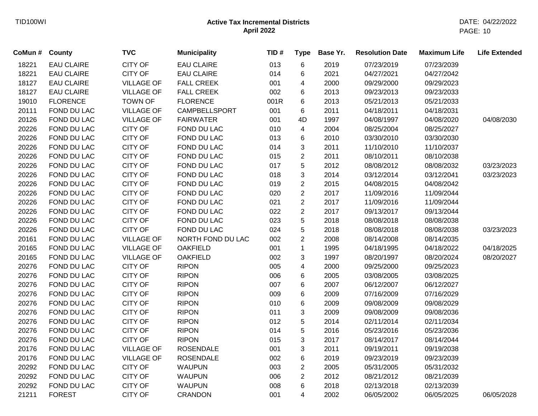| CoMun # | County            | <b>TVC</b>        | <b>Municipality</b>  | TID# | <b>Type</b>    | Base Yr. | <b>Resolution Date</b> | <b>Maximum Life</b> | <b>Life Extended</b> |
|---------|-------------------|-------------------|----------------------|------|----------------|----------|------------------------|---------------------|----------------------|
| 18221   | <b>EAU CLAIRE</b> | <b>CITY OF</b>    | <b>EAU CLAIRE</b>    | 013  | 6              | 2019     | 07/23/2019             | 07/23/2039          |                      |
| 18221   | <b>EAU CLAIRE</b> | <b>CITY OF</b>    | <b>EAU CLAIRE</b>    | 014  | 6              | 2021     | 04/27/2021             | 04/27/2042          |                      |
| 18127   | <b>EAU CLAIRE</b> | <b>VILLAGE OF</b> | <b>FALL CREEK</b>    | 001  | 4              | 2000     | 09/29/2000             | 09/29/2023          |                      |
| 18127   | <b>EAU CLAIRE</b> | <b>VILLAGE OF</b> | <b>FALL CREEK</b>    | 002  | 6              | 2013     | 09/23/2013             | 09/23/2033          |                      |
| 19010   | <b>FLORENCE</b>   | <b>TOWN OF</b>    | <b>FLORENCE</b>      | 001R | 6              | 2013     | 05/21/2013             | 05/21/2033          |                      |
| 20111   | FOND DU LAC       | <b>VILLAGE OF</b> | <b>CAMPBELLSPORT</b> | 001  | 6              | 2011     | 04/18/2011             | 04/18/2031          |                      |
| 20126   | FOND DU LAC       | <b>VILLAGE OF</b> | <b>FAIRWATER</b>     | 001  | 4D             | 1997     | 04/08/1997             | 04/08/2020          | 04/08/2030           |
| 20226   | FOND DU LAC       | <b>CITY OF</b>    | FOND DU LAC          | 010  | 4              | 2004     | 08/25/2004             | 08/25/2027          |                      |
| 20226   | FOND DU LAC       | CITY OF           | FOND DU LAC          | 013  | 6              | 2010     | 03/30/2010             | 03/30/2030          |                      |
| 20226   | FOND DU LAC       | <b>CITY OF</b>    | FOND DU LAC          | 014  | 3              | 2011     | 11/10/2010             | 11/10/2037          |                      |
| 20226   | FOND DU LAC       | <b>CITY OF</b>    | FOND DU LAC          | 015  | $\overline{2}$ | 2011     | 08/10/2011             | 08/10/2038          |                      |
| 20226   | FOND DU LAC       | <b>CITY OF</b>    | FOND DU LAC          | 017  | 5              | 2012     | 08/08/2012             | 08/08/2032          | 03/23/2023           |
| 20226   | FOND DU LAC       | <b>CITY OF</b>    | FOND DU LAC          | 018  | 3              | 2014     | 03/12/2014             | 03/12/2041          | 03/23/2023           |
| 20226   | FOND DU LAC       | <b>CITY OF</b>    | FOND DU LAC          | 019  | $\overline{2}$ | 2015     | 04/08/2015             | 04/08/2042          |                      |
| 20226   | FOND DU LAC       | <b>CITY OF</b>    | FOND DU LAC          | 020  | $\overline{2}$ | 2017     | 11/09/2016             | 11/09/2044          |                      |
| 20226   | FOND DU LAC       | <b>CITY OF</b>    | FOND DU LAC          | 021  | $\overline{2}$ | 2017     | 11/09/2016             | 11/09/2044          |                      |
| 20226   | FOND DU LAC       | <b>CITY OF</b>    | FOND DU LAC          | 022  | $\overline{2}$ | 2017     | 09/13/2017             | 09/13/2044          |                      |
| 20226   | FOND DU LAC       | <b>CITY OF</b>    | FOND DU LAC          | 023  | 5              | 2018     | 08/08/2018             | 08/08/2038          |                      |
| 20226   | FOND DU LAC       | <b>CITY OF</b>    | FOND DU LAC          | 024  | 5              | 2018     | 08/08/2018             | 08/08/2038          | 03/23/2023           |
| 20161   | FOND DU LAC       | <b>VILLAGE OF</b> | NORTH FOND DU LAC    | 002  | $\overline{c}$ | 2008     | 08/14/2008             | 08/14/2035          |                      |
| 20165   | FOND DU LAC       | <b>VILLAGE OF</b> | <b>OAKFIELD</b>      | 001  | 1              | 1995     | 04/18/1995             | 04/18/2022          | 04/18/2025           |
| 20165   | FOND DU LAC       | <b>VILLAGE OF</b> | <b>OAKFIELD</b>      | 002  | 3              | 1997     | 08/20/1997             | 08/20/2024          | 08/20/2027           |
| 20276   | FOND DU LAC       | <b>CITY OF</b>    | <b>RIPON</b>         | 005  | 4              | 2000     | 09/25/2000             | 09/25/2023          |                      |
| 20276   | FOND DU LAC       | <b>CITY OF</b>    | <b>RIPON</b>         | 006  | 6              | 2005     | 03/08/2005             | 03/08/2025          |                      |
| 20276   | FOND DU LAC       | <b>CITY OF</b>    | <b>RIPON</b>         | 007  | 6              | 2007     | 06/12/2007             | 06/12/2027          |                      |
| 20276   | FOND DU LAC       | <b>CITY OF</b>    | <b>RIPON</b>         | 009  | 6              | 2009     | 07/16/2009             | 07/16/2029          |                      |
| 20276   | FOND DU LAC       | <b>CITY OF</b>    | <b>RIPON</b>         | 010  | 6              | 2009     | 09/08/2009             | 09/08/2029          |                      |
| 20276   | FOND DU LAC       | <b>CITY OF</b>    | <b>RIPON</b>         | 011  | 3              | 2009     | 09/08/2009             | 09/08/2036          |                      |
| 20276   | FOND DU LAC       | <b>CITY OF</b>    | <b>RIPON</b>         | 012  | 5              | 2014     | 02/11/2014             | 02/11/2034          |                      |
| 20276   | FOND DU LAC       | <b>CITY OF</b>    | <b>RIPON</b>         | 014  | 5              | 2016     | 05/23/2016             | 05/23/2036          |                      |
| 20276   | FOND DU LAC       | <b>CITY OF</b>    | <b>RIPON</b>         | 015  | 3              | 2017     | 08/14/2017             | 08/14/2044          |                      |
| 20176   | FOND DU LAC       | <b>VILLAGE OF</b> | <b>ROSENDALE</b>     | 001  | 3              | 2011     | 09/19/2011             | 09/19/2038          |                      |
| 20176   | FOND DU LAC       | <b>VILLAGE OF</b> | <b>ROSENDALE</b>     | 002  | 6              | 2019     | 09/23/2019             | 09/23/2039          |                      |
| 20292   | FOND DU LAC       | <b>CITY OF</b>    | <b>WAUPUN</b>        | 003  | $\overline{2}$ | 2005     | 05/31/2005             | 05/31/2032          |                      |
| 20292   | FOND DU LAC       | <b>CITY OF</b>    | <b>WAUPUN</b>        | 006  | $\overline{c}$ | 2012     | 08/21/2012             | 08/21/2039          |                      |
| 20292   | FOND DU LAC       | <b>CITY OF</b>    | <b>WAUPUN</b>        | 008  | 6              | 2018     | 02/13/2018             | 02/13/2039          |                      |
| 21211   | <b>FOREST</b>     | <b>CITY OF</b>    | <b>CRANDON</b>       | 001  | 4              | 2002     | 06/05/2002             | 06/05/2025          | 06/05/2028           |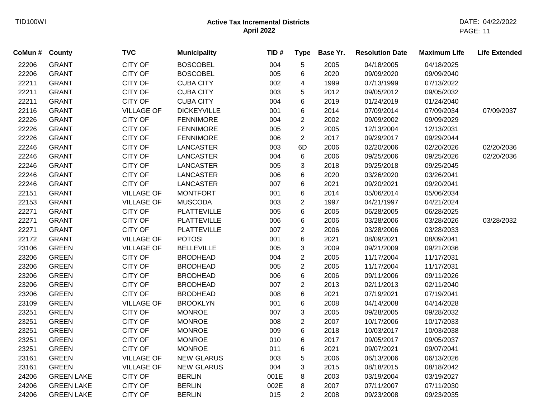| CoMun # | County            | <b>TVC</b>        | <b>Municipality</b> | TID# | <b>Type</b>      | Base Yr. | <b>Resolution Date</b> | <b>Maximum Life</b> | <b>Life Extended</b> |
|---------|-------------------|-------------------|---------------------|------|------------------|----------|------------------------|---------------------|----------------------|
| 22206   | <b>GRANT</b>      | CITY OF           | <b>BOSCOBEL</b>     | 004  | 5                | 2005     | 04/18/2005             | 04/18/2025          |                      |
| 22206   | <b>GRANT</b>      | <b>CITY OF</b>    | <b>BOSCOBEL</b>     | 005  | 6                | 2020     | 09/09/2020             | 09/09/2040          |                      |
| 22211   | <b>GRANT</b>      | <b>CITY OF</b>    | <b>CUBA CITY</b>    | 002  | 4                | 1999     | 07/13/1999             | 07/13/2022          |                      |
| 22211   | <b>GRANT</b>      | <b>CITY OF</b>    | <b>CUBA CITY</b>    | 003  | 5                | 2012     | 09/05/2012             | 09/05/2032          |                      |
| 22211   | <b>GRANT</b>      | <b>CITY OF</b>    | <b>CUBA CITY</b>    | 004  | 6                | 2019     | 01/24/2019             | 01/24/2040          |                      |
| 22116   | <b>GRANT</b>      | <b>VILLAGE OF</b> | <b>DICKEYVILLE</b>  | 001  | 6                | 2014     | 07/09/2014             | 07/09/2034          | 07/09/2037           |
| 22226   | <b>GRANT</b>      | CITY OF           | <b>FENNIMORE</b>    | 004  | $\overline{2}$   | 2002     | 09/09/2002             | 09/09/2029          |                      |
| 22226   | <b>GRANT</b>      | <b>CITY OF</b>    | <b>FENNIMORE</b>    | 005  | $\overline{2}$   | 2005     | 12/13/2004             | 12/13/2031          |                      |
| 22226   | <b>GRANT</b>      | <b>CITY OF</b>    | <b>FENNIMORE</b>    | 006  | $\overline{2}$   | 2017     | 09/29/2017             | 09/29/2044          |                      |
| 22246   | <b>GRANT</b>      | <b>CITY OF</b>    | <b>LANCASTER</b>    | 003  | 6D               | 2006     | 02/20/2006             | 02/20/2026          | 02/20/2036           |
| 22246   | <b>GRANT</b>      | <b>CITY OF</b>    | <b>LANCASTER</b>    | 004  | 6                | 2006     | 09/25/2006             | 09/25/2026          | 02/20/2036           |
| 22246   | <b>GRANT</b>      | <b>CITY OF</b>    | <b>LANCASTER</b>    | 005  | 3                | 2018     | 09/25/2018             | 09/25/2045          |                      |
| 22246   | <b>GRANT</b>      | <b>CITY OF</b>    | <b>LANCASTER</b>    | 006  | 6                | 2020     | 03/26/2020             | 03/26/2041          |                      |
| 22246   | <b>GRANT</b>      | <b>CITY OF</b>    | <b>LANCASTER</b>    | 007  | 6                | 2021     | 09/20/2021             | 09/20/2041          |                      |
| 22151   | <b>GRANT</b>      | <b>VILLAGE OF</b> | <b>MONTFORT</b>     | 001  | 6                | 2014     | 05/06/2014             | 05/06/2034          |                      |
| 22153   | <b>GRANT</b>      | <b>VILLAGE OF</b> | <b>MUSCODA</b>      | 003  | $\boldsymbol{2}$ | 1997     | 04/21/1997             | 04/21/2024          |                      |
| 22271   | <b>GRANT</b>      | CITY OF           | <b>PLATTEVILLE</b>  | 005  | 6                | 2005     | 06/28/2005             | 06/28/2025          |                      |
| 22271   | <b>GRANT</b>      | <b>CITY OF</b>    | <b>PLATTEVILLE</b>  | 006  | 6                | 2006     | 03/28/2006             | 03/28/2026          | 03/28/2032           |
| 22271   | <b>GRANT</b>      | CITY OF           | <b>PLATTEVILLE</b>  | 007  | 2                | 2006     | 03/28/2006             | 03/28/2033          |                      |
| 22172   | <b>GRANT</b>      | <b>VILLAGE OF</b> | <b>POTOSI</b>       | 001  | 6                | 2021     | 08/09/2021             | 08/09/2041          |                      |
| 23106   | <b>GREEN</b>      | <b>VILLAGE OF</b> | <b>BELLEVILLE</b>   | 005  | 3                | 2009     | 09/21/2009             | 09/21/2036          |                      |
| 23206   | <b>GREEN</b>      | <b>CITY OF</b>    | <b>BRODHEAD</b>     | 004  | $\overline{2}$   | 2005     | 11/17/2004             | 11/17/2031          |                      |
| 23206   | <b>GREEN</b>      | CITY OF           | <b>BRODHEAD</b>     | 005  | $\overline{2}$   | 2005     | 11/17/2004             | 11/17/2031          |                      |
| 23206   | <b>GREEN</b>      | <b>CITY OF</b>    | <b>BRODHEAD</b>     | 006  | 6                | 2006     | 09/11/2006             | 09/11/2026          |                      |
| 23206   | <b>GREEN</b>      | <b>CITY OF</b>    | <b>BRODHEAD</b>     | 007  | 2                | 2013     | 02/11/2013             | 02/11/2040          |                      |
| 23206   | <b>GREEN</b>      | <b>CITY OF</b>    | <b>BRODHEAD</b>     | 008  | 6                | 2021     | 07/19/2021             | 07/19/2041          |                      |
| 23109   | <b>GREEN</b>      | <b>VILLAGE OF</b> | <b>BROOKLYN</b>     | 001  | 6                | 2008     | 04/14/2008             | 04/14/2028          |                      |
| 23251   | <b>GREEN</b>      | <b>CITY OF</b>    | <b>MONROE</b>       | 007  | 3                | 2005     | 09/28/2005             | 09/28/2032          |                      |
| 23251   | <b>GREEN</b>      | <b>CITY OF</b>    | <b>MONROE</b>       | 008  | $\overline{c}$   | 2007     | 10/17/2006             | 10/17/2033          |                      |
| 23251   | <b>GREEN</b>      | <b>CITY OF</b>    | <b>MONROE</b>       | 009  | 6                | 2018     | 10/03/2017             | 10/03/2038          |                      |
| 23251   | <b>GREEN</b>      | <b>CITY OF</b>    | <b>MONROE</b>       | 010  | 6                | 2017     | 09/05/2017             | 09/05/2037          |                      |
| 23251   | <b>GREEN</b>      | CITY OF           | <b>MONROE</b>       | 011  | 6                | 2021     | 09/07/2021             | 09/07/2041          |                      |
| 23161   | <b>GREEN</b>      | <b>VILLAGE OF</b> | <b>NEW GLARUS</b>   | 003  | 5                | 2006     | 06/13/2006             | 06/13/2026          |                      |
| 23161   | <b>GREEN</b>      | <b>VILLAGE OF</b> | <b>NEW GLARUS</b>   | 004  | 3                | 2015     | 08/18/2015             | 08/18/2042          |                      |
| 24206   | <b>GREEN LAKE</b> | <b>CITY OF</b>    | <b>BERLIN</b>       | 001E | 8                | 2003     | 03/19/2004             | 03/19/2027          |                      |
| 24206   | <b>GREEN LAKE</b> | <b>CITY OF</b>    | <b>BERLIN</b>       | 002E | 8                | 2007     | 07/11/2007             | 07/11/2030          |                      |
| 24206   | <b>GREEN LAKE</b> | <b>CITY OF</b>    | <b>BERLIN</b>       | 015  | $\overline{2}$   | 2008     | 09/23/2008             | 09/23/2035          |                      |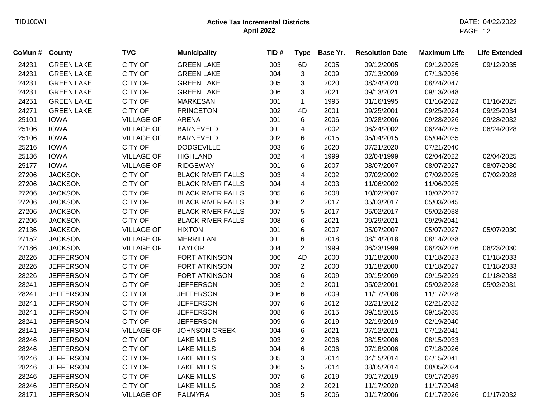| CoMun # | <b>County</b>     | <b>TVC</b>        | <b>Municipality</b>      | TID# | <b>Type</b>    | Base Yr. | <b>Resolution Date</b> | <b>Maximum Life</b> | <b>Life Extended</b> |
|---------|-------------------|-------------------|--------------------------|------|----------------|----------|------------------------|---------------------|----------------------|
| 24231   | <b>GREEN LAKE</b> | <b>CITY OF</b>    | <b>GREEN LAKE</b>        | 003  | 6D             | 2005     | 09/12/2005             | 09/12/2025          | 09/12/2035           |
| 24231   | <b>GREEN LAKE</b> | <b>CITY OF</b>    | <b>GREEN LAKE</b>        | 004  | 3              | 2009     | 07/13/2009             | 07/13/2036          |                      |
| 24231   | <b>GREEN LAKE</b> | CITY OF           | <b>GREEN LAKE</b>        | 005  | 3              | 2020     | 08/24/2020             | 08/24/2047          |                      |
| 24231   | <b>GREEN LAKE</b> | <b>CITY OF</b>    | <b>GREEN LAKE</b>        | 006  | 3              | 2021     | 09/13/2021             | 09/13/2048          |                      |
| 24251   | <b>GREEN LAKE</b> | <b>CITY OF</b>    | <b>MARKESAN</b>          | 001  | $\mathbf{1}$   | 1995     | 01/16/1995             | 01/16/2022          | 01/16/2025           |
| 24271   | <b>GREEN LAKE</b> | <b>CITY OF</b>    | <b>PRINCETON</b>         | 002  | 4D             | 2001     | 09/25/2001             | 09/25/2024          | 09/25/2034           |
| 25101   | <b>IOWA</b>       | <b>VILLAGE OF</b> | <b>ARENA</b>             | 001  | 6              | 2006     | 09/28/2006             | 09/28/2026          | 09/28/2032           |
| 25106   | <b>IOWA</b>       | <b>VILLAGE OF</b> | <b>BARNEVELD</b>         | 001  | 4              | 2002     | 06/24/2002             | 06/24/2025          | 06/24/2028           |
| 25106   | <b>IOWA</b>       | <b>VILLAGE OF</b> | <b>BARNEVELD</b>         | 002  | 6              | 2015     | 05/04/2015             | 05/04/2035          |                      |
| 25216   | <b>IOWA</b>       | <b>CITY OF</b>    | <b>DODGEVILLE</b>        | 003  | 6              | 2020     | 07/21/2020             | 07/21/2040          |                      |
| 25136   | <b>IOWA</b>       | <b>VILLAGE OF</b> | <b>HIGHLAND</b>          | 002  | 4              | 1999     | 02/04/1999             | 02/04/2022          | 02/04/2025           |
| 25177   | <b>IOWA</b>       | <b>VILLAGE OF</b> | <b>RIDGEWAY</b>          | 001  | 6              | 2007     | 08/07/2007             | 08/07/2027          | 08/07/2030           |
| 27206   | <b>JACKSON</b>    | <b>CITY OF</b>    | <b>BLACK RIVER FALLS</b> | 003  | 4              | 2002     | 07/02/2002             | 07/02/2025          | 07/02/2028           |
| 27206   | <b>JACKSON</b>    | CITY OF           | <b>BLACK RIVER FALLS</b> | 004  | 4              | 2003     | 11/06/2002             | 11/06/2025          |                      |
| 27206   | <b>JACKSON</b>    | <b>CITY OF</b>    | <b>BLACK RIVER FALLS</b> | 005  | 6              | 2008     | 10/02/2007             | 10/02/2027          |                      |
| 27206   | <b>JACKSON</b>    | <b>CITY OF</b>    | <b>BLACK RIVER FALLS</b> | 006  | $\overline{2}$ | 2017     | 05/03/2017             | 05/03/2045          |                      |
| 27206   | <b>JACKSON</b>    | <b>CITY OF</b>    | <b>BLACK RIVER FALLS</b> | 007  | 5              | 2017     | 05/02/2017             | 05/02/2038          |                      |
| 27206   | <b>JACKSON</b>    | <b>CITY OF</b>    | <b>BLACK RIVER FALLS</b> | 008  | 6              | 2021     | 09/29/2021             | 09/29/2041          |                      |
| 27136   | <b>JACKSON</b>    | <b>VILLAGE OF</b> | <b>HIXTON</b>            | 001  | 6              | 2007     | 05/07/2007             | 05/07/2027          | 05/07/2030           |
| 27152   | <b>JACKSON</b>    | <b>VILLAGE OF</b> | <b>MERRILLAN</b>         | 001  | 6              | 2018     | 08/14/2018             | 08/14/2038          |                      |
| 27186   | <b>JACKSON</b>    | <b>VILLAGE OF</b> | <b>TAYLOR</b>            | 004  | $\overline{2}$ | 1999     | 06/23/1999             | 06/23/2026          | 06/23/2030           |
| 28226   | <b>JEFFERSON</b>  | <b>CITY OF</b>    | <b>FORT ATKINSON</b>     | 006  | 4D             | 2000     | 01/18/2000             | 01/18/2023          | 01/18/2033           |
| 28226   | <b>JEFFERSON</b>  | <b>CITY OF</b>    | FORT ATKINSON            | 007  | $\overline{2}$ | 2000     | 01/18/2000             | 01/18/2027          | 01/18/2033           |
| 28226   | <b>JEFFERSON</b>  | CITY OF           | <b>FORT ATKINSON</b>     | 008  | 6              | 2009     | 09/15/2009             | 09/15/2029          | 01/18/2033           |
| 28241   | <b>JEFFERSON</b>  | CITY OF           | <b>JEFFERSON</b>         | 005  | $\overline{c}$ | 2001     | 05/02/2001             | 05/02/2028          | 05/02/2031           |
| 28241   | <b>JEFFERSON</b>  | <b>CITY OF</b>    | <b>JEFFERSON</b>         | 006  | 6              | 2009     | 11/17/2008             | 11/17/2028          |                      |
| 28241   | <b>JEFFERSON</b>  | <b>CITY OF</b>    | <b>JEFFERSON</b>         | 007  | 6              | 2012     | 02/21/2012             | 02/21/2032          |                      |
| 28241   | <b>JEFFERSON</b>  | <b>CITY OF</b>    | <b>JEFFERSON</b>         | 008  | 6              | 2015     | 09/15/2015             | 09/15/2035          |                      |
| 28241   | <b>JEFFERSON</b>  | <b>CITY OF</b>    | <b>JEFFERSON</b>         | 009  | $\,6$          | 2019     | 02/19/2019             | 02/19/2040          |                      |
| 28141   | <b>JEFFERSON</b>  | <b>VILLAGE OF</b> | <b>JOHNSON CREEK</b>     | 004  | $\,6$          | 2021     | 07/12/2021             | 07/12/2041          |                      |
| 28246   | <b>JEFFERSON</b>  | <b>CITY OF</b>    | <b>LAKE MILLS</b>        | 003  | $\overline{c}$ | 2006     | 08/15/2006             | 08/15/2033          |                      |
| 28246   | <b>JEFFERSON</b>  | <b>CITY OF</b>    | <b>LAKE MILLS</b>        | 004  | $6\phantom{1}$ | 2006     | 07/18/2006             | 07/18/2026          |                      |
| 28246   | <b>JEFFERSON</b>  | <b>CITY OF</b>    | <b>LAKE MILLS</b>        | 005  | 3              | 2014     | 04/15/2014             | 04/15/2041          |                      |
| 28246   | <b>JEFFERSON</b>  | <b>CITY OF</b>    | <b>LAKE MILLS</b>        | 006  | 5              | 2014     | 08/05/2014             | 08/05/2034          |                      |
| 28246   | <b>JEFFERSON</b>  | <b>CITY OF</b>    | <b>LAKE MILLS</b>        | 007  | 6              | 2019     | 09/17/2019             | 09/17/2039          |                      |
| 28246   | <b>JEFFERSON</b>  | <b>CITY OF</b>    | <b>LAKE MILLS</b>        | 008  | $\overline{2}$ | 2021     | 11/17/2020             | 11/17/2048          |                      |
| 28171   | <b>JEFFERSON</b>  | <b>VILLAGE OF</b> | <b>PALMYRA</b>           | 003  | 5              | 2006     | 01/17/2006             | 01/17/2026          | 01/17/2032           |
|         |                   |                   |                          |      |                |          |                        |                     |                      |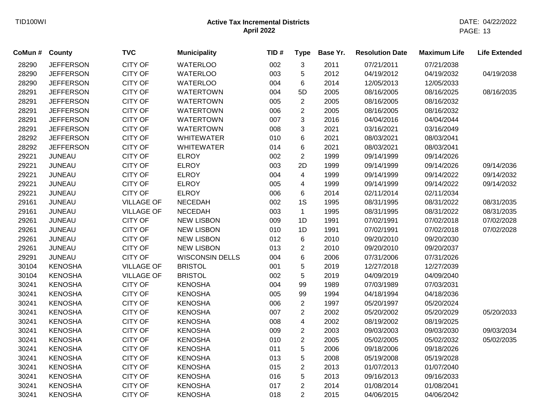| CoMun # County |                  | <b>TVC</b>        | <b>Municipality</b>    | TID# | <b>Type</b>             | Base Yr. | <b>Resolution Date</b> | <b>Maximum Life</b> | <b>Life Extended</b> |
|----------------|------------------|-------------------|------------------------|------|-------------------------|----------|------------------------|---------------------|----------------------|
| 28290          | <b>JEFFERSON</b> | <b>CITY OF</b>    | <b>WATERLOO</b>        | 002  | 3                       | 2011     | 07/21/2011             | 07/21/2038          |                      |
| 28290          | <b>JEFFERSON</b> | <b>CITY OF</b>    | <b>WATERLOO</b>        | 003  | 5                       | 2012     | 04/19/2012             | 04/19/2032          | 04/19/2038           |
| 28290          | <b>JEFFERSON</b> | CITY OF           | <b>WATERLOO</b>        | 004  | 6                       | 2014     | 12/05/2013             | 12/05/2033          |                      |
| 28291          | <b>JEFFERSON</b> | <b>CITY OF</b>    | <b>WATERTOWN</b>       | 004  | 5D                      | 2005     | 08/16/2005             | 08/16/2025          | 08/16/2035           |
| 28291          | <b>JEFFERSON</b> | <b>CITY OF</b>    | <b>WATERTOWN</b>       | 005  | $\overline{2}$          | 2005     | 08/16/2005             | 08/16/2032          |                      |
| 28291          | <b>JEFFERSON</b> | <b>CITY OF</b>    | <b>WATERTOWN</b>       | 006  | $\overline{c}$          | 2005     | 08/16/2005             | 08/16/2032          |                      |
| 28291          | <b>JEFFERSON</b> | <b>CITY OF</b>    | <b>WATERTOWN</b>       | 007  | 3                       | 2016     | 04/04/2016             | 04/04/2044          |                      |
| 28291          | <b>JEFFERSON</b> | CITY OF           | <b>WATERTOWN</b>       | 008  | 3                       | 2021     | 03/16/2021             | 03/16/2049          |                      |
| 28292          | <b>JEFFERSON</b> | <b>CITY OF</b>    | <b>WHITEWATER</b>      | 010  | 6                       | 2021     | 08/03/2021             | 08/03/2041          |                      |
| 28292          | <b>JEFFERSON</b> | <b>CITY OF</b>    | <b>WHITEWATER</b>      | 014  | 6                       | 2021     | 08/03/2021             | 08/03/2041          |                      |
| 29221          | <b>JUNEAU</b>    | <b>CITY OF</b>    | <b>ELROY</b>           | 002  | $\overline{2}$          | 1999     | 09/14/1999             | 09/14/2026          |                      |
| 29221          | <b>JUNEAU</b>    | <b>CITY OF</b>    | <b>ELROY</b>           | 003  | 2D                      | 1999     | 09/14/1999             | 09/14/2026          | 09/14/2036           |
| 29221          | <b>JUNEAU</b>    | <b>CITY OF</b>    | <b>ELROY</b>           | 004  | $\overline{4}$          | 1999     | 09/14/1999             | 09/14/2022          | 09/14/2032           |
| 29221          | <b>JUNEAU</b>    | <b>CITY OF</b>    | <b>ELROY</b>           | 005  | $\overline{\mathbf{4}}$ | 1999     | 09/14/1999             | 09/14/2022          | 09/14/2032           |
| 29221          | <b>JUNEAU</b>    | <b>CITY OF</b>    | <b>ELROY</b>           | 006  | 6                       | 2014     | 02/11/2014             | 02/11/2034          |                      |
| 29161          | <b>JUNEAU</b>    | <b>VILLAGE OF</b> | <b>NECEDAH</b>         | 002  | 1S                      | 1995     | 08/31/1995             | 08/31/2022          | 08/31/2035           |
| 29161          | <b>JUNEAU</b>    | <b>VILLAGE OF</b> | <b>NECEDAH</b>         | 003  | $\mathbf{1}$            | 1995     | 08/31/1995             | 08/31/2022          | 08/31/2035           |
| 29261          | <b>JUNEAU</b>    | <b>CITY OF</b>    | <b>NEW LISBON</b>      | 009  | 1D                      | 1991     | 07/02/1991             | 07/02/2018          | 07/02/2028           |
| 29261          | <b>JUNEAU</b>    | <b>CITY OF</b>    | <b>NEW LISBON</b>      | 010  | 1D                      | 1991     | 07/02/1991             | 07/02/2018          | 07/02/2028           |
| 29261          | <b>JUNEAU</b>    | <b>CITY OF</b>    | <b>NEW LISBON</b>      | 012  | 6                       | 2010     | 09/20/2010             | 09/20/2030          |                      |
| 29261          | <b>JUNEAU</b>    | <b>CITY OF</b>    | <b>NEW LISBON</b>      | 013  | $\overline{2}$          | 2010     | 09/20/2010             | 09/20/2037          |                      |
| 29291          | <b>JUNEAU</b>    | <b>CITY OF</b>    | <b>WISCONSIN DELLS</b> | 004  | 6                       | 2006     | 07/31/2006             | 07/31/2026          |                      |
| 30104          | <b>KENOSHA</b>   | <b>VILLAGE OF</b> | <b>BRISTOL</b>         | 001  | 5                       | 2019     | 12/27/2018             | 12/27/2039          |                      |
| 30104          | <b>KENOSHA</b>   | <b>VILLAGE OF</b> | <b>BRISTOL</b>         | 002  | 5                       | 2019     | 04/09/2019             | 04/09/2040          |                      |
| 30241          | <b>KENOSHA</b>   | <b>CITY OF</b>    | <b>KENOSHA</b>         | 004  | 99                      | 1989     | 07/03/1989             | 07/03/2031          |                      |
| 30241          | <b>KENOSHA</b>   | <b>CITY OF</b>    | <b>KENOSHA</b>         | 005  | 99                      | 1994     | 04/18/1994             | 04/18/2036          |                      |
| 30241          | <b>KENOSHA</b>   | <b>CITY OF</b>    | <b>KENOSHA</b>         | 006  | $\overline{2}$          | 1997     | 05/20/1997             | 05/20/2024          |                      |
| 30241          | <b>KENOSHA</b>   | <b>CITY OF</b>    | <b>KENOSHA</b>         | 007  | $\overline{2}$          | 2002     | 05/20/2002             | 05/20/2029          | 05/20/2033           |
| 30241          | <b>KENOSHA</b>   | CITY OF           | <b>KENOSHA</b>         | 008  | $\overline{\mathbf{4}}$ | 2002     | 08/19/2002             | 08/19/2025          |                      |
| 30241          | <b>KENOSHA</b>   | <b>CITY OF</b>    | <b>KENOSHA</b>         | 009  | $\overline{2}$          | 2003     | 09/03/2003             | 09/03/2030          | 09/03/2034           |
| 30241          | <b>KENOSHA</b>   | <b>CITY OF</b>    | <b>KENOSHA</b>         | 010  | $\overline{2}$          | 2005     | 05/02/2005             | 05/02/2032          | 05/02/2035           |
| 30241          | <b>KENOSHA</b>   | <b>CITY OF</b>    | <b>KENOSHA</b>         | 011  | 5                       | 2006     | 09/18/2006             | 09/18/2026          |                      |
| 30241          | <b>KENOSHA</b>   | <b>CITY OF</b>    | <b>KENOSHA</b>         | 013  | 5                       | 2008     | 05/19/2008             | 05/19/2028          |                      |
| 30241          | <b>KENOSHA</b>   | CITY OF           | <b>KENOSHA</b>         | 015  | $\overline{c}$          | 2013     | 01/07/2013             | 01/07/2040          |                      |
| 30241          | <b>KENOSHA</b>   | <b>CITY OF</b>    | <b>KENOSHA</b>         | 016  | 5                       | 2013     | 09/16/2013             | 09/16/2033          |                      |
| 30241          | <b>KENOSHA</b>   | <b>CITY OF</b>    | <b>KENOSHA</b>         | 017  | $\overline{2}$          | 2014     | 01/08/2014             | 01/08/2041          |                      |
| 30241          | <b>KENOSHA</b>   | <b>CITY OF</b>    | <b>KENOSHA</b>         | 018  | $\overline{2}$          | 2015     | 04/06/2015             | 04/06/2042          |                      |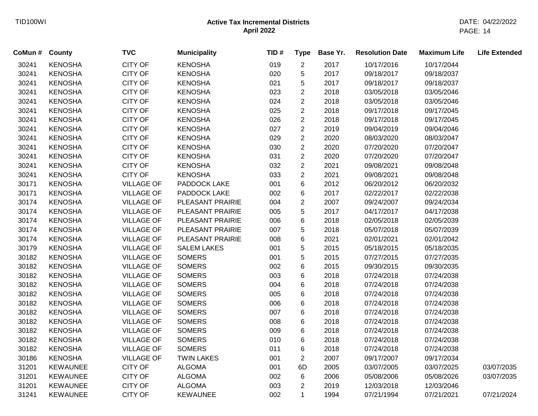| CoMun # | County          | <b>TVC</b>        | <b>Municipality</b> | TID# | <b>Type</b>    | Base Yr. | <b>Resolution Date</b> | <b>Maximum Life</b> | <b>Life Extended</b> |
|---------|-----------------|-------------------|---------------------|------|----------------|----------|------------------------|---------------------|----------------------|
| 30241   | <b>KENOSHA</b>  | <b>CITY OF</b>    | <b>KENOSHA</b>      | 019  | $\overline{2}$ | 2017     | 10/17/2016             | 10/17/2044          |                      |
| 30241   | <b>KENOSHA</b>  | <b>CITY OF</b>    | <b>KENOSHA</b>      | 020  | 5              | 2017     | 09/18/2017             | 09/18/2037          |                      |
| 30241   | <b>KENOSHA</b>  | <b>CITY OF</b>    | <b>KENOSHA</b>      | 021  | 5              | 2017     | 09/18/2017             | 09/18/2037          |                      |
| 30241   | <b>KENOSHA</b>  | <b>CITY OF</b>    | <b>KENOSHA</b>      | 023  | $\overline{2}$ | 2018     | 03/05/2018             | 03/05/2046          |                      |
| 30241   | <b>KENOSHA</b>  | <b>CITY OF</b>    | <b>KENOSHA</b>      | 024  | $\overline{c}$ | 2018     | 03/05/2018             | 03/05/2046          |                      |
| 30241   | <b>KENOSHA</b>  | CITY OF           | <b>KENOSHA</b>      | 025  | $\overline{c}$ | 2018     | 09/17/2018             | 09/17/2045          |                      |
| 30241   | <b>KENOSHA</b>  | <b>CITY OF</b>    | <b>KENOSHA</b>      | 026  | $\overline{c}$ | 2018     | 09/17/2018             | 09/17/2045          |                      |
| 30241   | <b>KENOSHA</b>  | <b>CITY OF</b>    | <b>KENOSHA</b>      | 027  | $\overline{2}$ | 2019     | 09/04/2019             | 09/04/2046          |                      |
| 30241   | <b>KENOSHA</b>  | <b>CITY OF</b>    | <b>KENOSHA</b>      | 029  | $\overline{c}$ | 2020     | 08/03/2020             | 08/03/2047          |                      |
| 30241   | <b>KENOSHA</b>  | CITY OF           | <b>KENOSHA</b>      | 030  | $\overline{2}$ | 2020     | 07/20/2020             | 07/20/2047          |                      |
| 30241   | <b>KENOSHA</b>  | <b>CITY OF</b>    | <b>KENOSHA</b>      | 031  | $\overline{2}$ | 2020     | 07/20/2020             | 07/20/2047          |                      |
| 30241   | <b>KENOSHA</b>  | <b>CITY OF</b>    | <b>KENOSHA</b>      | 032  | $\overline{2}$ | 2021     | 09/08/2021             | 09/08/2048          |                      |
| 30241   | <b>KENOSHA</b>  | <b>CITY OF</b>    | <b>KENOSHA</b>      | 033  | $\overline{2}$ | 2021     | 09/08/2021             | 09/08/2048          |                      |
| 30171   | <b>KENOSHA</b>  | <b>VILLAGE OF</b> | PADDOCK LAKE        | 001  | 6              | 2012     | 06/20/2012             | 06/20/2032          |                      |
| 30171   | <b>KENOSHA</b>  | <b>VILLAGE OF</b> | PADDOCK LAKE        | 002  | 6              | 2017     | 02/22/2017             | 02/22/2038          |                      |
| 30174   | <b>KENOSHA</b>  | <b>VILLAGE OF</b> | PLEASANT PRAIRIE    | 004  | $\overline{2}$ | 2007     | 09/24/2007             | 09/24/2034          |                      |
| 30174   | <b>KENOSHA</b>  | <b>VILLAGE OF</b> | PLEASANT PRAIRIE    | 005  | 5              | 2017     | 04/17/2017             | 04/17/2038          |                      |
| 30174   | <b>KENOSHA</b>  | <b>VILLAGE OF</b> | PLEASANT PRAIRIE    | 006  | 6              | 2018     | 02/05/2018             | 02/05/2039          |                      |
| 30174   | <b>KENOSHA</b>  | <b>VILLAGE OF</b> | PLEASANT PRAIRIE    | 007  | 5              | 2018     | 05/07/2018             | 05/07/2039          |                      |
| 30174   | <b>KENOSHA</b>  | <b>VILLAGE OF</b> | PLEASANT PRAIRIE    | 008  | 6              | 2021     | 02/01/2021             | 02/01/2042          |                      |
| 30179   | <b>KENOSHA</b>  | <b>VILLAGE OF</b> | <b>SALEM LAKES</b>  | 001  | 5              | 2015     | 05/18/2015             | 05/18/2035          |                      |
| 30182   | <b>KENOSHA</b>  | <b>VILLAGE OF</b> | <b>SOMERS</b>       | 001  | 5              | 2015     | 07/27/2015             | 07/27/2035          |                      |
| 30182   | <b>KENOSHA</b>  | <b>VILLAGE OF</b> | <b>SOMERS</b>       | 002  | 6              | 2015     | 09/30/2015             | 09/30/2035          |                      |
| 30182   | <b>KENOSHA</b>  | <b>VILLAGE OF</b> | <b>SOMERS</b>       | 003  | 6              | 2018     | 07/24/2018             | 07/24/2038          |                      |
| 30182   | <b>KENOSHA</b>  | <b>VILLAGE OF</b> | <b>SOMERS</b>       | 004  | 6              | 2018     | 07/24/2018             | 07/24/2038          |                      |
| 30182   | <b>KENOSHA</b>  | <b>VILLAGE OF</b> | <b>SOMERS</b>       | 005  | 6              | 2018     | 07/24/2018             | 07/24/2038          |                      |
| 30182   | <b>KENOSHA</b>  | <b>VILLAGE OF</b> | <b>SOMERS</b>       | 006  | 6              | 2018     | 07/24/2018             | 07/24/2038          |                      |
| 30182   | <b>KENOSHA</b>  | <b>VILLAGE OF</b> | <b>SOMERS</b>       | 007  | 6              | 2018     | 07/24/2018             | 07/24/2038          |                      |
| 30182   | <b>KENOSHA</b>  | <b>VILLAGE OF</b> | <b>SOMERS</b>       | 008  | 6              | 2018     | 07/24/2018             | 07/24/2038          |                      |
| 30182   | <b>KENOSHA</b>  | <b>VILLAGE OF</b> | <b>SOMERS</b>       | 009  | 6              | 2018     | 07/24/2018             | 07/24/2038          |                      |
| 30182   | <b>KENOSHA</b>  | <b>VILLAGE OF</b> | <b>SOMERS</b>       | 010  | 6              | 2018     | 07/24/2018             | 07/24/2038          |                      |
| 30182   | <b>KENOSHA</b>  | <b>VILLAGE OF</b> | <b>SOMERS</b>       | 011  | 6              | 2018     | 07/24/2018             | 07/24/2038          |                      |
| 30186   | <b>KENOSHA</b>  | <b>VILLAGE OF</b> | <b>TWIN LAKES</b>   | 001  | $\overline{2}$ | 2007     | 09/17/2007             | 09/17/2034          |                      |
| 31201   | <b>KEWAUNEE</b> | <b>CITY OF</b>    | <b>ALGOMA</b>       | 001  | 6D             | 2005     | 03/07/2005             | 03/07/2025          | 03/07/2035           |
| 31201   | <b>KEWAUNEE</b> | CITY OF           | <b>ALGOMA</b>       | 002  | 6              | 2006     | 05/08/2006             | 05/08/2026          | 03/07/2035           |
| 31201   | <b>KEWAUNEE</b> | <b>CITY OF</b>    | <b>ALGOMA</b>       | 003  | $\overline{2}$ | 2019     | 12/03/2018             | 12/03/2046          |                      |
| 31241   | <b>KEWAUNEE</b> | <b>CITY OF</b>    | <b>KEWAUNEE</b>     | 002  | $\mathbf{1}$   | 1994     | 07/21/1994             | 07/21/2021          | 07/21/2024           |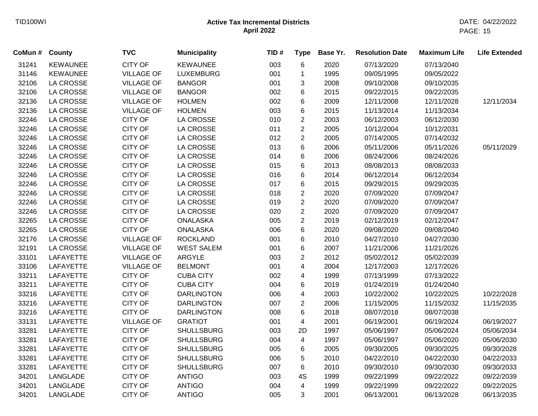| CoMun # | <b>County</b>    | <b>TVC</b>        | <b>Municipality</b> | TID# | <b>Type</b>             | Base Yr. | <b>Resolution Date</b> | <b>Maximum Life</b> | <b>Life Extended</b> |
|---------|------------------|-------------------|---------------------|------|-------------------------|----------|------------------------|---------------------|----------------------|
| 31241   | <b>KEWAUNEE</b>  | <b>CITY OF</b>    | <b>KEWAUNEE</b>     | 003  | 6                       | 2020     | 07/13/2020             | 07/13/2040          |                      |
| 31146   | <b>KEWAUNEE</b>  | <b>VILLAGE OF</b> | <b>LUXEMBURG</b>    | 001  | $\mathbf{1}$            | 1995     | 09/05/1995             | 09/05/2022          |                      |
| 32106   | <b>LA CROSSE</b> | <b>VILLAGE OF</b> | <b>BANGOR</b>       | 001  | 3                       | 2008     | 09/10/2008             | 09/10/2035          |                      |
| 32106   | <b>LA CROSSE</b> | <b>VILLAGE OF</b> | <b>BANGOR</b>       | 002  | 6                       | 2015     | 09/22/2015             | 09/22/2035          |                      |
| 32136   | <b>LA CROSSE</b> | <b>VILLAGE OF</b> | <b>HOLMEN</b>       | 002  | 6                       | 2009     | 12/11/2008             | 12/11/2028          | 12/11/2034           |
| 32136   | <b>LA CROSSE</b> | <b>VILLAGE OF</b> | <b>HOLMEN</b>       | 003  | 6                       | 2015     | 11/13/2014             | 11/13/2034          |                      |
| 32246   | <b>LA CROSSE</b> | <b>CITY OF</b>    | LA CROSSE           | 010  | $\overline{2}$          | 2003     | 06/12/2003             | 06/12/2030          |                      |
| 32246   | LA CROSSE        | <b>CITY OF</b>    | LA CROSSE           | 011  | $\overline{c}$          | 2005     | 10/12/2004             | 10/12/2031          |                      |
| 32246   | <b>LA CROSSE</b> | <b>CITY OF</b>    | LA CROSSE           | 012  | $\overline{c}$          | 2005     | 07/14/2005             | 07/14/2032          |                      |
| 32246   | <b>LA CROSSE</b> | <b>CITY OF</b>    | <b>LA CROSSE</b>    | 013  | 6                       | 2006     | 05/11/2006             | 05/11/2026          | 05/11/2029           |
| 32246   | <b>LA CROSSE</b> | <b>CITY OF</b>    | LA CROSSE           | 014  | 6                       | 2006     | 08/24/2006             | 08/24/2026          |                      |
| 32246   | LA CROSSE        | <b>CITY OF</b>    | LA CROSSE           | 015  | 6                       | 2013     | 08/08/2013             | 08/08/2033          |                      |
| 32246   | LA CROSSE        | <b>CITY OF</b>    | LA CROSSE           | 016  | 6                       | 2014     | 06/12/2014             | 06/12/2034          |                      |
| 32246   | <b>LA CROSSE</b> | <b>CITY OF</b>    | <b>LA CROSSE</b>    | 017  | 6                       | 2015     | 09/29/2015             | 09/29/2035          |                      |
| 32246   | <b>LA CROSSE</b> | <b>CITY OF</b>    | LA CROSSE           | 018  | $\overline{2}$          | 2020     | 07/09/2020             | 07/09/2047          |                      |
| 32246   | <b>LA CROSSE</b> | <b>CITY OF</b>    | <b>LA CROSSE</b>    | 019  | $\overline{2}$          | 2020     | 07/09/2020             | 07/09/2047          |                      |
| 32246   | LA CROSSE        | <b>CITY OF</b>    | LA CROSSE           | 020  | $\overline{2}$          | 2020     | 07/09/2020             | 07/09/2047          |                      |
| 32265   | LA CROSSE        | <b>CITY OF</b>    | <b>ONALASKA</b>     | 005  | $\overline{2}$          | 2019     | 02/12/2019             | 02/12/2047          |                      |
| 32265   | LA CROSSE        | <b>CITY OF</b>    | <b>ONALASKA</b>     | 006  | 6                       | 2020     | 09/08/2020             | 09/08/2040          |                      |
| 32176   | <b>LA CROSSE</b> | <b>VILLAGE OF</b> | <b>ROCKLAND</b>     | 001  | 6                       | 2010     | 04/27/2010             | 04/27/2030          |                      |
| 32191   | <b>LA CROSSE</b> | <b>VILLAGE OF</b> | <b>WEST SALEM</b>   | 001  | 6                       | 2007     | 11/21/2006             | 11/21/2026          |                      |
| 33101   | LAFAYETTE        | <b>VILLAGE OF</b> | ARGYLE              | 003  | $\overline{2}$          | 2012     | 05/02/2012             | 05/02/2039          |                      |
| 33106   | LAFAYETTE        | <b>VILLAGE OF</b> | <b>BELMONT</b>      | 001  | 4                       | 2004     | 12/17/2003             | 12/17/2026          |                      |
| 33211   | LAFAYETTE        | <b>CITY OF</b>    | <b>CUBA CITY</b>    | 002  | 4                       | 1999     | 07/13/1999             | 07/13/2022          |                      |
| 33211   | LAFAYETTE        | <b>CITY OF</b>    | <b>CUBA CITY</b>    | 004  | 6                       | 2019     | 01/24/2019             | 01/24/2040          |                      |
| 33216   | LAFAYETTE        | <b>CITY OF</b>    | <b>DARLINGTON</b>   | 006  | 4                       | 2003     | 10/22/2002             | 10/22/2025          | 10/22/2028           |
| 33216   | <b>LAFAYETTE</b> | <b>CITY OF</b>    | <b>DARLINGTON</b>   | 007  | $\overline{c}$          | 2006     | 11/15/2005             | 11/15/2032          | 11/15/2035           |
| 33216   | LAFAYETTE        | <b>CITY OF</b>    | <b>DARLINGTON</b>   | 008  | 6                       | 2018     | 08/07/2018             | 08/07/2038          |                      |
| 33131   | LAFAYETTE        | <b>VILLAGE OF</b> | <b>GRATIOT</b>      | 001  | 4                       | 2001     | 06/19/2001             | 06/19/2024          | 06/19/2027           |
| 33281   | LAFAYETTE        | <b>CITY OF</b>    | <b>SHULLSBURG</b>   | 003  | 2D                      | 1997     | 05/06/1997             | 05/06/2024          | 05/06/2034           |
| 33281   | LAFAYETTE        | <b>CITY OF</b>    | <b>SHULLSBURG</b>   | 004  | $\overline{\mathbf{4}}$ | 1997     | 05/06/1997             | 05/06/2020          | 05/06/2030           |
| 33281   | LAFAYETTE        | <b>CITY OF</b>    | <b>SHULLSBURG</b>   | 005  | 6                       | 2005     | 09/30/2005             | 09/30/2025          | 09/30/2028           |
| 33281   | LAFAYETTE        | <b>CITY OF</b>    | <b>SHULLSBURG</b>   | 006  | 5                       | 2010     | 04/22/2010             | 04/22/2030          | 04/22/2033           |
| 33281   | LAFAYETTE        | <b>CITY OF</b>    | <b>SHULLSBURG</b>   | 007  | 6                       | 2010     | 09/30/2010             | 09/30/2030          | 09/30/2033           |
| 34201   | LANGLADE         | <b>CITY OF</b>    | <b>ANTIGO</b>       | 003  | 4S                      | 1999     | 09/22/1999             | 09/22/2022          | 09/22/2039           |
| 34201   | LANGLADE         | <b>CITY OF</b>    | <b>ANTIGO</b>       | 004  | $\overline{4}$          | 1999     | 09/22/1999             | 09/22/2022          | 09/22/2025           |
| 34201   | LANGLADE         | <b>CITY OF</b>    | <b>ANTIGO</b>       | 005  | 3                       | 2001     | 06/13/2001             | 06/13/2028          | 06/13/2035           |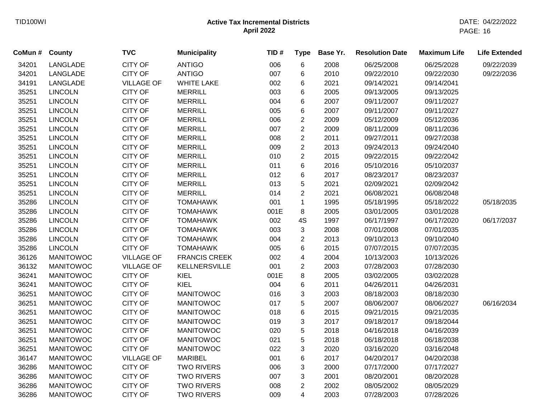| CoMun # | <b>County</b>    | <b>TVC</b>        | <b>Municipality</b>  | TID# | <b>Type</b>    | Base Yr. | <b>Resolution Date</b> | <b>Maximum Life</b> | <b>Life Extended</b> |
|---------|------------------|-------------------|----------------------|------|----------------|----------|------------------------|---------------------|----------------------|
| 34201   | LANGLADE         | <b>CITY OF</b>    | <b>ANTIGO</b>        | 006  | 6              | 2008     | 06/25/2008             | 06/25/2028          | 09/22/2039           |
| 34201   | LANGLADE         | <b>CITY OF</b>    | <b>ANTIGO</b>        | 007  | 6              | 2010     | 09/22/2010             | 09/22/2030          | 09/22/2036           |
| 34191   | LANGLADE         | <b>VILLAGE OF</b> | <b>WHITE LAKE</b>    | 002  | 6              | 2021     | 09/14/2021             | 09/14/2041          |                      |
| 35251   | <b>LINCOLN</b>   | <b>CITY OF</b>    | <b>MERRILL</b>       | 003  | 6              | 2005     | 09/13/2005             | 09/13/2025          |                      |
| 35251   | <b>LINCOLN</b>   | <b>CITY OF</b>    | <b>MERRILL</b>       | 004  | 6              | 2007     | 09/11/2007             | 09/11/2027          |                      |
| 35251   | <b>LINCOLN</b>   | <b>CITY OF</b>    | <b>MERRILL</b>       | 005  | 6              | 2007     | 09/11/2007             | 09/11/2027          |                      |
| 35251   | <b>LINCOLN</b>   | <b>CITY OF</b>    | <b>MERRILL</b>       | 006  | $\overline{2}$ | 2009     | 05/12/2009             | 05/12/2036          |                      |
| 35251   | <b>LINCOLN</b>   | <b>CITY OF</b>    | <b>MERRILL</b>       | 007  | $\overline{2}$ | 2009     | 08/11/2009             | 08/11/2036          |                      |
| 35251   | <b>LINCOLN</b>   | <b>CITY OF</b>    | <b>MERRILL</b>       | 008  | $\overline{2}$ | 2011     | 09/27/2011             | 09/27/2038          |                      |
| 35251   | <b>LINCOLN</b>   | <b>CITY OF</b>    | <b>MERRILL</b>       | 009  | $\overline{2}$ | 2013     | 09/24/2013             | 09/24/2040          |                      |
| 35251   | <b>LINCOLN</b>   | <b>CITY OF</b>    | <b>MERRILL</b>       | 010  | $\overline{2}$ | 2015     | 09/22/2015             | 09/22/2042          |                      |
| 35251   | <b>LINCOLN</b>   | <b>CITY OF</b>    | <b>MERRILL</b>       | 011  | 6              | 2016     | 05/10/2016             | 05/10/2037          |                      |
| 35251   | <b>LINCOLN</b>   | <b>CITY OF</b>    | <b>MERRILL</b>       | 012  | 6              | 2017     | 08/23/2017             | 08/23/2037          |                      |
| 35251   | <b>LINCOLN</b>   | <b>CITY OF</b>    | <b>MERRILL</b>       | 013  | 5              | 2021     | 02/09/2021             | 02/09/2042          |                      |
| 35251   | <b>LINCOLN</b>   | <b>CITY OF</b>    | <b>MERRILL</b>       | 014  | $\overline{2}$ | 2021     | 06/08/2021             | 06/08/2048          |                      |
| 35286   | <b>LINCOLN</b>   | <b>CITY OF</b>    | <b>TOMAHAWK</b>      | 001  | $\mathbf{1}$   | 1995     | 05/18/1995             | 05/18/2022          | 05/18/2035           |
| 35286   | <b>LINCOLN</b>   | <b>CITY OF</b>    | <b>TOMAHAWK</b>      | 001E | 8              | 2005     | 03/01/2005             | 03/01/2028          |                      |
| 35286   | <b>LINCOLN</b>   | <b>CITY OF</b>    | <b>TOMAHAWK</b>      | 002  | 4S             | 1997     | 06/17/1997             | 06/17/2020          | 06/17/2037           |
| 35286   | <b>LINCOLN</b>   | <b>CITY OF</b>    | <b>TOMAHAWK</b>      | 003  | 3              | 2008     | 07/01/2008             | 07/01/2035          |                      |
| 35286   | <b>LINCOLN</b>   | <b>CITY OF</b>    | <b>TOMAHAWK</b>      | 004  | $\overline{c}$ | 2013     | 09/10/2013             | 09/10/2040          |                      |
| 35286   | <b>LINCOLN</b>   | <b>CITY OF</b>    | <b>TOMAHAWK</b>      | 005  | 6              | 2015     | 07/07/2015             | 07/07/2035          |                      |
| 36126   | <b>MANITOWOC</b> | <b>VILLAGE OF</b> | <b>FRANCIS CREEK</b> | 002  | 4              | 2004     | 10/13/2003             | 10/13/2026          |                      |
| 36132   | <b>MANITOWOC</b> | <b>VILLAGE OF</b> | KELLNERSVILLE        | 001  | $\overline{c}$ | 2003     | 07/28/2003             | 07/28/2030          |                      |
| 36241   | <b>MANITOWOC</b> | <b>CITY OF</b>    | KIEL                 | 001E | 8              | 2005     | 03/02/2005             | 03/02/2028          |                      |
| 36241   | <b>MANITOWOC</b> | <b>CITY OF</b>    | KIEL                 | 004  | 6              | 2011     | 04/26/2011             | 04/26/2031          |                      |
| 36251   | <b>MANITOWOC</b> | <b>CITY OF</b>    | <b>MANITOWOC</b>     | 016  | 3              | 2003     | 08/18/2003             | 08/18/2030          |                      |
| 36251   | <b>MANITOWOC</b> | <b>CITY OF</b>    | <b>MANITOWOC</b>     | 017  | 5              | 2007     | 08/06/2007             | 08/06/2027          | 06/16/2034           |
| 36251   | <b>MANITOWOC</b> | <b>CITY OF</b>    | <b>MANITOWOC</b>     | 018  | 6              | 2015     | 09/21/2015             | 09/21/2035          |                      |
| 36251   | <b>MANITOWOC</b> | <b>CITY OF</b>    | <b>MANITOWOC</b>     | 019  | 3              | 2017     | 09/18/2017             | 09/18/2044          |                      |
| 36251   | <b>MANITOWOC</b> | <b>CITY OF</b>    | <b>MANITOWOC</b>     | 020  | 5              | 2018     | 04/16/2018             | 04/16/2039          |                      |
| 36251   | <b>MANITOWOC</b> | <b>CITY OF</b>    | <b>MANITOWOC</b>     | 021  | 5              | 2018     | 06/18/2018             | 06/18/2038          |                      |
| 36251   | <b>MANITOWOC</b> | <b>CITY OF</b>    | <b>MANITOWOC</b>     | 022  | 3              | 2020     | 03/16/2020             | 03/16/2048          |                      |
| 36147   | <b>MANITOWOC</b> | <b>VILLAGE OF</b> | <b>MARIBEL</b>       | 001  | 6              | 2017     | 04/20/2017             | 04/20/2038          |                      |
| 36286   | <b>MANITOWOC</b> | <b>CITY OF</b>    | <b>TWO RIVERS</b>    | 006  | 3              | 2000     | 07/17/2000             | 07/17/2027          |                      |
| 36286   | <b>MANITOWOC</b> | <b>CITY OF</b>    | <b>TWO RIVERS</b>    | 007  | 3              | 2001     | 08/20/2001             | 08/20/2028          |                      |
| 36286   | <b>MANITOWOC</b> | <b>CITY OF</b>    | <b>TWO RIVERS</b>    | 008  | $\overline{2}$ | 2002     | 08/05/2002             | 08/05/2029          |                      |
| 36286   | <b>MANITOWOC</b> | <b>CITY OF</b>    | <b>TWO RIVERS</b>    | 009  | $\overline{4}$ | 2003     | 07/28/2003             | 07/28/2026          |                      |
|         |                  |                   |                      |      |                |          |                        |                     |                      |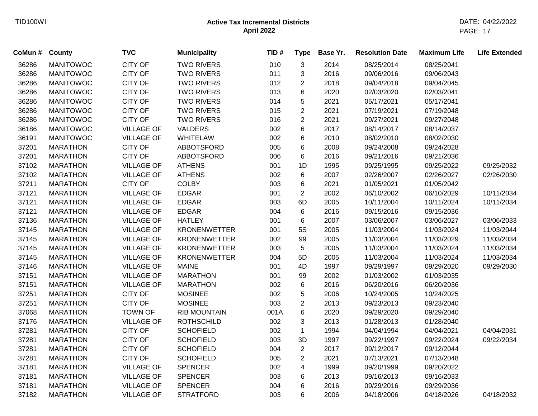| CoMun # | <b>County</b>    | <b>TVC</b>        | <b>Municipality</b> | TID# | <b>Type</b>    | Base Yr. | <b>Resolution Date</b> | <b>Maximum Life</b> | <b>Life Extended</b> |
|---------|------------------|-------------------|---------------------|------|----------------|----------|------------------------|---------------------|----------------------|
| 36286   | <b>MANITOWOC</b> | <b>CITY OF</b>    | <b>TWO RIVERS</b>   | 010  | 3              | 2014     | 08/25/2014             | 08/25/2041          |                      |
| 36286   | <b>MANITOWOC</b> | <b>CITY OF</b>    | <b>TWO RIVERS</b>   | 011  | 3              | 2016     | 09/06/2016             | 09/06/2043          |                      |
| 36286   | <b>MANITOWOC</b> | <b>CITY OF</b>    | <b>TWO RIVERS</b>   | 012  | $\overline{c}$ | 2018     | 09/04/2018             | 09/04/2045          |                      |
| 36286   | <b>MANITOWOC</b> | <b>CITY OF</b>    | <b>TWO RIVERS</b>   | 013  | 6              | 2020     | 02/03/2020             | 02/03/2041          |                      |
| 36286   | <b>MANITOWOC</b> | <b>CITY OF</b>    | <b>TWO RIVERS</b>   | 014  | 5              | 2021     | 05/17/2021             | 05/17/2041          |                      |
| 36286   | <b>MANITOWOC</b> | <b>CITY OF</b>    | <b>TWO RIVERS</b>   | 015  | $\overline{c}$ | 2021     | 07/19/2021             | 07/19/2048          |                      |
| 36286   | <b>MANITOWOC</b> | <b>CITY OF</b>    | <b>TWO RIVERS</b>   | 016  | $\overline{2}$ | 2021     | 09/27/2021             | 09/27/2048          |                      |
| 36186   | <b>MANITOWOC</b> | <b>VILLAGE OF</b> | VALDERS             | 002  | 6              | 2017     | 08/14/2017             | 08/14/2037          |                      |
| 36191   | <b>MANITOWOC</b> | <b>VILLAGE OF</b> | <b>WHITELAW</b>     | 002  | 6              | 2010     | 08/02/2010             | 08/02/2030          |                      |
| 37201   | <b>MARATHON</b>  | <b>CITY OF</b>    | ABBOTSFORD          | 005  | 6              | 2008     | 09/24/2008             | 09/24/2028          |                      |
| 37201   | <b>MARATHON</b>  | <b>CITY OF</b>    | <b>ABBOTSFORD</b>   | 006  | 6              | 2016     | 09/21/2016             | 09/21/2036          |                      |
| 37102   | <b>MARATHON</b>  | <b>VILLAGE OF</b> | <b>ATHENS</b>       | 001  | 1D             | 1995     | 09/25/1995             | 09/25/2022          | 09/25/2032           |
| 37102   | <b>MARATHON</b>  | <b>VILLAGE OF</b> | <b>ATHENS</b>       | 002  | 6              | 2007     | 02/26/2007             | 02/26/2027          | 02/26/2030           |
| 37211   | <b>MARATHON</b>  | <b>CITY OF</b>    | <b>COLBY</b>        | 003  | 6              | 2021     | 01/05/2021             | 01/05/2042          |                      |
| 37121   | <b>MARATHON</b>  | <b>VILLAGE OF</b> | <b>EDGAR</b>        | 001  | $\overline{2}$ | 2002     | 06/10/2002             | 06/10/2029          | 10/11/2034           |
| 37121   | <b>MARATHON</b>  | <b>VILLAGE OF</b> | <b>EDGAR</b>        | 003  | 6D             | 2005     | 10/11/2004             | 10/11/2024          | 10/11/2034           |
| 37121   | <b>MARATHON</b>  | <b>VILLAGE OF</b> | <b>EDGAR</b>        | 004  | 6              | 2016     | 09/15/2016             | 09/15/2036          |                      |
| 37136   | <b>MARATHON</b>  | <b>VILLAGE OF</b> | <b>HATLEY</b>       | 001  | 6              | 2007     | 03/06/2007             | 03/06/2027          | 03/06/2033           |
| 37145   | <b>MARATHON</b>  | <b>VILLAGE OF</b> | <b>KRONENWETTER</b> | 001  | 5S             | 2005     | 11/03/2004             | 11/03/2024          | 11/03/2044           |
| 37145   | <b>MARATHON</b>  | <b>VILLAGE OF</b> | <b>KRONENWETTER</b> | 002  | 99             | 2005     | 11/03/2004             | 11/03/2029          | 11/03/2034           |
| 37145   | <b>MARATHON</b>  | <b>VILLAGE OF</b> | <b>KRONENWETTER</b> | 003  | 5              | 2005     | 11/03/2004             | 11/03/2024          | 11/03/2034           |
| 37145   | <b>MARATHON</b>  | <b>VILLAGE OF</b> | <b>KRONENWETTER</b> | 004  | 5D             | 2005     | 11/03/2004             | 11/03/2024          | 11/03/2034           |
| 37146   | <b>MARATHON</b>  | <b>VILLAGE OF</b> | <b>MAINE</b>        | 001  | 4D             | 1997     | 09/29/1997             | 09/29/2020          | 09/29/2030           |
| 37151   | <b>MARATHON</b>  | <b>VILLAGE OF</b> | <b>MARATHON</b>     | 001  | 99             | 2002     | 01/03/2002             | 01/03/2035          |                      |
| 37151   | <b>MARATHON</b>  | <b>VILLAGE OF</b> | <b>MARATHON</b>     | 002  | 6              | 2016     | 06/20/2016             | 06/20/2036          |                      |
| 37251   | <b>MARATHON</b>  | <b>CITY OF</b>    | <b>MOSINEE</b>      | 002  | 5              | 2006     | 10/24/2005             | 10/24/2025          |                      |
| 37251   | <b>MARATHON</b>  | <b>CITY OF</b>    | <b>MOSINEE</b>      | 003  | $\overline{c}$ | 2013     | 09/23/2013             | 09/23/2040          |                      |
| 37068   | <b>MARATHON</b>  | <b>TOWN OF</b>    | <b>RIB MOUNTAIN</b> | 001A | 6              | 2020     | 09/29/2020             | 09/29/2040          |                      |
| 37176   | <b>MARATHON</b>  | <b>VILLAGE OF</b> | <b>ROTHSCHILD</b>   | 002  | 3              | 2013     | 01/28/2013             | 01/28/2040          |                      |
| 37281   | <b>MARATHON</b>  | <b>CITY OF</b>    | <b>SCHOFIELD</b>    | 002  | $\mathbf{1}$   | 1994     | 04/04/1994             | 04/04/2021          | 04/04/2031           |
| 37281   | <b>MARATHON</b>  | <b>CITY OF</b>    | <b>SCHOFIELD</b>    | 003  | 3D             | 1997     | 09/22/1997             | 09/22/2024          | 09/22/2034           |
| 37281   | <b>MARATHON</b>  | <b>CITY OF</b>    | <b>SCHOFIELD</b>    | 004  | $\overline{2}$ | 2017     | 09/12/2017             | 09/12/2044          |                      |
| 37281   | <b>MARATHON</b>  | <b>CITY OF</b>    | <b>SCHOFIELD</b>    | 005  | $\overline{2}$ | 2021     | 07/13/2021             | 07/13/2048          |                      |
| 37181   | <b>MARATHON</b>  | <b>VILLAGE OF</b> | <b>SPENCER</b>      | 002  | 4              | 1999     | 09/20/1999             | 09/20/2022          |                      |
| 37181   | <b>MARATHON</b>  | <b>VILLAGE OF</b> | <b>SPENCER</b>      | 003  | 6              | 2013     | 09/16/2013             | 09/16/2033          |                      |
| 37181   | <b>MARATHON</b>  | <b>VILLAGE OF</b> | <b>SPENCER</b>      | 004  | 6              | 2016     | 09/29/2016             | 09/29/2036          |                      |
| 37182   | <b>MARATHON</b>  | <b>VILLAGE OF</b> | <b>STRATFORD</b>    | 003  | 6              | 2006     | 04/18/2006             | 04/18/2026          | 04/18/2032           |
|         |                  |                   |                     |      |                |          |                        |                     |                      |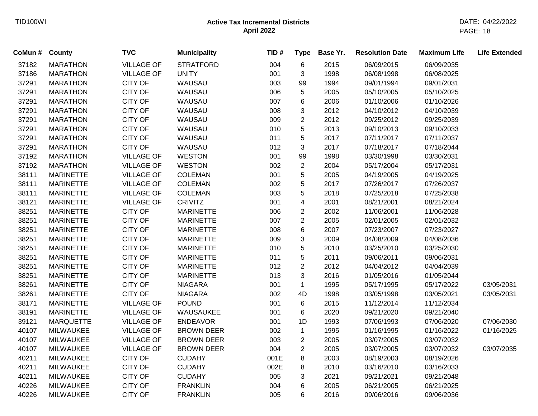| County           | <b>TVC</b>        | <b>Municipality</b> | TID# | <b>Type</b>    | Base Yr. | <b>Resolution Date</b> | <b>Maximum Life</b> | <b>Life Extended</b> |
|------------------|-------------------|---------------------|------|----------------|----------|------------------------|---------------------|----------------------|
| <b>MARATHON</b>  | <b>VILLAGE OF</b> | <b>STRATFORD</b>    | 004  | 6              | 2015     | 06/09/2015             | 06/09/2035          |                      |
| <b>MARATHON</b>  | <b>VILLAGE OF</b> | <b>UNITY</b>        | 001  | 3              | 1998     | 06/08/1998             | 06/08/2025          |                      |
| <b>MARATHON</b>  | <b>CITY OF</b>    | WAUSAU              | 003  | 99             | 1994     | 09/01/1994             | 09/01/2031          |                      |
| <b>MARATHON</b>  | <b>CITY OF</b>    | WAUSAU              | 006  | 5              | 2005     | 05/10/2005             | 05/10/2025          |                      |
| <b>MARATHON</b>  | <b>CITY OF</b>    | WAUSAU              | 007  | 6              | 2006     | 01/10/2006             | 01/10/2026          |                      |
| <b>MARATHON</b>  | <b>CITY OF</b>    | WAUSAU              | 008  | 3              | 2012     | 04/10/2012             | 04/10/2039          |                      |
| <b>MARATHON</b>  | <b>CITY OF</b>    | WAUSAU              | 009  | $\overline{c}$ | 2012     | 09/25/2012             | 09/25/2039          |                      |
| <b>MARATHON</b>  | <b>CITY OF</b>    | WAUSAU              | 010  | 5              | 2013     | 09/10/2013             | 09/10/2033          |                      |
| <b>MARATHON</b>  | <b>CITY OF</b>    | WAUSAU              | 011  | 5              | 2017     | 07/11/2017             | 07/11/2037          |                      |
| <b>MARATHON</b>  | <b>CITY OF</b>    | WAUSAU              | 012  | 3              | 2017     | 07/18/2017             | 07/18/2044          |                      |
| <b>MARATHON</b>  | <b>VILLAGE OF</b> | <b>WESTON</b>       | 001  | 99             | 1998     | 03/30/1998             | 03/30/2031          |                      |
| <b>MARATHON</b>  | <b>VILLAGE OF</b> | <b>WESTON</b>       | 002  | $\overline{2}$ | 2004     | 05/17/2004             | 05/17/2031          |                      |
| <b>MARINETTE</b> | <b>VILLAGE OF</b> | <b>COLEMAN</b>      | 001  | 5              | 2005     | 04/19/2005             | 04/19/2025          |                      |
| <b>MARINETTE</b> | <b>VILLAGE OF</b> | <b>COLEMAN</b>      | 002  | 5              | 2017     | 07/26/2017             | 07/26/2037          |                      |
| <b>MARINETTE</b> | <b>VILLAGE OF</b> | <b>COLEMAN</b>      | 003  | 5              | 2018     | 07/25/2018             | 07/25/2038          |                      |
| <b>MARINETTE</b> | <b>VILLAGE OF</b> | <b>CRIVITZ</b>      | 001  | 4              | 2001     | 08/21/2001             | 08/21/2024          |                      |
| <b>MARINETTE</b> | <b>CITY OF</b>    | <b>MARINETTE</b>    | 006  | $\overline{2}$ | 2002     | 11/06/2001             | 11/06/2028          |                      |
| <b>MARINETTE</b> | <b>CITY OF</b>    | <b>MARINETTE</b>    | 007  | $\overline{2}$ | 2005     | 02/01/2005             | 02/01/2032          |                      |
| <b>MARINETTE</b> | <b>CITY OF</b>    | <b>MARINETTE</b>    | 008  | 6              | 2007     | 07/23/2007             | 07/23/2027          |                      |
| <b>MARINETTE</b> | <b>CITY OF</b>    | <b>MARINETTE</b>    | 009  | 3              | 2009     | 04/08/2009             | 04/08/2036          |                      |
| <b>MARINETTE</b> | <b>CITY OF</b>    | <b>MARINETTE</b>    | 010  | 5              | 2010     | 03/25/2010             | 03/25/2030          |                      |
| <b>MARINETTE</b> | <b>CITY OF</b>    | <b>MARINETTE</b>    | 011  | 5              | 2011     | 09/06/2011             | 09/06/2031          |                      |
| <b>MARINETTE</b> | <b>CITY OF</b>    | <b>MARINETTE</b>    | 012  | $\overline{2}$ | 2012     | 04/04/2012             | 04/04/2039          |                      |
| <b>MARINETTE</b> | <b>CITY OF</b>    | <b>MARINETTE</b>    | 013  | 3              | 2016     | 01/05/2016             | 01/05/2044          |                      |
| <b>MARINETTE</b> | <b>CITY OF</b>    | <b>NIAGARA</b>      | 001  | $\mathbf{1}$   | 1995     | 05/17/1995             | 05/17/2022          | 03/05/2031           |
| <b>MARINETTE</b> | <b>CITY OF</b>    | <b>NIAGARA</b>      | 002  | 4D             | 1998     | 03/05/1998             | 03/05/2021          | 03/05/2031           |
| <b>MARINETTE</b> | <b>VILLAGE OF</b> | <b>POUND</b>        | 001  | 6              | 2015     | 11/12/2014             | 11/12/2034          |                      |
| <b>MARINETTE</b> | <b>VILLAGE OF</b> | WAUSAUKEE           | 001  | 6              | 2020     | 09/21/2020             | 09/21/2040          |                      |
| <b>MARQUETTE</b> | <b>VILLAGE OF</b> | <b>ENDEAVOR</b>     | 001  | 1D             | 1993     | 07/06/1993             | 07/06/2020          | 07/06/2030           |
| <b>MILWAUKEE</b> | <b>VILLAGE OF</b> | <b>BROWN DEER</b>   | 002  | $\mathbf 1$    | 1995     | 01/16/1995             | 01/16/2022          | 01/16/2025           |
| <b>MILWAUKEE</b> | <b>VILLAGE OF</b> | <b>BROWN DEER</b>   | 003  | $\overline{c}$ | 2005     | 03/07/2005             | 03/07/2032          |                      |
| <b>MILWAUKEE</b> | <b>VILLAGE OF</b> | <b>BROWN DEER</b>   | 004  | $\overline{2}$ | 2005     | 03/07/2005             | 03/07/2032          | 03/07/2035           |
| <b>MILWAUKEE</b> | <b>CITY OF</b>    | <b>CUDAHY</b>       | 001E | 8              | 2003     | 08/19/2003             | 08/19/2026          |                      |
| <b>MILWAUKEE</b> | <b>CITY OF</b>    | <b>CUDAHY</b>       | 002E | 8              | 2010     | 03/16/2010             | 03/16/2033          |                      |
| <b>MILWAUKEE</b> | <b>CITY OF</b>    | <b>CUDAHY</b>       | 005  | 3              | 2021     | 09/21/2021             | 09/21/2048          |                      |
| <b>MILWAUKEE</b> | <b>CITY OF</b>    | <b>FRANKLIN</b>     | 004  | 6              | 2005     | 06/21/2005             | 06/21/2025          |                      |
| <b>MILWAUKEE</b> | <b>CITY OF</b>    | <b>FRANKLIN</b>     | 005  | 6              | 2016     | 09/06/2016             | 09/06/2036          |                      |
|                  |                   |                     |      |                |          |                        |                     |                      |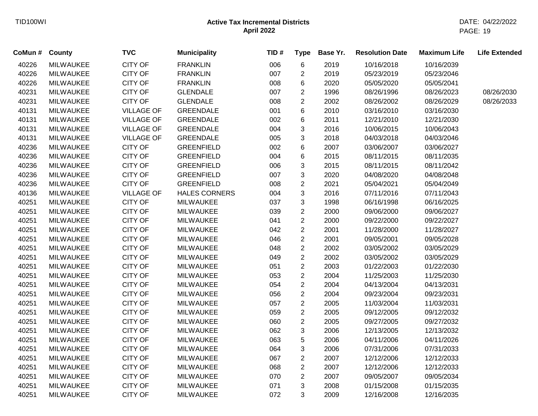| CoMun # | County           | <b>TVC</b>        | <b>Municipality</b>  | TID# | <b>Type</b>               | Base Yr. | <b>Resolution Date</b> | <b>Maximum Life</b> | <b>Life Extended</b> |
|---------|------------------|-------------------|----------------------|------|---------------------------|----------|------------------------|---------------------|----------------------|
| 40226   | <b>MILWAUKEE</b> | <b>CITY OF</b>    | <b>FRANKLIN</b>      | 006  | 6                         | 2019     | 10/16/2018             | 10/16/2039          |                      |
| 40226   | <b>MILWAUKEE</b> | <b>CITY OF</b>    | <b>FRANKLIN</b>      | 007  | $\overline{c}$            | 2019     | 05/23/2019             | 05/23/2046          |                      |
| 40226   | <b>MILWAUKEE</b> | <b>CITY OF</b>    | <b>FRANKLIN</b>      | 008  | 6                         | 2020     | 05/05/2020             | 05/05/2041          |                      |
| 40231   | <b>MILWAUKEE</b> | CITY OF           | <b>GLENDALE</b>      | 007  | $\overline{2}$            | 1996     | 08/26/1996             | 08/26/2023          | 08/26/2030           |
| 40231   | <b>MILWAUKEE</b> | <b>CITY OF</b>    | <b>GLENDALE</b>      | 008  | $\overline{2}$            | 2002     | 08/26/2002             | 08/26/2029          | 08/26/2033           |
| 40131   | <b>MILWAUKEE</b> | <b>VILLAGE OF</b> | <b>GREENDALE</b>     | 001  | 6                         | 2010     | 03/16/2010             | 03/16/2030          |                      |
| 40131   | <b>MILWAUKEE</b> | <b>VILLAGE OF</b> | <b>GREENDALE</b>     | 002  | 6                         | 2011     | 12/21/2010             | 12/21/2030          |                      |
| 40131   | <b>MILWAUKEE</b> | <b>VILLAGE OF</b> | <b>GREENDALE</b>     | 004  | 3                         | 2016     | 10/06/2015             | 10/06/2043          |                      |
| 40131   | <b>MILWAUKEE</b> | <b>VILLAGE OF</b> | <b>GREENDALE</b>     | 005  | 3                         | 2018     | 04/03/2018             | 04/03/2046          |                      |
| 40236   | <b>MILWAUKEE</b> | CITY OF           | <b>GREENFIELD</b>    | 002  | 6                         | 2007     | 03/06/2007             | 03/06/2027          |                      |
| 40236   | MILWAUKEE        | <b>CITY OF</b>    | <b>GREENFIELD</b>    | 004  | 6                         | 2015     | 08/11/2015             | 08/11/2035          |                      |
| 40236   | <b>MILWAUKEE</b> | <b>CITY OF</b>    | <b>GREENFIELD</b>    | 006  | $\ensuremath{\mathsf{3}}$ | 2015     | 08/11/2015             | 08/11/2042          |                      |
| 40236   | MILWAUKEE        | <b>CITY OF</b>    | <b>GREENFIELD</b>    | 007  | 3                         | 2020     | 04/08/2020             | 04/08/2048          |                      |
| 40236   | <b>MILWAUKEE</b> | <b>CITY OF</b>    | <b>GREENFIELD</b>    | 008  | $\overline{2}$            | 2021     | 05/04/2021             | 05/04/2049          |                      |
| 40136   | <b>MILWAUKEE</b> | <b>VILLAGE OF</b> | <b>HALES CORNERS</b> | 004  | 3                         | 2016     | 07/11/2016             | 07/11/2043          |                      |
| 40251   | <b>MILWAUKEE</b> | <b>CITY OF</b>    | <b>MILWAUKEE</b>     | 037  | 3                         | 1998     | 06/16/1998             | 06/16/2025          |                      |
| 40251   | <b>MILWAUKEE</b> | <b>CITY OF</b>    | <b>MILWAUKEE</b>     | 039  | $\overline{c}$            | 2000     | 09/06/2000             | 09/06/2027          |                      |
| 40251   | MILWAUKEE        | <b>CITY OF</b>    | <b>MILWAUKEE</b>     | 041  | $\overline{2}$            | 2000     | 09/22/2000             | 09/22/2027          |                      |
| 40251   | <b>MILWAUKEE</b> | <b>CITY OF</b>    | <b>MILWAUKEE</b>     | 042  | $\overline{2}$            | 2001     | 11/28/2000             | 11/28/2027          |                      |
| 40251   | <b>MILWAUKEE</b> | <b>CITY OF</b>    | <b>MILWAUKEE</b>     | 046  | $\overline{2}$            | 2001     | 09/05/2001             | 09/05/2028          |                      |
| 40251   | <b>MILWAUKEE</b> | <b>CITY OF</b>    | <b>MILWAUKEE</b>     | 048  | $\overline{2}$            | 2002     | 03/05/2002             | 03/05/2029          |                      |
| 40251   | <b>MILWAUKEE</b> | <b>CITY OF</b>    | <b>MILWAUKEE</b>     | 049  | $\overline{c}$            | 2002     | 03/05/2002             | 03/05/2029          |                      |
| 40251   | <b>MILWAUKEE</b> | <b>CITY OF</b>    | <b>MILWAUKEE</b>     | 051  | $\overline{c}$            | 2003     | 01/22/2003             | 01/22/2030          |                      |
| 40251   | <b>MILWAUKEE</b> | CITY OF           | <b>MILWAUKEE</b>     | 053  | $\overline{c}$            | 2004     | 11/25/2003             | 11/25/2030          |                      |
| 40251   | MILWAUKEE        | <b>CITY OF</b>    | <b>MILWAUKEE</b>     | 054  | $\overline{c}$            | 2004     | 04/13/2004             | 04/13/2031          |                      |
| 40251   | <b>MILWAUKEE</b> | <b>CITY OF</b>    | <b>MILWAUKEE</b>     | 056  | $\overline{2}$            | 2004     | 09/23/2004             | 09/23/2031          |                      |
| 40251   | <b>MILWAUKEE</b> | <b>CITY OF</b>    | <b>MILWAUKEE</b>     | 057  | $\overline{2}$            | 2005     | 11/03/2004             | 11/03/2031          |                      |
| 40251   | <b>MILWAUKEE</b> | CITY OF           | <b>MILWAUKEE</b>     | 059  | $\overline{2}$            | 2005     | 09/12/2005             | 09/12/2032          |                      |
| 40251   | <b>MILWAUKEE</b> | <b>CITY OF</b>    | <b>MILWAUKEE</b>     | 060  | $\overline{2}$            | 2005     | 09/27/2005             | 09/27/2032          |                      |
| 40251   | <b>MILWAUKEE</b> | <b>CITY OF</b>    | <b>MILWAUKEE</b>     | 062  | 3                         | 2006     | 12/13/2005             | 12/13/2032          |                      |
| 40251   | <b>MILWAUKEE</b> | <b>CITY OF</b>    | <b>MILWAUKEE</b>     | 063  | 5                         | 2006     | 04/11/2006             | 04/11/2026          |                      |
| 40251   | <b>MILWAUKEE</b> | <b>CITY OF</b>    | <b>MILWAUKEE</b>     | 064  | 3                         | 2006     | 07/31/2006             | 07/31/2033          |                      |
| 40251   | <b>MILWAUKEE</b> | <b>CITY OF</b>    | <b>MILWAUKEE</b>     | 067  | $\overline{2}$            | 2007     | 12/12/2006             | 12/12/2033          |                      |
| 40251   | <b>MILWAUKEE</b> | <b>CITY OF</b>    | <b>MILWAUKEE</b>     | 068  | $\overline{c}$            | 2007     | 12/12/2006             | 12/12/2033          |                      |
| 40251   | <b>MILWAUKEE</b> | <b>CITY OF</b>    | <b>MILWAUKEE</b>     | 070  | $\overline{2}$            | 2007     | 09/05/2007             | 09/05/2034          |                      |
| 40251   | <b>MILWAUKEE</b> | <b>CITY OF</b>    | <b>MILWAUKEE</b>     | 071  | 3                         | 2008     | 01/15/2008             | 01/15/2035          |                      |
| 40251   | <b>MILWAUKEE</b> | <b>CITY OF</b>    | <b>MILWAUKEE</b>     | 072  | 3                         | 2009     | 12/16/2008             | 12/16/2035          |                      |
|         |                  |                   |                      |      |                           |          |                        |                     |                      |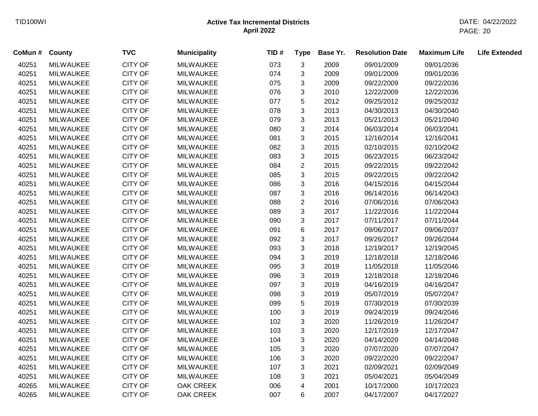| CoMun # | County           | <b>TVC</b>     | <b>Municipality</b> | TID# | <b>Type</b>               | Base Yr. | <b>Resolution Date</b> | <b>Maximum Life</b> | <b>Life Extended</b> |
|---------|------------------|----------------|---------------------|------|---------------------------|----------|------------------------|---------------------|----------------------|
| 40251   | <b>MILWAUKEE</b> | <b>CITY OF</b> | <b>MILWAUKEE</b>    | 073  | 3                         | 2009     | 09/01/2009             | 09/01/2036          |                      |
| 40251   | <b>MILWAUKEE</b> | <b>CITY OF</b> | <b>MILWAUKEE</b>    | 074  | 3                         | 2009     | 09/01/2009             | 09/01/2036          |                      |
| 40251   | <b>MILWAUKEE</b> | <b>CITY OF</b> | <b>MILWAUKEE</b>    | 075  | 3                         | 2009     | 09/22/2009             | 09/22/2036          |                      |
| 40251   | <b>MILWAUKEE</b> | CITY OF        | <b>MILWAUKEE</b>    | 076  | 3                         | 2010     | 12/22/2009             | 12/22/2036          |                      |
| 40251   | <b>MILWAUKEE</b> | <b>CITY OF</b> | <b>MILWAUKEE</b>    | 077  | 5                         | 2012     | 09/25/2012             | 09/25/2032          |                      |
| 40251   | <b>MILWAUKEE</b> | <b>CITY OF</b> | <b>MILWAUKEE</b>    | 078  | $\mathbf{3}$              | 2013     | 04/30/2013             | 04/30/2040          |                      |
| 40251   | <b>MILWAUKEE</b> | CITY OF        | <b>MILWAUKEE</b>    | 079  | 3                         | 2013     | 05/21/2013             | 05/21/2040          |                      |
| 40251   | <b>MILWAUKEE</b> | <b>CITY OF</b> | <b>MILWAUKEE</b>    | 080  | $\mathbf{3}$              | 2014     | 06/03/2014             | 06/03/2041          |                      |
| 40251   | <b>MILWAUKEE</b> | <b>CITY OF</b> | <b>MILWAUKEE</b>    | 081  | $\mathbf{3}$              | 2015     | 12/16/2014             | 12/16/2041          |                      |
| 40251   | <b>MILWAUKEE</b> | CITY OF        | <b>MILWAUKEE</b>    | 082  | $\mathbf{3}$              | 2015     | 02/10/2015             | 02/10/2042          |                      |
| 40251   | <b>MILWAUKEE</b> | <b>CITY OF</b> | <b>MILWAUKEE</b>    | 083  | $\mathfrak{S}$            | 2015     | 06/23/2015             | 06/23/2042          |                      |
| 40251   | <b>MILWAUKEE</b> | <b>CITY OF</b> | <b>MILWAUKEE</b>    | 084  | $\boldsymbol{2}$          | 2015     | 09/22/2015             | 09/22/2042          |                      |
| 40251   | <b>MILWAUKEE</b> | <b>CITY OF</b> | <b>MILWAUKEE</b>    | 085  | 3                         | 2015     | 09/22/2015             | 09/22/2042          |                      |
| 40251   | <b>MILWAUKEE</b> | <b>CITY OF</b> | <b>MILWAUKEE</b>    | 086  | 3                         | 2016     | 04/15/2016             | 04/15/2044          |                      |
| 40251   | <b>MILWAUKEE</b> | <b>CITY OF</b> | <b>MILWAUKEE</b>    | 087  | 3                         | 2016     | 06/14/2016             | 06/14/2043          |                      |
| 40251   | <b>MILWAUKEE</b> | <b>CITY OF</b> | <b>MILWAUKEE</b>    | 088  | $\overline{2}$            | 2016     | 07/06/2016             | 07/06/2043          |                      |
| 40251   | <b>MILWAUKEE</b> | <b>CITY OF</b> | <b>MILWAUKEE</b>    | 089  | 3                         | 2017     | 11/22/2016             | 11/22/2044          |                      |
| 40251   | <b>MILWAUKEE</b> | CITY OF        | <b>MILWAUKEE</b>    | 090  | 3                         | 2017     | 07/11/2017             | 07/11/2044          |                      |
| 40251   | <b>MILWAUKEE</b> | <b>CITY OF</b> | <b>MILWAUKEE</b>    | 091  | 6                         | 2017     | 09/06/2017             | 09/06/2037          |                      |
| 40251   | <b>MILWAUKEE</b> | <b>CITY OF</b> | <b>MILWAUKEE</b>    | 092  | 3                         | 2017     | 09/26/2017             | 09/26/2044          |                      |
| 40251   | <b>MILWAUKEE</b> | <b>CITY OF</b> | <b>MILWAUKEE</b>    | 093  | 3                         | 2018     | 12/19/2017             | 12/19/2045          |                      |
| 40251   | <b>MILWAUKEE</b> | <b>CITY OF</b> | <b>MILWAUKEE</b>    | 094  | 3                         | 2019     | 12/18/2018             | 12/18/2046          |                      |
| 40251   | <b>MILWAUKEE</b> | <b>CITY OF</b> | <b>MILWAUKEE</b>    | 095  | 3                         | 2019     | 11/05/2018             | 11/05/2046          |                      |
| 40251   | <b>MILWAUKEE</b> | CITY OF        | <b>MILWAUKEE</b>    | 096  | 3                         | 2019     | 12/18/2018             | 12/18/2046          |                      |
| 40251   | <b>MILWAUKEE</b> | <b>CITY OF</b> | <b>MILWAUKEE</b>    | 097  | $\mathfrak{S}$            | 2019     | 04/16/2019             | 04/16/2047          |                      |
| 40251   | MILWAUKEE        | <b>CITY OF</b> | <b>MILWAUKEE</b>    | 098  | $\sqrt{3}$                | 2019     | 05/07/2019             | 05/07/2047          |                      |
| 40251   | <b>MILWAUKEE</b> | <b>CITY OF</b> | <b>MILWAUKEE</b>    | 099  | $\sqrt{5}$                | 2019     | 07/30/2019             | 07/30/2039          |                      |
| 40251   | <b>MILWAUKEE</b> | <b>CITY OF</b> | <b>MILWAUKEE</b>    | 100  | $\mathfrak{S}$            | 2019     | 09/24/2019             | 09/24/2046          |                      |
| 40251   | <b>MILWAUKEE</b> | <b>CITY OF</b> | <b>MILWAUKEE</b>    | 102  | $\sqrt{3}$                | 2020     | 11/26/2019             | 11/26/2047          |                      |
| 40251   | <b>MILWAUKEE</b> | <b>CITY OF</b> | <b>MILWAUKEE</b>    | 103  | $\sqrt{3}$                | 2020     | 12/17/2019             | 12/17/2047          |                      |
| 40251   | <b>MILWAUKEE</b> | <b>CITY OF</b> | <b>MILWAUKEE</b>    | 104  | $\ensuremath{\mathsf{3}}$ | 2020     | 04/14/2020             | 04/14/2048          |                      |
| 40251   | <b>MILWAUKEE</b> | <b>CITY OF</b> | <b>MILWAUKEE</b>    | 105  | 3                         | 2020     | 07/07/2020             | 07/07/2047          |                      |
| 40251   | <b>MILWAUKEE</b> | <b>CITY OF</b> | <b>MILWAUKEE</b>    | 106  | 3                         | 2020     | 09/22/2020             | 09/22/2047          |                      |
| 40251   | <b>MILWAUKEE</b> | <b>CITY OF</b> | <b>MILWAUKEE</b>    | 107  | 3                         | 2021     | 02/09/2021             | 02/09/2049          |                      |
| 40251   | <b>MILWAUKEE</b> | <b>CITY OF</b> | <b>MILWAUKEE</b>    | 108  | 3                         | 2021     | 05/04/2021             | 05/04/2049          |                      |
| 40265   | <b>MILWAUKEE</b> | <b>CITY OF</b> | OAK CREEK           | 006  | 4                         | 2001     | 10/17/2000             | 10/17/2023          |                      |
| 40265   | <b>MILWAUKEE</b> | <b>CITY OF</b> | <b>OAK CREEK</b>    | 007  | 6                         | 2007     | 04/17/2007             | 04/17/2027          |                      |
|         |                  |                |                     |      |                           |          |                        |                     |                      |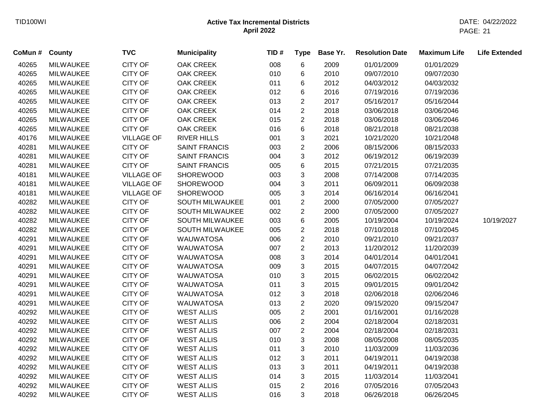| CoMun # County |                  | <b>TVC</b>        | <b>Municipality</b>    | TID# | <b>Type</b>    | Base Yr. | <b>Resolution Date</b> | <b>Maximum Life</b> | <b>Life Extended</b> |
|----------------|------------------|-------------------|------------------------|------|----------------|----------|------------------------|---------------------|----------------------|
| 40265          | <b>MILWAUKEE</b> | <b>CITY OF</b>    | <b>OAK CREEK</b>       | 008  | $\,6$          | 2009     | 01/01/2009             | 01/01/2029          |                      |
| 40265          | <b>MILWAUKEE</b> | <b>CITY OF</b>    | <b>OAK CREEK</b>       | 010  | $\,6$          | 2010     | 09/07/2010             | 09/07/2030          |                      |
| 40265          | <b>MILWAUKEE</b> | <b>CITY OF</b>    | <b>OAK CREEK</b>       | 011  | 6              | 2012     | 04/03/2012             | 04/03/2032          |                      |
| 40265          | <b>MILWAUKEE</b> | <b>CITY OF</b>    | OAK CREEK              | 012  | 6              | 2016     | 07/19/2016             | 07/19/2036          |                      |
| 40265          | <b>MILWAUKEE</b> | <b>CITY OF</b>    | <b>OAK CREEK</b>       | 013  | $\overline{c}$ | 2017     | 05/16/2017             | 05/16/2044          |                      |
| 40265          | <b>MILWAUKEE</b> | <b>CITY OF</b>    | <b>OAK CREEK</b>       | 014  | $\overline{2}$ | 2018     | 03/06/2018             | 03/06/2046          |                      |
| 40265          | <b>MILWAUKEE</b> | <b>CITY OF</b>    | <b>OAK CREEK</b>       | 015  | $\overline{2}$ | 2018     | 03/06/2018             | 03/06/2046          |                      |
| 40265          | MILWAUKEE        | <b>CITY OF</b>    | <b>OAK CREEK</b>       | 016  | $\,6$          | 2018     | 08/21/2018             | 08/21/2038          |                      |
| 40176          | <b>MILWAUKEE</b> | <b>VILLAGE OF</b> | <b>RIVER HILLS</b>     | 001  | 3              | 2021     | 10/21/2020             | 10/21/2048          |                      |
| 40281          | <b>MILWAUKEE</b> | <b>CITY OF</b>    | <b>SAINT FRANCIS</b>   | 003  | $\overline{c}$ | 2006     | 08/15/2006             | 08/15/2033          |                      |
| 40281          | <b>MILWAUKEE</b> | CITY OF           | <b>SAINT FRANCIS</b>   | 004  | 3              | 2012     | 06/19/2012             | 06/19/2039          |                      |
| 40281          | <b>MILWAUKEE</b> | CITY OF           | <b>SAINT FRANCIS</b>   | 005  | 6              | 2015     | 07/21/2015             | 07/21/2035          |                      |
| 40181          | <b>MILWAUKEE</b> | <b>VILLAGE OF</b> | <b>SHOREWOOD</b>       | 003  | 3              | 2008     | 07/14/2008             | 07/14/2035          |                      |
| 40181          | <b>MILWAUKEE</b> | <b>VILLAGE OF</b> | <b>SHOREWOOD</b>       | 004  | 3              | 2011     | 06/09/2011             | 06/09/2038          |                      |
| 40181          | <b>MILWAUKEE</b> | <b>VILLAGE OF</b> | <b>SHOREWOOD</b>       | 005  | 3              | 2014     | 06/16/2014             | 06/16/2041          |                      |
| 40282          | <b>MILWAUKEE</b> | <b>CITY OF</b>    | <b>SOUTH MILWAUKEE</b> | 001  | $\overline{c}$ | 2000     | 07/05/2000             | 07/05/2027          |                      |
| 40282          | <b>MILWAUKEE</b> | <b>CITY OF</b>    | SOUTH MILWAUKEE        | 002  | $\overline{2}$ | 2000     | 07/05/2000             | 07/05/2027          |                      |
| 40282          | <b>MILWAUKEE</b> | <b>CITY OF</b>    | SOUTH MILWAUKEE        | 003  | 6              | 2005     | 10/19/2004             | 10/19/2024          | 10/19/2027           |
| 40282          | <b>MILWAUKEE</b> | CITY OF           | SOUTH MILWAUKEE        | 005  | $\overline{c}$ | 2018     | 07/10/2018             | 07/10/2045          |                      |
| 40291          | <b>MILWAUKEE</b> | <b>CITY OF</b>    | <b>WAUWATOSA</b>       | 006  | $\overline{c}$ | 2010     | 09/21/2010             | 09/21/2037          |                      |
| 40291          | <b>MILWAUKEE</b> | <b>CITY OF</b>    | <b>WAUWATOSA</b>       | 007  | $\overline{c}$ | 2013     | 11/20/2012             | 11/20/2039          |                      |
| 40291          | <b>MILWAUKEE</b> | CITY OF           | <b>WAUWATOSA</b>       | 008  | 3              | 2014     | 04/01/2014             | 04/01/2041          |                      |
| 40291          | <b>MILWAUKEE</b> | CITY OF           | <b>WAUWATOSA</b>       | 009  | 3              | 2015     | 04/07/2015             | 04/07/2042          |                      |
| 40291          | <b>MILWAUKEE</b> | CITY OF           | <b>WAUWATOSA</b>       | 010  | 3              | 2015     | 06/02/2015             | 06/02/2042          |                      |
| 40291          | <b>MILWAUKEE</b> | <b>CITY OF</b>    | <b>WAUWATOSA</b>       | 011  | 3              | 2015     | 09/01/2015             | 09/01/2042          |                      |
| 40291          | <b>MILWAUKEE</b> | <b>CITY OF</b>    | <b>WAUWATOSA</b>       | 012  | 3              | 2018     | 02/06/2018             | 02/06/2046          |                      |
| 40291          | <b>MILWAUKEE</b> | <b>CITY OF</b>    | <b>WAUWATOSA</b>       | 013  | $\overline{c}$ | 2020     | 09/15/2020             | 09/15/2047          |                      |
| 40292          | <b>MILWAUKEE</b> | <b>CITY OF</b>    | <b>WEST ALLIS</b>      | 005  | $\overline{c}$ | 2001     | 01/16/2001             | 01/16/2028          |                      |
| 40292          | <b>MILWAUKEE</b> | CITY OF           | <b>WEST ALLIS</b>      | 006  | $\overline{c}$ | 2004     | 02/18/2004             | 02/18/2031          |                      |
| 40292          | <b>MILWAUKEE</b> | <b>CITY OF</b>    | <b>WEST ALLIS</b>      | 007  | $\overline{2}$ | 2004     | 02/18/2004             | 02/18/2031          |                      |
| 40292          | <b>MILWAUKEE</b> | <b>CITY OF</b>    | <b>WEST ALLIS</b>      | 010  | 3              | 2008     | 08/05/2008             | 08/05/2035          |                      |
| 40292          | <b>MILWAUKEE</b> | <b>CITY OF</b>    | <b>WEST ALLIS</b>      | 011  | 3              | 2010     | 11/03/2009             | 11/03/2036          |                      |
| 40292          | <b>MILWAUKEE</b> | <b>CITY OF</b>    | <b>WEST ALLIS</b>      | 012  | 3              | 2011     | 04/19/2011             | 04/19/2038          |                      |
| 40292          | <b>MILWAUKEE</b> | <b>CITY OF</b>    | <b>WEST ALLIS</b>      | 013  | 3              | 2011     | 04/19/2011             | 04/19/2038          |                      |
| 40292          | <b>MILWAUKEE</b> | <b>CITY OF</b>    | <b>WEST ALLIS</b>      | 014  | 3              | 2015     | 11/03/2014             | 11/03/2041          |                      |
| 40292          | <b>MILWAUKEE</b> | <b>CITY OF</b>    | <b>WEST ALLIS</b>      | 015  | $\overline{2}$ | 2016     | 07/05/2016             | 07/05/2043          |                      |
| 40292          | <b>MILWAUKEE</b> | <b>CITY OF</b>    | <b>WEST ALLIS</b>      | 016  | 3              | 2018     | 06/26/2018             | 06/26/2045          |                      |
|                |                  |                   |                        |      |                |          |                        |                     |                      |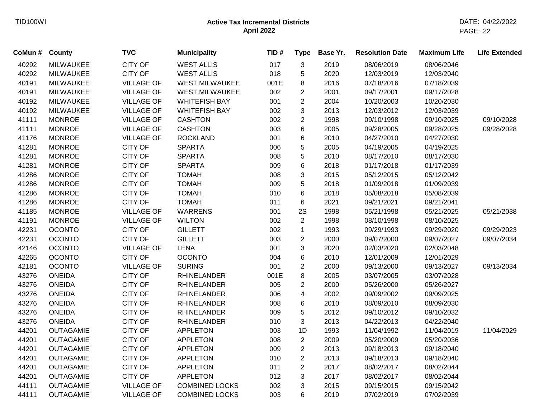| CoMun # | County           | <b>TVC</b>        | <b>Municipality</b>   | TID# | <b>Type</b>    | Base Yr. | <b>Resolution Date</b> | <b>Maximum Life</b> | <b>Life Extended</b> |
|---------|------------------|-------------------|-----------------------|------|----------------|----------|------------------------|---------------------|----------------------|
| 40292   | <b>MILWAUKEE</b> | <b>CITY OF</b>    | <b>WEST ALLIS</b>     | 017  | 3              | 2019     | 08/06/2019             | 08/06/2046          |                      |
| 40292   | <b>MILWAUKEE</b> | <b>CITY OF</b>    | <b>WEST ALLIS</b>     | 018  | 5              | 2020     | 12/03/2019             | 12/03/2040          |                      |
| 40191   | <b>MILWAUKEE</b> | <b>VILLAGE OF</b> | <b>WEST MILWAUKEE</b> | 001E | 8              | 2016     | 07/18/2016             | 07/18/2039          |                      |
| 40191   | <b>MILWAUKEE</b> | <b>VILLAGE OF</b> | WEST MILWAUKEE        | 002  | $\overline{c}$ | 2001     | 09/17/2001             | 09/17/2028          |                      |
| 40192   | <b>MILWAUKEE</b> | <b>VILLAGE OF</b> | <b>WHITEFISH BAY</b>  | 001  | $\overline{2}$ | 2004     | 10/20/2003             | 10/20/2030          |                      |
| 40192   | <b>MILWAUKEE</b> | <b>VILLAGE OF</b> | <b>WHITEFISH BAY</b>  | 002  | 3              | 2013     | 12/03/2012             | 12/03/2039          |                      |
| 41111   | <b>MONROE</b>    | <b>VILLAGE OF</b> | <b>CASHTON</b>        | 002  | $\overline{c}$ | 1998     | 09/10/1998             | 09/10/2025          | 09/10/2028           |
| 41111   | <b>MONROE</b>    | <b>VILLAGE OF</b> | <b>CASHTON</b>        | 003  | 6              | 2005     | 09/28/2005             | 09/28/2025          | 09/28/2028           |
| 41176   | <b>MONROE</b>    | <b>VILLAGE OF</b> | <b>ROCKLAND</b>       | 001  | 6              | 2010     | 04/27/2010             | 04/27/2030          |                      |
| 41281   | <b>MONROE</b>    | <b>CITY OF</b>    | <b>SPARTA</b>         | 006  | 5              | 2005     | 04/19/2005             | 04/19/2025          |                      |
| 41281   | <b>MONROE</b>    | <b>CITY OF</b>    | <b>SPARTA</b>         | 008  | 5              | 2010     | 08/17/2010             | 08/17/2030          |                      |
| 41281   | <b>MONROE</b>    | <b>CITY OF</b>    | <b>SPARTA</b>         | 009  | 6              | 2018     | 01/17/2018             | 01/17/2039          |                      |
| 41286   | <b>MONROE</b>    | <b>CITY OF</b>    | <b>TOMAH</b>          | 008  | 3              | 2015     | 05/12/2015             | 05/12/2042          |                      |
| 41286   | <b>MONROE</b>    | <b>CITY OF</b>    | <b>TOMAH</b>          | 009  | 5              | 2018     | 01/09/2018             | 01/09/2039          |                      |
| 41286   | <b>MONROE</b>    | <b>CITY OF</b>    | <b>TOMAH</b>          | 010  | 6              | 2018     | 05/08/2018             | 05/08/2039          |                      |
| 41286   | <b>MONROE</b>    | <b>CITY OF</b>    | <b>TOMAH</b>          | 011  | 6              | 2021     | 09/21/2021             | 09/21/2041          |                      |
| 41185   | <b>MONROE</b>    | <b>VILLAGE OF</b> | <b>WARRENS</b>        | 001  | 2S             | 1998     | 05/21/1998             | 05/21/2025          | 05/21/2038           |
| 41191   | <b>MONROE</b>    | <b>VILLAGE OF</b> | <b>WILTON</b>         | 002  | $\overline{2}$ | 1998     | 08/10/1998             | 08/10/2025          |                      |
| 42231   | <b>OCONTO</b>    | <b>CITY OF</b>    | <b>GILLETT</b>        | 002  | $\mathbf{1}$   | 1993     | 09/29/1993             | 09/29/2020          | 09/29/2023           |
| 42231   | <b>OCONTO</b>    | <b>CITY OF</b>    | <b>GILLETT</b>        | 003  | $\overline{c}$ | 2000     | 09/07/2000             | 09/07/2027          | 09/07/2034           |
| 42146   | <b>OCONTO</b>    | <b>VILLAGE OF</b> | <b>LENA</b>           | 001  | 3              | 2020     | 02/03/2020             | 02/03/2048          |                      |
| 42265   | <b>OCONTO</b>    | <b>CITY OF</b>    | <b>OCONTO</b>         | 004  | 6              | 2010     | 12/01/2009             | 12/01/2029          |                      |
| 42181   | <b>OCONTO</b>    | <b>VILLAGE OF</b> | <b>SURING</b>         | 001  | $\overline{c}$ | 2000     | 09/13/2000             | 09/13/2027          | 09/13/2034           |
| 43276   | <b>ONEIDA</b>    | <b>CITY OF</b>    | <b>RHINELANDER</b>    | 001E | 8              | 2005     | 03/07/2005             | 03/07/2028          |                      |
| 43276   | <b>ONEIDA</b>    | <b>CITY OF</b>    | <b>RHINELANDER</b>    | 005  | $\overline{c}$ | 2000     | 05/26/2000             | 05/26/2027          |                      |
| 43276   | <b>ONEIDA</b>    | <b>CITY OF</b>    | <b>RHINELANDER</b>    | 006  | 4              | 2002     | 09/09/2002             | 09/09/2025          |                      |
| 43276   | <b>ONEIDA</b>    | <b>CITY OF</b>    | <b>RHINELANDER</b>    | 008  | 6              | 2010     | 08/09/2010             | 08/09/2030          |                      |
| 43276   | <b>ONEIDA</b>    | <b>CITY OF</b>    | <b>RHINELANDER</b>    | 009  | 5              | 2012     | 09/10/2012             | 09/10/2032          |                      |
| 43276   | <b>ONEIDA</b>    | <b>CITY OF</b>    | <b>RHINELANDER</b>    | 010  | 3              | 2013     | 04/22/2013             | 04/22/2040          |                      |
| 44201   | <b>OUTAGAMIE</b> | <b>CITY OF</b>    | <b>APPLETON</b>       | 003  | 1D             | 1993     | 11/04/1992             | 11/04/2019          | 11/04/2029           |
| 44201   | <b>OUTAGAMIE</b> | <b>CITY OF</b>    | <b>APPLETON</b>       | 008  | $\overline{2}$ | 2009     | 05/20/2009             | 05/20/2036          |                      |
| 44201   | <b>OUTAGAMIE</b> | <b>CITY OF</b>    | <b>APPLETON</b>       | 009  | $\overline{c}$ | 2013     | 09/18/2013             | 09/18/2040          |                      |
| 44201   | <b>OUTAGAMIE</b> | <b>CITY OF</b>    | <b>APPLETON</b>       | 010  | $\overline{2}$ | 2013     | 09/18/2013             | 09/18/2040          |                      |
| 44201   | <b>OUTAGAMIE</b> | <b>CITY OF</b>    | <b>APPLETON</b>       | 011  | $\overline{2}$ | 2017     | 08/02/2017             | 08/02/2044          |                      |
| 44201   | <b>OUTAGAMIE</b> | <b>CITY OF</b>    | <b>APPLETON</b>       | 012  | 3              | 2017     | 08/02/2017             | 08/02/2044          |                      |
| 44111   | <b>OUTAGAMIE</b> | <b>VILLAGE OF</b> | <b>COMBINED LOCKS</b> | 002  | 3              | 2015     | 09/15/2015             | 09/15/2042          |                      |
| 44111   | <b>OUTAGAMIE</b> | <b>VILLAGE OF</b> | <b>COMBINED LOCKS</b> | 003  | 6              | 2019     | 07/02/2019             | 07/02/2039          |                      |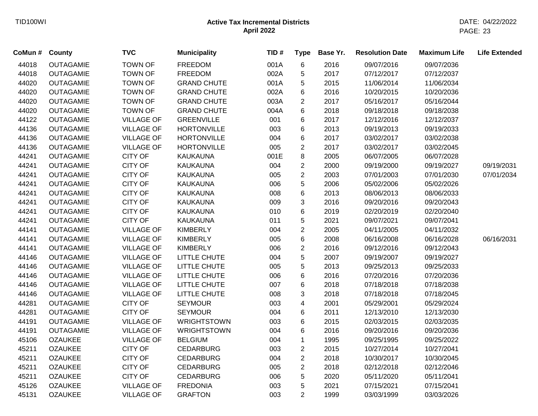| CoMun# | County           | <b>TVC</b>        | <b>Municipality</b> | TID# | <b>Type</b>    | Base Yr. | <b>Resolution Date</b> | <b>Maximum Life</b> | <b>Life Extended</b> |
|--------|------------------|-------------------|---------------------|------|----------------|----------|------------------------|---------------------|----------------------|
| 44018  | <b>OUTAGAMIE</b> | <b>TOWN OF</b>    | <b>FREEDOM</b>      | 001A | 6              | 2016     | 09/07/2016             | 09/07/2036          |                      |
| 44018  | <b>OUTAGAMIE</b> | <b>TOWN OF</b>    | <b>FREEDOM</b>      | 002A | 5              | 2017     | 07/12/2017             | 07/12/2037          |                      |
| 44020  | <b>OUTAGAMIE</b> | <b>TOWN OF</b>    | <b>GRAND CHUTE</b>  | 001A | 5              | 2015     | 11/06/2014             | 11/06/2034          |                      |
| 44020  | <b>OUTAGAMIE</b> | <b>TOWN OF</b>    | <b>GRAND CHUTE</b>  | 002A | 6              | 2016     | 10/20/2015             | 10/20/2036          |                      |
| 44020  | <b>OUTAGAMIE</b> | <b>TOWN OF</b>    | <b>GRAND CHUTE</b>  | 003A | $\overline{c}$ | 2017     | 05/16/2017             | 05/16/2044          |                      |
| 44020  | <b>OUTAGAMIE</b> | <b>TOWN OF</b>    | <b>GRAND CHUTE</b>  | 004A | 6              | 2018     | 09/18/2018             | 09/18/2038          |                      |
| 44122  | <b>OUTAGAMIE</b> | <b>VILLAGE OF</b> | <b>GREENVILLE</b>   | 001  | 6              | 2017     | 12/12/2016             | 12/12/2037          |                      |
| 44136  | <b>OUTAGAMIE</b> | <b>VILLAGE OF</b> | <b>HORTONVILLE</b>  | 003  | 6              | 2013     | 09/19/2013             | 09/19/2033          |                      |
| 44136  | <b>OUTAGAMIE</b> | <b>VILLAGE OF</b> | <b>HORTONVILLE</b>  | 004  | 6              | 2017     | 03/02/2017             | 03/02/2038          |                      |
| 44136  | <b>OUTAGAMIE</b> | <b>VILLAGE OF</b> | <b>HORTONVILLE</b>  | 005  | $\overline{c}$ | 2017     | 03/02/2017             | 03/02/2045          |                      |
| 44241  | <b>OUTAGAMIE</b> | <b>CITY OF</b>    | <b>KAUKAUNA</b>     | 001E | 8              | 2005     | 06/07/2005             | 06/07/2028          |                      |
| 44241  | <b>OUTAGAMIE</b> | <b>CITY OF</b>    | <b>KAUKAUNA</b>     | 004  | $\overline{2}$ | 2000     | 09/19/2000             | 09/19/2027          | 09/19/2031           |
| 44241  | <b>OUTAGAMIE</b> | <b>CITY OF</b>    | <b>KAUKAUNA</b>     | 005  | $\overline{2}$ | 2003     | 07/01/2003             | 07/01/2030          | 07/01/2034           |
| 44241  | <b>OUTAGAMIE</b> | <b>CITY OF</b>    | <b>KAUKAUNA</b>     | 006  | 5              | 2006     | 05/02/2006             | 05/02/2026          |                      |
| 44241  | <b>OUTAGAMIE</b> | CITY OF           | KAUKAUNA            | 008  | 6              | 2013     | 08/06/2013             | 08/06/2033          |                      |
| 44241  | <b>OUTAGAMIE</b> | <b>CITY OF</b>    | <b>KAUKAUNA</b>     | 009  | 3              | 2016     | 09/20/2016             | 09/20/2043          |                      |
| 44241  | <b>OUTAGAMIE</b> | <b>CITY OF</b>    | <b>KAUKAUNA</b>     | 010  | 6              | 2019     | 02/20/2019             | 02/20/2040          |                      |
| 44241  | <b>OUTAGAMIE</b> | <b>CITY OF</b>    | <b>KAUKAUNA</b>     | 011  | 5              | 2021     | 09/07/2021             | 09/07/2041          |                      |
| 44141  | <b>OUTAGAMIE</b> | <b>VILLAGE OF</b> | <b>KIMBERLY</b>     | 004  | $\overline{2}$ | 2005     | 04/11/2005             | 04/11/2032          |                      |
| 44141  | <b>OUTAGAMIE</b> | <b>VILLAGE OF</b> | <b>KIMBERLY</b>     | 005  | 6              | 2008     | 06/16/2008             | 06/16/2028          | 06/16/2031           |
| 44141  | <b>OUTAGAMIE</b> | <b>VILLAGE OF</b> | <b>KIMBERLY</b>     | 006  | $\overline{2}$ | 2016     | 09/12/2016             | 09/12/2043          |                      |
| 44146  | <b>OUTAGAMIE</b> | <b>VILLAGE OF</b> | LITTLE CHUTE        | 004  | 5              | 2007     | 09/19/2007             | 09/19/2027          |                      |
| 44146  | <b>OUTAGAMIE</b> | <b>VILLAGE OF</b> | LITTLE CHUTE        | 005  | 5              | 2013     | 09/25/2013             | 09/25/2033          |                      |
| 44146  | <b>OUTAGAMIE</b> | <b>VILLAGE OF</b> | LITTLE CHUTE        | 006  | 6              | 2016     | 07/20/2016             | 07/20/2036          |                      |
| 44146  | <b>OUTAGAMIE</b> | <b>VILLAGE OF</b> | LITTLE CHUTE        | 007  | 6              | 2018     | 07/18/2018             | 07/18/2038          |                      |
| 44146  | <b>OUTAGAMIE</b> | <b>VILLAGE OF</b> | LITTLE CHUTE        | 008  | 3              | 2018     | 07/18/2018             | 07/18/2045          |                      |
| 44281  | <b>OUTAGAMIE</b> | <b>CITY OF</b>    | <b>SEYMOUR</b>      | 003  | 4              | 2001     | 05/29/2001             | 05/29/2024          |                      |
| 44281  | <b>OUTAGAMIE</b> | <b>CITY OF</b>    | <b>SEYMOUR</b>      | 004  | 6              | 2011     | 12/13/2010             | 12/13/2030          |                      |
| 44191  | <b>OUTAGAMIE</b> | <b>VILLAGE OF</b> | <b>WRIGHTSTOWN</b>  | 003  | 6              | 2015     | 02/03/2015             | 02/03/2035          |                      |
| 44191  | <b>OUTAGAMIE</b> | <b>VILLAGE OF</b> | <b>WRIGHTSTOWN</b>  | 004  | 6              | 2016     | 09/20/2016             | 09/20/2036          |                      |
| 45106  | <b>OZAUKEE</b>   | <b>VILLAGE OF</b> | <b>BELGIUM</b>      | 004  | $\mathbf 1$    | 1995     | 09/25/1995             | 09/25/2022          |                      |
| 45211  | <b>OZAUKEE</b>   | <b>CITY OF</b>    | <b>CEDARBURG</b>    | 003  | $\overline{2}$ | 2015     | 10/27/2014             | 10/27/2041          |                      |
| 45211  | <b>OZAUKEE</b>   | <b>CITY OF</b>    | <b>CEDARBURG</b>    | 004  | $\overline{2}$ | 2018     | 10/30/2017             | 10/30/2045          |                      |
| 45211  | <b>OZAUKEE</b>   | <b>CITY OF</b>    | <b>CEDARBURG</b>    | 005  | $\overline{2}$ | 2018     | 02/12/2018             | 02/12/2046          |                      |
| 45211  | <b>OZAUKEE</b>   | <b>CITY OF</b>    | <b>CEDARBURG</b>    | 006  | 5              | 2020     | 05/11/2020             | 05/11/2041          |                      |
| 45126  | <b>OZAUKEE</b>   | <b>VILLAGE OF</b> | <b>FREDONIA</b>     | 003  | 5              | 2021     | 07/15/2021             | 07/15/2041          |                      |
| 45131  | <b>OZAUKEE</b>   | <b>VILLAGE OF</b> | <b>GRAFTON</b>      | 003  | $\overline{2}$ | 1999     | 03/03/1999             | 03/03/2026          |                      |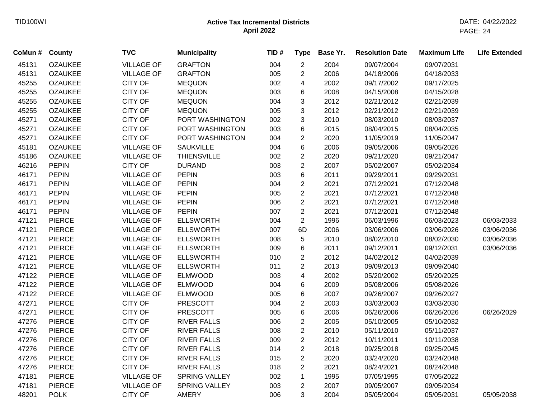| CoMun # County |                | <b>TVC</b>        | <b>Municipality</b>  | TID# | <b>Type</b>    | Base Yr. | <b>Resolution Date</b> | <b>Maximum Life</b> | <b>Life Extended</b> |
|----------------|----------------|-------------------|----------------------|------|----------------|----------|------------------------|---------------------|----------------------|
| 45131          | <b>OZAUKEE</b> | <b>VILLAGE OF</b> | <b>GRAFTON</b>       | 004  | $\overline{c}$ | 2004     | 09/07/2004             | 09/07/2031          |                      |
| 45131          | <b>OZAUKEE</b> | <b>VILLAGE OF</b> | <b>GRAFTON</b>       | 005  | $\overline{c}$ | 2006     | 04/18/2006             | 04/18/2033          |                      |
| 45255          | <b>OZAUKEE</b> | <b>CITY OF</b>    | <b>MEQUON</b>        | 002  | 4              | 2002     | 09/17/2002             | 09/17/2025          |                      |
| 45255          | <b>OZAUKEE</b> | <b>CITY OF</b>    | <b>MEQUON</b>        | 003  | 6              | 2008     | 04/15/2008             | 04/15/2028          |                      |
| 45255          | <b>OZAUKEE</b> | <b>CITY OF</b>    | <b>MEQUON</b>        | 004  | 3              | 2012     | 02/21/2012             | 02/21/2039          |                      |
| 45255          | <b>OZAUKEE</b> | <b>CITY OF</b>    | <b>MEQUON</b>        | 005  | 3              | 2012     | 02/21/2012             | 02/21/2039          |                      |
| 45271          | <b>OZAUKEE</b> | <b>CITY OF</b>    | PORT WASHINGTON      | 002  | 3              | 2010     | 08/03/2010             | 08/03/2037          |                      |
| 45271          | <b>OZAUKEE</b> | <b>CITY OF</b>    | PORT WASHINGTON      | 003  | 6              | 2015     | 08/04/2015             | 08/04/2035          |                      |
| 45271          | <b>OZAUKEE</b> | <b>CITY OF</b>    | PORT WASHINGTON      | 004  | $\overline{2}$ | 2020     | 11/05/2019             | 11/05/2047          |                      |
| 45181          | <b>OZAUKEE</b> | <b>VILLAGE OF</b> | <b>SAUKVILLE</b>     | 004  | 6              | 2006     | 09/05/2006             | 09/05/2026          |                      |
| 45186          | <b>OZAUKEE</b> | <b>VILLAGE OF</b> | <b>THIENSVILLE</b>   | 002  | $\overline{2}$ | 2020     | 09/21/2020             | 09/21/2047          |                      |
| 46216          | <b>PEPIN</b>   | <b>CITY OF</b>    | <b>DURAND</b>        | 003  | $\overline{2}$ | 2007     | 05/02/2007             | 05/02/2034          |                      |
| 46171          | <b>PEPIN</b>   | <b>VILLAGE OF</b> | <b>PEPIN</b>         | 003  | 6              | 2011     | 09/29/2011             | 09/29/2031          |                      |
| 46171          | <b>PEPIN</b>   | <b>VILLAGE OF</b> | <b>PEPIN</b>         | 004  | $\overline{c}$ | 2021     | 07/12/2021             | 07/12/2048          |                      |
| 46171          | <b>PEPIN</b>   | <b>VILLAGE OF</b> | <b>PEPIN</b>         | 005  | $\overline{2}$ | 2021     | 07/12/2021             | 07/12/2048          |                      |
| 46171          | <b>PEPIN</b>   | <b>VILLAGE OF</b> | <b>PEPIN</b>         | 006  | $\overline{2}$ | 2021     | 07/12/2021             | 07/12/2048          |                      |
| 46171          | <b>PEPIN</b>   | <b>VILLAGE OF</b> | <b>PEPIN</b>         | 007  | $\overline{2}$ | 2021     | 07/12/2021             | 07/12/2048          |                      |
| 47121          | <b>PIERCE</b>  | <b>VILLAGE OF</b> | <b>ELLSWORTH</b>     | 004  | $\overline{c}$ | 1996     | 06/03/1996             | 06/03/2023          | 06/03/2033           |
| 47121          | <b>PIERCE</b>  | <b>VILLAGE OF</b> | <b>ELLSWORTH</b>     | 007  | 6D             | 2006     | 03/06/2006             | 03/06/2026          | 03/06/2036           |
| 47121          | <b>PIERCE</b>  | <b>VILLAGE OF</b> | <b>ELLSWORTH</b>     | 008  | 5              | 2010     | 08/02/2010             | 08/02/2030          | 03/06/2036           |
| 47121          | <b>PIERCE</b>  | <b>VILLAGE OF</b> | <b>ELLSWORTH</b>     | 009  | 6              | 2011     | 09/12/2011             | 09/12/2031          | 03/06/2036           |
| 47121          | <b>PIERCE</b>  | <b>VILLAGE OF</b> | <b>ELLSWORTH</b>     | 010  | $\overline{2}$ | 2012     | 04/02/2012             | 04/02/2039          |                      |
| 47121          | <b>PIERCE</b>  | <b>VILLAGE OF</b> | <b>ELLSWORTH</b>     | 011  | $\overline{c}$ | 2013     | 09/09/2013             | 09/09/2040          |                      |
| 47122          | <b>PIERCE</b>  | <b>VILLAGE OF</b> | <b>ELMWOOD</b>       | 003  | 4              | 2002     | 05/20/2002             | 05/20/2025          |                      |
| 47122          | <b>PIERCE</b>  | <b>VILLAGE OF</b> | <b>ELMWOOD</b>       | 004  | 6              | 2009     | 05/08/2006             | 05/08/2026          |                      |
| 47122          | <b>PIERCE</b>  | <b>VILLAGE OF</b> | <b>ELMWOOD</b>       | 005  | 6              | 2007     | 09/26/2007             | 09/26/2027          |                      |
| 47271          | <b>PIERCE</b>  | <b>CITY OF</b>    | <b>PRESCOTT</b>      | 004  | $\overline{2}$ | 2003     | 03/03/2003             | 03/03/2030          |                      |
| 47271          | <b>PIERCE</b>  | <b>CITY OF</b>    | <b>PRESCOTT</b>      | 005  | 6              | 2006     | 06/26/2006             | 06/26/2026          | 06/26/2029           |
| 47276          | <b>PIERCE</b>  | CITY OF           | <b>RIVER FALLS</b>   | 006  | $\overline{2}$ | 2005     | 05/10/2005             | 05/10/2032          |                      |
| 47276          | <b>PIERCE</b>  | CITY OF           | <b>RIVER FALLS</b>   | 008  | $\overline{c}$ | 2010     | 05/11/2010             | 05/11/2037          |                      |
| 47276          | <b>PIERCE</b>  | CITY OF           | <b>RIVER FALLS</b>   | 009  | $\overline{2}$ | 2012     | 10/11/2011             | 10/11/2038          |                      |
| 47276          | <b>PIERCE</b>  | <b>CITY OF</b>    | <b>RIVER FALLS</b>   | 014  | $\overline{2}$ | 2018     | 09/25/2018             | 09/25/2045          |                      |
| 47276          | <b>PIERCE</b>  | <b>CITY OF</b>    | <b>RIVER FALLS</b>   | 015  | $\overline{2}$ | 2020     | 03/24/2020             | 03/24/2048          |                      |
| 47276          | <b>PIERCE</b>  | <b>CITY OF</b>    | <b>RIVER FALLS</b>   | 018  | $\overline{2}$ | 2021     | 08/24/2021             | 08/24/2048          |                      |
| 47181          | <b>PIERCE</b>  | <b>VILLAGE OF</b> | <b>SPRING VALLEY</b> | 002  | $\mathbf{1}$   | 1995     | 07/05/1995             | 07/05/2022          |                      |
| 47181          | <b>PIERCE</b>  | <b>VILLAGE OF</b> | <b>SPRING VALLEY</b> | 003  | $\overline{2}$ | 2007     | 09/05/2007             | 09/05/2034          |                      |
| 48201          | <b>POLK</b>    | <b>CITY OF</b>    | <b>AMERY</b>         | 006  | 3              | 2004     | 05/05/2004             | 05/05/2031          | 05/05/2038           |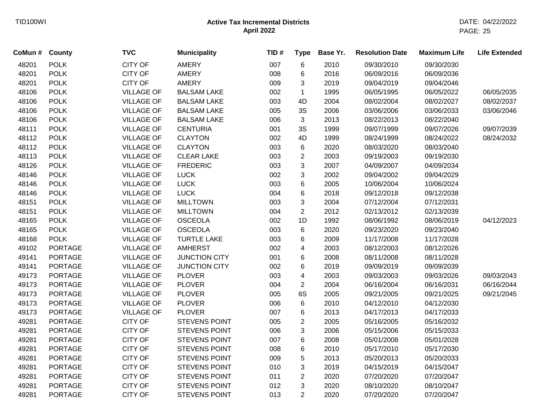| CoMun # County |                | <b>TVC</b>        | <b>Municipality</b>  | TID# | <b>Type</b>    | Base Yr. | <b>Resolution Date</b> | <b>Maximum Life</b> | <b>Life Extended</b> |
|----------------|----------------|-------------------|----------------------|------|----------------|----------|------------------------|---------------------|----------------------|
| 48201          | <b>POLK</b>    | CITY OF           | <b>AMERY</b>         | 007  | 6              | 2010     | 09/30/2010             | 09/30/2030          |                      |
| 48201          | <b>POLK</b>    | CITY OF           | <b>AMERY</b>         | 008  | 6              | 2016     | 06/09/2016             | 06/09/2036          |                      |
| 48201          | <b>POLK</b>    | <b>CITY OF</b>    | <b>AMERY</b>         | 009  | 3              | 2019     | 09/04/2019             | 09/04/2046          |                      |
| 48106          | <b>POLK</b>    | <b>VILLAGE OF</b> | <b>BALSAM LAKE</b>   | 002  | $\mathbf{1}$   | 1995     | 06/05/1995             | 06/05/2022          | 06/05/2035           |
| 48106          | <b>POLK</b>    | <b>VILLAGE OF</b> | <b>BALSAM LAKE</b>   | 003  | 4D             | 2004     | 08/02/2004             | 08/02/2027          | 08/02/2037           |
| 48106          | <b>POLK</b>    | <b>VILLAGE OF</b> | <b>BALSAM LAKE</b>   | 005  | 3S             | 2006     | 03/06/2006             | 03/06/2033          | 03/06/2046           |
| 48106          | <b>POLK</b>    | <b>VILLAGE OF</b> | <b>BALSAM LAKE</b>   | 006  | 3              | 2013     | 08/22/2013             | 08/22/2040          |                      |
| 48111          | <b>POLK</b>    | <b>VILLAGE OF</b> | <b>CENTURIA</b>      | 001  | 3S             | 1999     | 09/07/1999             | 09/07/2026          | 09/07/2039           |
| 48112          | <b>POLK</b>    | <b>VILLAGE OF</b> | <b>CLAYTON</b>       | 002  | 4D             | 1999     | 08/24/1999             | 08/24/2022          | 08/24/2032           |
| 48112          | <b>POLK</b>    | <b>VILLAGE OF</b> | <b>CLAYTON</b>       | 003  | $\,6$          | 2020     | 08/03/2020             | 08/03/2040          |                      |
| 48113          | <b>POLK</b>    | <b>VILLAGE OF</b> | <b>CLEAR LAKE</b>    | 003  | $\overline{c}$ | 2003     | 09/19/2003             | 09/19/2030          |                      |
| 48126          | <b>POLK</b>    | <b>VILLAGE OF</b> | <b>FREDERIC</b>      | 003  | 3              | 2007     | 04/09/2007             | 04/09/2034          |                      |
| 48146          | <b>POLK</b>    | <b>VILLAGE OF</b> | <b>LUCK</b>          | 002  | 3              | 2002     | 09/04/2002             | 09/04/2029          |                      |
| 48146          | <b>POLK</b>    | <b>VILLAGE OF</b> | <b>LUCK</b>          | 003  | 6              | 2005     | 10/06/2004             | 10/06/2024          |                      |
| 48146          | <b>POLK</b>    | <b>VILLAGE OF</b> | <b>LUCK</b>          | 004  | 6              | 2018     | 09/12/2018             | 09/12/2038          |                      |
| 48151          | <b>POLK</b>    | <b>VILLAGE OF</b> | <b>MILLTOWN</b>      | 003  | 3              | 2004     | 07/12/2004             | 07/12/2031          |                      |
| 48151          | <b>POLK</b>    | <b>VILLAGE OF</b> | <b>MILLTOWN</b>      | 004  | $\overline{2}$ | 2012     | 02/13/2012             | 02/13/2039          |                      |
| 48165          | <b>POLK</b>    | <b>VILLAGE OF</b> | <b>OSCEOLA</b>       | 002  | 1D             | 1992     | 08/06/1992             | 08/06/2019          | 04/12/2023           |
| 48165          | <b>POLK</b>    | <b>VILLAGE OF</b> | <b>OSCEOLA</b>       | 003  | 6              | 2020     | 09/23/2020             | 09/23/2040          |                      |
| 48168          | <b>POLK</b>    | <b>VILLAGE OF</b> | <b>TURTLE LAKE</b>   | 003  | 6              | 2009     | 11/17/2008             | 11/17/2028          |                      |
| 49102          | <b>PORTAGE</b> | <b>VILLAGE OF</b> | <b>AMHERST</b>       | 002  | 4              | 2003     | 08/12/2003             | 08/12/2026          |                      |
| 49141          | <b>PORTAGE</b> | <b>VILLAGE OF</b> | <b>JUNCTION CITY</b> | 001  | 6              | 2008     | 08/11/2008             | 08/11/2028          |                      |
| 49141          | <b>PORTAGE</b> | <b>VILLAGE OF</b> | <b>JUNCTION CITY</b> | 002  | 6              | 2019     | 09/09/2019             | 09/09/2039          |                      |
| 49173          | <b>PORTAGE</b> | <b>VILLAGE OF</b> | <b>PLOVER</b>        | 003  | 4              | 2003     | 09/03/2003             | 09/03/2026          | 09/03/2043           |
| 49173          | <b>PORTAGE</b> | <b>VILLAGE OF</b> | <b>PLOVER</b>        | 004  | $\overline{c}$ | 2004     | 06/16/2004             | 06/16/2031          | 06/16/2044           |
| 49173          | <b>PORTAGE</b> | <b>VILLAGE OF</b> | <b>PLOVER</b>        | 005  | 6S             | 2005     | 09/21/2005             | 09/21/2025          | 09/21/2045           |
| 49173          | <b>PORTAGE</b> | <b>VILLAGE OF</b> | <b>PLOVER</b>        | 006  | 6              | 2010     | 04/12/2010             | 04/12/2030          |                      |
| 49173          | <b>PORTAGE</b> | <b>VILLAGE OF</b> | <b>PLOVER</b>        | 007  | 6              | 2013     | 04/17/2013             | 04/17/2033          |                      |
| 49281          | <b>PORTAGE</b> | <b>CITY OF</b>    | STEVENS POINT        | 005  | $\overline{2}$ | 2005     | 05/16/2005             | 05/16/2032          |                      |
| 49281          | <b>PORTAGE</b> | <b>CITY OF</b>    | STEVENS POINT        | 006  | 3              | 2006     | 05/15/2006             | 05/15/2033          |                      |
| 49281          | <b>PORTAGE</b> | <b>CITY OF</b>    | STEVENS POINT        | 007  | 6              | 2008     | 05/01/2008             | 05/01/2028          |                      |
| 49281          | <b>PORTAGE</b> | <b>CITY OF</b>    | STEVENS POINT        | 008  | 6              | 2010     | 05/17/2010             | 05/17/2030          |                      |
| 49281          | <b>PORTAGE</b> | CITY OF           | STEVENS POINT        | 009  | 5              | 2013     | 05/20/2013             | 05/20/2033          |                      |
| 49281          | <b>PORTAGE</b> | CITY OF           | STEVENS POINT        | 010  | 3              | 2019     | 04/15/2019             | 04/15/2047          |                      |
| 49281          | PORTAGE        | <b>CITY OF</b>    | STEVENS POINT        | 011  | 2              | 2020     | 07/20/2020             | 07/20/2047          |                      |
| 49281          | <b>PORTAGE</b> | <b>CITY OF</b>    | STEVENS POINT        | 012  | 3              | 2020     | 08/10/2020             | 08/10/2047          |                      |
| 49281          | <b>PORTAGE</b> | <b>CITY OF</b>    | <b>STEVENS POINT</b> | 013  | $\overline{2}$ | 2020     | 07/20/2020             | 07/20/2047          |                      |
|                |                |                   |                      |      |                |          |                        |                     |                      |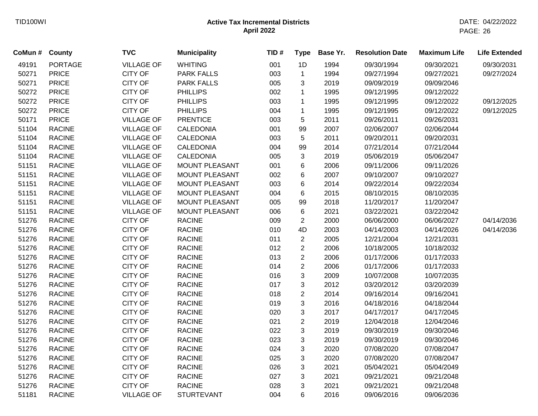| CoMun # County |                | <b>TVC</b>        | <b>Municipality</b>   | TID# | <b>Type</b>    | Base Yr. | <b>Resolution Date</b> | <b>Maximum Life</b> | <b>Life Extended</b> |
|----------------|----------------|-------------------|-----------------------|------|----------------|----------|------------------------|---------------------|----------------------|
| 49191          | <b>PORTAGE</b> | <b>VILLAGE OF</b> | <b>WHITING</b>        | 001  | 1D             | 1994     | 09/30/1994             | 09/30/2021          | 09/30/2031           |
| 50271          | <b>PRICE</b>   | <b>CITY OF</b>    | <b>PARK FALLS</b>     | 003  | $\mathbf{1}$   | 1994     | 09/27/1994             | 09/27/2021          | 09/27/2024           |
| 50271          | <b>PRICE</b>   | CITY OF           | <b>PARK FALLS</b>     | 005  | 3              | 2019     | 09/09/2019             | 09/09/2046          |                      |
| 50272          | <b>PRICE</b>   | <b>CITY OF</b>    | <b>PHILLIPS</b>       | 002  | $\mathbf 1$    | 1995     | 09/12/1995             | 09/12/2022          |                      |
| 50272          | <b>PRICE</b>   | CITY OF           | <b>PHILLIPS</b>       | 003  | $\mathbf{1}$   | 1995     | 09/12/1995             | 09/12/2022          | 09/12/2025           |
| 50272          | <b>PRICE</b>   | CITY OF           | <b>PHILLIPS</b>       | 004  | $\mathbf{1}$   | 1995     | 09/12/1995             | 09/12/2022          | 09/12/2025           |
| 50171          | <b>PRICE</b>   | <b>VILLAGE OF</b> | <b>PRENTICE</b>       | 003  | 5              | 2011     | 09/26/2011             | 09/26/2031          |                      |
| 51104          | <b>RACINE</b>  | <b>VILLAGE OF</b> | <b>CALEDONIA</b>      | 001  | 99             | 2007     | 02/06/2007             | 02/06/2044          |                      |
| 51104          | <b>RACINE</b>  | <b>VILLAGE OF</b> | <b>CALEDONIA</b>      | 003  | 5              | 2011     | 09/20/2011             | 09/20/2031          |                      |
| 51104          | <b>RACINE</b>  | <b>VILLAGE OF</b> | CALEDONIA             | 004  | 99             | 2014     | 07/21/2014             | 07/21/2044          |                      |
| 51104          | <b>RACINE</b>  | <b>VILLAGE OF</b> | CALEDONIA             | 005  | 3              | 2019     | 05/06/2019             | 05/06/2047          |                      |
| 51151          | <b>RACINE</b>  | <b>VILLAGE OF</b> | <b>MOUNT PLEASANT</b> | 001  | 6              | 2006     | 09/11/2006             | 09/11/2026          |                      |
| 51151          | <b>RACINE</b>  | <b>VILLAGE OF</b> | MOUNT PLEASANT        | 002  | 6              | 2007     | 09/10/2007             | 09/10/2027          |                      |
| 51151          | <b>RACINE</b>  | <b>VILLAGE OF</b> | MOUNT PLEASANT        | 003  | 6              | 2014     | 09/22/2014             | 09/22/2034          |                      |
| 51151          | <b>RACINE</b>  | <b>VILLAGE OF</b> | MOUNT PLEASANT        | 004  | 6              | 2015     | 08/10/2015             | 08/10/2035          |                      |
| 51151          | <b>RACINE</b>  | <b>VILLAGE OF</b> | MOUNT PLEASANT        | 005  | 99             | 2018     | 11/20/2017             | 11/20/2047          |                      |
| 51151          | <b>RACINE</b>  | <b>VILLAGE OF</b> | <b>MOUNT PLEASANT</b> | 006  | 6              | 2021     | 03/22/2021             | 03/22/2042          |                      |
| 51276          | <b>RACINE</b>  | <b>CITY OF</b>    | <b>RACINE</b>         | 009  | $\overline{2}$ | 2000     | 06/06/2000             | 06/06/2027          | 04/14/2036           |
| 51276          | <b>RACINE</b>  | CITY OF           | <b>RACINE</b>         | 010  | 4D             | 2003     | 04/14/2003             | 04/14/2026          | 04/14/2036           |
| 51276          | <b>RACINE</b>  | <b>CITY OF</b>    | <b>RACINE</b>         | 011  | $\overline{2}$ | 2005     | 12/21/2004             | 12/21/2031          |                      |
| 51276          | <b>RACINE</b>  | CITY OF           | <b>RACINE</b>         | 012  | $\overline{2}$ | 2006     | 10/18/2005             | 10/18/2032          |                      |
| 51276          | <b>RACINE</b>  | CITY OF           | <b>RACINE</b>         | 013  | $\overline{c}$ | 2006     | 01/17/2006             | 01/17/2033          |                      |
| 51276          | <b>RACINE</b>  | CITY OF           | <b>RACINE</b>         | 014  | $\overline{c}$ | 2006     | 01/17/2006             | 01/17/2033          |                      |
| 51276          | <b>RACINE</b>  | CITY OF           | <b>RACINE</b>         | 016  | 3              | 2009     | 10/07/2008             | 10/07/2035          |                      |
| 51276          | <b>RACINE</b>  | CITY OF           | <b>RACINE</b>         | 017  | 3              | 2012     | 03/20/2012             | 03/20/2039          |                      |
| 51276          | <b>RACINE</b>  | CITY OF           | <b>RACINE</b>         | 018  | $\overline{c}$ | 2014     | 09/16/2014             | 09/16/2041          |                      |
| 51276          | <b>RACINE</b>  | CITY OF           | <b>RACINE</b>         | 019  | 3              | 2016     | 04/18/2016             | 04/18/2044          |                      |
| 51276          | <b>RACINE</b>  | <b>CITY OF</b>    | <b>RACINE</b>         | 020  | 3              | 2017     | 04/17/2017             | 04/17/2045          |                      |
| 51276          | <b>RACINE</b>  | CITY OF           | <b>RACINE</b>         | 021  | $\overline{2}$ | 2019     | 12/04/2018             | 12/04/2046          |                      |
| 51276          | <b>RACINE</b>  | <b>CITY OF</b>    | <b>RACINE</b>         | 022  | $\mathbf{3}$   | 2019     | 09/30/2019             | 09/30/2046          |                      |
| 51276          | <b>RACINE</b>  | CITY OF           | <b>RACINE</b>         | 023  | $\sqrt{3}$     | 2019     | 09/30/2019             | 09/30/2046          |                      |
| 51276          | <b>RACINE</b>  | <b>CITY OF</b>    | <b>RACINE</b>         | 024  | $\mathbf{3}$   | 2020     | 07/08/2020             | 07/08/2047          |                      |
| 51276          | <b>RACINE</b>  | <b>CITY OF</b>    | <b>RACINE</b>         | 025  | 3              | 2020     | 07/08/2020             | 07/08/2047          |                      |
| 51276          | <b>RACINE</b>  | <b>CITY OF</b>    | <b>RACINE</b>         | 026  | 3              | 2021     | 05/04/2021             | 05/04/2049          |                      |
| 51276          | <b>RACINE</b>  | CITY OF           | <b>RACINE</b>         | 027  | 3              | 2021     | 09/21/2021             | 09/21/2048          |                      |
| 51276          | <b>RACINE</b>  | <b>CITY OF</b>    | <b>RACINE</b>         | 028  | 3              | 2021     | 09/21/2021             | 09/21/2048          |                      |
| 51181          | <b>RACINE</b>  | <b>VILLAGE OF</b> | <b>STURTEVANT</b>     | 004  | 6              | 2016     | 09/06/2016             | 09/06/2036          |                      |
|                |                |                   |                       |      |                |          |                        |                     |                      |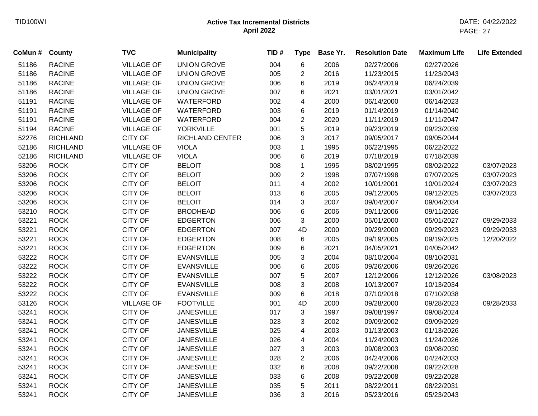| CoMun # County |                 | <b>TVC</b>        | <b>Municipality</b>    | TID# | <b>Type</b>             | Base Yr. | <b>Resolution Date</b> | <b>Maximum Life</b> | <b>Life Extended</b> |
|----------------|-----------------|-------------------|------------------------|------|-------------------------|----------|------------------------|---------------------|----------------------|
| 51186          | <b>RACINE</b>   | <b>VILLAGE OF</b> | <b>UNION GROVE</b>     | 004  | 6                       | 2006     | 02/27/2006             | 02/27/2026          |                      |
| 51186          | <b>RACINE</b>   | <b>VILLAGE OF</b> | <b>UNION GROVE</b>     | 005  | $\mathbf{2}$            | 2016     | 11/23/2015             | 11/23/2043          |                      |
| 51186          | <b>RACINE</b>   | <b>VILLAGE OF</b> | <b>UNION GROVE</b>     | 006  | 6                       | 2019     | 06/24/2019             | 06/24/2039          |                      |
| 51186          | <b>RACINE</b>   | <b>VILLAGE OF</b> | <b>UNION GROVE</b>     | 007  | 6                       | 2021     | 03/01/2021             | 03/01/2042          |                      |
| 51191          | <b>RACINE</b>   | <b>VILLAGE OF</b> | WATERFORD              | 002  | $\overline{\mathbf{4}}$ | 2000     | 06/14/2000             | 06/14/2023          |                      |
| 51191          | <b>RACINE</b>   | <b>VILLAGE OF</b> | WATERFORD              | 003  | 6                       | 2019     | 01/14/2019             | 01/14/2040          |                      |
| 51191          | <b>RACINE</b>   | <b>VILLAGE OF</b> | WATERFORD              | 004  | $\overline{2}$          | 2020     | 11/11/2019             | 11/11/2047          |                      |
| 51194          | <b>RACINE</b>   | <b>VILLAGE OF</b> | <b>YORKVILLE</b>       | 001  | 5                       | 2019     | 09/23/2019             | 09/23/2039          |                      |
| 52276          | <b>RICHLAND</b> | <b>CITY OF</b>    | <b>RICHLAND CENTER</b> | 006  | 3                       | 2017     | 09/05/2017             | 09/05/2044          |                      |
| 52186          | <b>RICHLAND</b> | <b>VILLAGE OF</b> | <b>VIOLA</b>           | 003  | $\mathbf{1}$            | 1995     | 06/22/1995             | 06/22/2022          |                      |
| 52186          | <b>RICHLAND</b> | <b>VILLAGE OF</b> | <b>VIOLA</b>           | 006  | 6                       | 2019     | 07/18/2019             | 07/18/2039          |                      |
| 53206          | <b>ROCK</b>     | <b>CITY OF</b>    | <b>BELOIT</b>          | 008  | $\mathbf{1}$            | 1995     | 08/02/1995             | 08/02/2022          | 03/07/2023           |
| 53206          | <b>ROCK</b>     | <b>CITY OF</b>    | <b>BELOIT</b>          | 009  | $\overline{2}$          | 1998     | 07/07/1998             | 07/07/2025          | 03/07/2023           |
| 53206          | <b>ROCK</b>     | <b>CITY OF</b>    | <b>BELOIT</b>          | 011  | $\overline{\mathbf{4}}$ | 2002     | 10/01/2001             | 10/01/2024          | 03/07/2023           |
| 53206          | <b>ROCK</b>     | <b>CITY OF</b>    | <b>BELOIT</b>          | 013  | 6                       | 2005     | 09/12/2005             | 09/12/2025          | 03/07/2023           |
| 53206          | <b>ROCK</b>     | <b>CITY OF</b>    | <b>BELOIT</b>          | 014  | 3                       | 2007     | 09/04/2007             | 09/04/2034          |                      |
| 53210          | <b>ROCK</b>     | <b>CITY OF</b>    | <b>BRODHEAD</b>        | 006  | 6                       | 2006     | 09/11/2006             | 09/11/2026          |                      |
| 53221          | <b>ROCK</b>     | <b>CITY OF</b>    | <b>EDGERTON</b>        | 006  | 3                       | 2000     | 05/01/2000             | 05/01/2027          | 09/29/2033           |
| 53221          | <b>ROCK</b>     | <b>CITY OF</b>    | <b>EDGERTON</b>        | 007  | 4D                      | 2000     | 09/29/2000             | 09/29/2023          | 09/29/2033           |
| 53221          | <b>ROCK</b>     | <b>CITY OF</b>    | <b>EDGERTON</b>        | 008  | 6                       | 2005     | 09/19/2005             | 09/19/2025          | 12/20/2022           |
| 53221          | <b>ROCK</b>     | CITY OF           | <b>EDGERTON</b>        | 009  | 6                       | 2021     | 04/05/2021             | 04/05/2042          |                      |
| 53222          | <b>ROCK</b>     | <b>CITY OF</b>    | <b>EVANSVILLE</b>      | 005  | 3                       | 2004     | 08/10/2004             | 08/10/2031          |                      |
| 53222          | <b>ROCK</b>     | <b>CITY OF</b>    | <b>EVANSVILLE</b>      | 006  | 6                       | 2006     | 09/26/2006             | 09/26/2026          |                      |
| 53222          | <b>ROCK</b>     | CITY OF           | <b>EVANSVILLE</b>      | 007  | 5                       | 2007     | 12/12/2006             | 12/12/2026          | 03/08/2023           |
| 53222          | <b>ROCK</b>     | <b>CITY OF</b>    | <b>EVANSVILLE</b>      | 008  | 3                       | 2008     | 10/13/2007             | 10/13/2034          |                      |
| 53222          | <b>ROCK</b>     | <b>CITY OF</b>    | <b>EVANSVILLE</b>      | 009  | 6                       | 2018     | 07/10/2018             | 07/10/2038          |                      |
| 53126          | <b>ROCK</b>     | <b>VILLAGE OF</b> | <b>FOOTVILLE</b>       | 001  | 4D                      | 2000     | 09/28/2000             | 09/28/2023          | 09/28/2033           |
| 53241          | <b>ROCK</b>     | <b>CITY OF</b>    | <b>JANESVILLE</b>      | 017  | 3                       | 1997     | 09/08/1997             | 09/08/2024          |                      |
| 53241          | <b>ROCK</b>     | <b>CITY OF</b>    | <b>JANESVILLE</b>      | 023  | 3                       | 2002     | 09/09/2002             | 09/09/2029          |                      |
| 53241          | <b>ROCK</b>     | <b>CITY OF</b>    | <b>JANESVILLE</b>      | 025  | $\overline{\mathbf{4}}$ | 2003     | 01/13/2003             | 01/13/2026          |                      |
| 53241          | <b>ROCK</b>     | <b>CITY OF</b>    | <b>JANESVILLE</b>      | 026  | 4                       | 2004     | 11/24/2003             | 11/24/2026          |                      |
| 53241          | <b>ROCK</b>     | <b>CITY OF</b>    | <b>JANESVILLE</b>      | 027  | 3                       | 2003     | 09/08/2003             | 09/08/2030          |                      |
| 53241          | <b>ROCK</b>     | <b>CITY OF</b>    | <b>JANESVILLE</b>      | 028  | $\overline{2}$          | 2006     | 04/24/2006             | 04/24/2033          |                      |
| 53241          | <b>ROCK</b>     | <b>CITY OF</b>    | <b>JANESVILLE</b>      | 032  | 6                       | 2008     | 09/22/2008             | 09/22/2028          |                      |
| 53241          | <b>ROCK</b>     | <b>CITY OF</b>    | <b>JANESVILLE</b>      | 033  | 6                       | 2008     | 09/22/2008             | 09/22/2028          |                      |
| 53241          | <b>ROCK</b>     | <b>CITY OF</b>    | <b>JANESVILLE</b>      | 035  | 5                       | 2011     | 08/22/2011             | 08/22/2031          |                      |
| 53241          | <b>ROCK</b>     | <b>CITY OF</b>    | <b>JANESVILLE</b>      | 036  | 3                       | 2016     | 05/23/2016             | 05/23/2043          |                      |
|                |                 |                   |                        |      |                         |          |                        |                     |                      |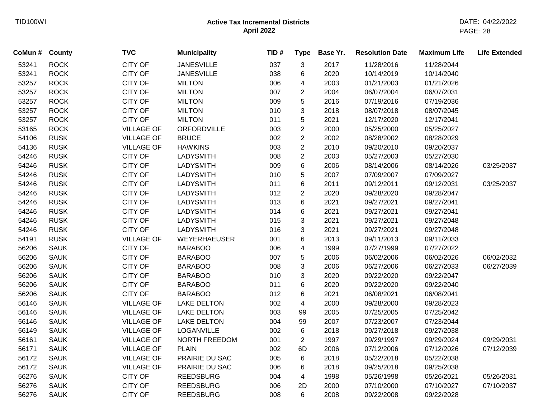| CoMun # | County      | <b>TVC</b>        | <b>Municipality</b> | TID# | <b>Type</b>    | Base Yr. | <b>Resolution Date</b> | <b>Maximum Life</b> | <b>Life Extended</b> |
|---------|-------------|-------------------|---------------------|------|----------------|----------|------------------------|---------------------|----------------------|
| 53241   | <b>ROCK</b> | <b>CITY OF</b>    | <b>JANESVILLE</b>   | 037  | 3              | 2017     | 11/28/2016             | 11/28/2044          |                      |
| 53241   | <b>ROCK</b> | <b>CITY OF</b>    | <b>JANESVILLE</b>   | 038  | 6              | 2020     | 10/14/2019             | 10/14/2040          |                      |
| 53257   | <b>ROCK</b> | <b>CITY OF</b>    | <b>MILTON</b>       | 006  | 4              | 2003     | 01/21/2003             | 01/21/2026          |                      |
| 53257   | <b>ROCK</b> | <b>CITY OF</b>    | <b>MILTON</b>       | 007  | $\overline{2}$ | 2004     | 06/07/2004             | 06/07/2031          |                      |
| 53257   | <b>ROCK</b> | <b>CITY OF</b>    | <b>MILTON</b>       | 009  | 5              | 2016     | 07/19/2016             | 07/19/2036          |                      |
| 53257   | <b>ROCK</b> | <b>CITY OF</b>    | <b>MILTON</b>       | 010  | 3              | 2018     | 08/07/2018             | 08/07/2045          |                      |
| 53257   | <b>ROCK</b> | <b>CITY OF</b>    | <b>MILTON</b>       | 011  | 5              | 2021     | 12/17/2020             | 12/17/2041          |                      |
| 53165   | <b>ROCK</b> | <b>VILLAGE OF</b> | ORFORDVILLE         | 003  | $\overline{2}$ | 2000     | 05/25/2000             | 05/25/2027          |                      |
| 54106   | <b>RUSK</b> | <b>VILLAGE OF</b> | <b>BRUCE</b>        | 002  | $\overline{c}$ | 2002     | 08/28/2002             | 08/28/2029          |                      |
| 54136   | <b>RUSK</b> | <b>VILLAGE OF</b> | <b>HAWKINS</b>      | 003  | $\overline{c}$ | 2010     | 09/20/2010             | 09/20/2037          |                      |
| 54246   | <b>RUSK</b> | <b>CITY OF</b>    | <b>LADYSMITH</b>    | 008  | $\overline{2}$ | 2003     | 05/27/2003             | 05/27/2030          |                      |
| 54246   | <b>RUSK</b> | <b>CITY OF</b>    | <b>LADYSMITH</b>    | 009  | 6              | 2006     | 08/14/2006             | 08/14/2026          | 03/25/2037           |
| 54246   | <b>RUSK</b> | <b>CITY OF</b>    | <b>LADYSMITH</b>    | 010  | 5              | 2007     | 07/09/2007             | 07/09/2027          |                      |
| 54246   | <b>RUSK</b> | <b>CITY OF</b>    | <b>LADYSMITH</b>    | 011  | 6              | 2011     | 09/12/2011             | 09/12/2031          | 03/25/2037           |
| 54246   | <b>RUSK</b> | <b>CITY OF</b>    | <b>LADYSMITH</b>    | 012  | $\overline{c}$ | 2020     | 09/28/2020             | 09/28/2047          |                      |
| 54246   | <b>RUSK</b> | <b>CITY OF</b>    | <b>LADYSMITH</b>    | 013  | 6              | 2021     | 09/27/2021             | 09/27/2041          |                      |
| 54246   | <b>RUSK</b> | <b>CITY OF</b>    | <b>LADYSMITH</b>    | 014  | 6              | 2021     | 09/27/2021             | 09/27/2041          |                      |
| 54246   | <b>RUSK</b> | <b>CITY OF</b>    | <b>LADYSMITH</b>    | 015  | 3              | 2021     | 09/27/2021             | 09/27/2048          |                      |
| 54246   | <b>RUSK</b> | <b>CITY OF</b>    | <b>LADYSMITH</b>    | 016  | 3              | 2021     | 09/27/2021             | 09/27/2048          |                      |
| 54191   | <b>RUSK</b> | <b>VILLAGE OF</b> | <b>WEYERHAEUSER</b> | 001  | 6              | 2013     | 09/11/2013             | 09/11/2033          |                      |
| 56206   | <b>SAUK</b> | <b>CITY OF</b>    | <b>BARABOO</b>      | 006  | 4              | 1999     | 07/27/1999             | 07/27/2022          |                      |
| 56206   | <b>SAUK</b> | <b>CITY OF</b>    | <b>BARABOO</b>      | 007  | 5              | 2006     | 06/02/2006             | 06/02/2026          | 06/02/2032           |
| 56206   | <b>SAUK</b> | <b>CITY OF</b>    | <b>BARABOO</b>      | 008  | 3              | 2006     | 06/27/2006             | 06/27/2033          | 06/27/2039           |
| 56206   | <b>SAUK</b> | <b>CITY OF</b>    | <b>BARABOO</b>      | 010  | 3              | 2020     | 09/22/2020             | 09/22/2047          |                      |
| 56206   | <b>SAUK</b> | <b>CITY OF</b>    | <b>BARABOO</b>      | 011  | 6              | 2020     | 09/22/2020             | 09/22/2040          |                      |
| 56206   | <b>SAUK</b> | <b>CITY OF</b>    | <b>BARABOO</b>      | 012  | 6              | 2021     | 06/08/2021             | 06/08/2041          |                      |
| 56146   | <b>SAUK</b> | <b>VILLAGE OF</b> | <b>LAKE DELTON</b>  | 002  | 4              | 2000     | 09/28/2000             | 09/28/2023          |                      |
| 56146   | <b>SAUK</b> | <b>VILLAGE OF</b> | <b>LAKE DELTON</b>  | 003  | 99             | 2005     | 07/25/2005             | 07/25/2042          |                      |
| 56146   | <b>SAUK</b> | <b>VILLAGE OF</b> | <b>LAKE DELTON</b>  | 004  | 99             | 2007     | 07/23/2007             | 07/23/2044          |                      |
| 56149   | <b>SAUK</b> | <b>VILLAGE OF</b> | LOGANVILLE          | 002  | 6              | 2018     | 09/27/2018             | 09/27/2038          |                      |
| 56161   | <b>SAUK</b> | <b>VILLAGE OF</b> | NORTH FREEDOM       | 001  | $\overline{2}$ | 1997     | 09/29/1997             | 09/29/2024          | 09/29/2031           |
| 56171   | <b>SAUK</b> | <b>VILLAGE OF</b> | <b>PLAIN</b>        | 002  | 6D             | 2006     | 07/12/2006             | 07/12/2026          | 07/12/2039           |
| 56172   | <b>SAUK</b> | <b>VILLAGE OF</b> | PRAIRIE DU SAC      | 005  | 6              | 2018     | 05/22/2018             | 05/22/2038          |                      |
| 56172   | <b>SAUK</b> | <b>VILLAGE OF</b> | PRAIRIE DU SAC      | 006  | 6              | 2018     | 09/25/2018             | 09/25/2038          |                      |
| 56276   | <b>SAUK</b> | <b>CITY OF</b>    | <b>REEDSBURG</b>    | 004  | 4              | 1998     | 05/26/1998             | 05/26/2021          | 05/26/2031           |
| 56276   | <b>SAUK</b> | <b>CITY OF</b>    | <b>REEDSBURG</b>    | 006  | 2D             | 2000     | 07/10/2000             | 07/10/2027          | 07/10/2037           |
| 56276   | <b>SAUK</b> | <b>CITY OF</b>    | <b>REEDSBURG</b>    | 008  | 6              | 2008     | 09/22/2008             | 09/22/2028          |                      |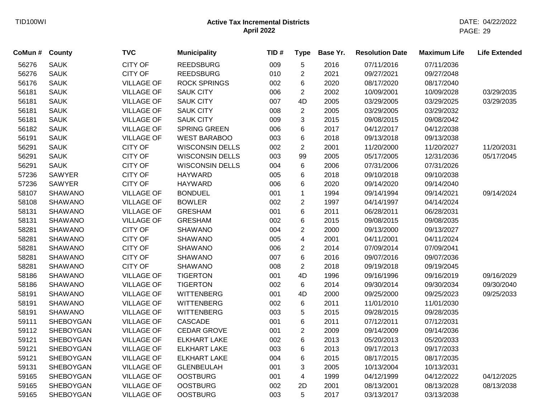| CoMun # | <b>County</b>    | <b>TVC</b>        | <b>Municipality</b>    | TID# | <b>Type</b>    | Base Yr. | <b>Resolution Date</b> | <b>Maximum Life</b> | <b>Life Extended</b> |
|---------|------------------|-------------------|------------------------|------|----------------|----------|------------------------|---------------------|----------------------|
| 56276   | <b>SAUK</b>      | <b>CITY OF</b>    | <b>REEDSBURG</b>       | 009  | $\sqrt{5}$     | 2016     | 07/11/2016             | 07/11/2036          |                      |
| 56276   | <b>SAUK</b>      | <b>CITY OF</b>    | <b>REEDSBURG</b>       | 010  | $\overline{c}$ | 2021     | 09/27/2021             | 09/27/2048          |                      |
| 56176   | <b>SAUK</b>      | <b>VILLAGE OF</b> | <b>ROCK SPRINGS</b>    | 002  | 6              | 2020     | 08/17/2020             | 08/17/2040          |                      |
| 56181   | <b>SAUK</b>      | <b>VILLAGE OF</b> | <b>SAUK CITY</b>       | 006  | $\overline{2}$ | 2002     | 10/09/2001             | 10/09/2028          | 03/29/2035           |
| 56181   | <b>SAUK</b>      | <b>VILLAGE OF</b> | <b>SAUK CITY</b>       | 007  | 4D             | 2005     | 03/29/2005             | 03/29/2025          | 03/29/2035           |
| 56181   | <b>SAUK</b>      | <b>VILLAGE OF</b> | <b>SAUK CITY</b>       | 008  | $\overline{2}$ | 2005     | 03/29/2005             | 03/29/2032          |                      |
| 56181   | <b>SAUK</b>      | <b>VILLAGE OF</b> | <b>SAUK CITY</b>       | 009  | 3              | 2015     | 09/08/2015             | 09/08/2042          |                      |
| 56182   | <b>SAUK</b>      | <b>VILLAGE OF</b> | <b>SPRING GREEN</b>    | 006  | $\,6$          | 2017     | 04/12/2017             | 04/12/2038          |                      |
| 56191   | <b>SAUK</b>      | <b>VILLAGE OF</b> | <b>WEST BARABOO</b>    | 003  | 6              | 2018     | 09/13/2018             | 09/13/2038          |                      |
| 56291   | <b>SAUK</b>      | <b>CITY OF</b>    | <b>WISCONSIN DELLS</b> | 002  | $\overline{2}$ | 2001     | 11/20/2000             | 11/20/2027          | 11/20/2031           |
| 56291   | <b>SAUK</b>      | <b>CITY OF</b>    | <b>WISCONSIN DELLS</b> | 003  | 99             | 2005     | 05/17/2005             | 12/31/2036          | 05/17/2045           |
| 56291   | <b>SAUK</b>      | <b>CITY OF</b>    | <b>WISCONSIN DELLS</b> | 004  | $\,6\,$        | 2006     | 07/31/2006             | 07/31/2026          |                      |
| 57236   | <b>SAWYER</b>    | <b>CITY OF</b>    | <b>HAYWARD</b>         | 005  | 6              | 2018     | 09/10/2018             | 09/10/2038          |                      |
| 57236   | <b>SAWYER</b>    | <b>CITY OF</b>    | <b>HAYWARD</b>         | 006  | 6              | 2020     | 09/14/2020             | 09/14/2040          |                      |
| 58107   | <b>SHAWANO</b>   | <b>VILLAGE OF</b> | <b>BONDUEL</b>         | 001  | $\mathbf{1}$   | 1994     | 09/14/1994             | 09/14/2021          | 09/14/2024           |
| 58108   | <b>SHAWANO</b>   | <b>VILLAGE OF</b> | <b>BOWLER</b>          | 002  | $\overline{2}$ | 1997     | 04/14/1997             | 04/14/2024          |                      |
| 58131   | SHAWANO          | <b>VILLAGE OF</b> | <b>GRESHAM</b>         | 001  | 6              | 2011     | 06/28/2011             | 06/28/2031          |                      |
| 58131   | <b>SHAWANO</b>   | <b>VILLAGE OF</b> | <b>GRESHAM</b>         | 002  | 6              | 2015     | 09/08/2015             | 09/08/2035          |                      |
| 58281   | <b>SHAWANO</b>   | <b>CITY OF</b>    | <b>SHAWANO</b>         | 004  | $\overline{2}$ | 2000     | 09/13/2000             | 09/13/2027          |                      |
| 58281   | <b>SHAWANO</b>   | <b>CITY OF</b>    | <b>SHAWANO</b>         | 005  | 4              | 2001     | 04/11/2001             | 04/11/2024          |                      |
| 58281   | <b>SHAWANO</b>   | <b>CITY OF</b>    | <b>SHAWANO</b>         | 006  | $\overline{c}$ | 2014     | 07/09/2014             | 07/09/2041          |                      |
| 58281   | <b>SHAWANO</b>   | <b>CITY OF</b>    | <b>SHAWANO</b>         | 007  | 6              | 2016     | 09/07/2016             | 09/07/2036          |                      |
| 58281   | <b>SHAWANO</b>   | <b>CITY OF</b>    | <b>SHAWANO</b>         | 008  | $\overline{c}$ | 2018     | 09/19/2018             | 09/19/2045          |                      |
| 58186   | <b>SHAWANO</b>   | <b>VILLAGE OF</b> | <b>TIGERTON</b>        | 001  | 4D             | 1996     | 09/16/1996             | 09/16/2019          | 09/16/2029           |
| 58186   | <b>SHAWANO</b>   | <b>VILLAGE OF</b> | <b>TIGERTON</b>        | 002  | $\,6$          | 2014     | 09/30/2014             | 09/30/2034          | 09/30/2040           |
| 58191   | <b>SHAWANO</b>   | <b>VILLAGE OF</b> | <b>WITTENBERG</b>      | 001  | 4D             | 2000     | 09/25/2000             | 09/25/2023          | 09/25/2033           |
| 58191   | <b>SHAWANO</b>   | <b>VILLAGE OF</b> | <b>WITTENBERG</b>      | 002  | 6              | 2011     | 11/01/2010             | 11/01/2030          |                      |
| 58191   | <b>SHAWANO</b>   | <b>VILLAGE OF</b> | <b>WITTENBERG</b>      | 003  | 5              | 2015     | 09/28/2015             | 09/28/2035          |                      |
| 59111   | SHEBOYGAN        | <b>VILLAGE OF</b> | <b>CASCADE</b>         | 001  | $\,6$          | 2011     | 07/12/2011             | 07/12/2031          |                      |
| 59112   | SHEBOYGAN        | <b>VILLAGE OF</b> | <b>CEDAR GROVE</b>     | 001  | $\overline{c}$ | 2009     | 09/14/2009             | 09/14/2036          |                      |
| 59121   | <b>SHEBOYGAN</b> | <b>VILLAGE OF</b> | <b>ELKHART LAKE</b>    | 002  | 6              | 2013     | 05/20/2013             | 05/20/2033          |                      |
| 59121   | SHEBOYGAN        | <b>VILLAGE OF</b> | <b>ELKHART LAKE</b>    | 003  | 6              | 2013     | 09/17/2013             | 09/17/2033          |                      |
| 59121   | SHEBOYGAN        | <b>VILLAGE OF</b> | <b>ELKHART LAKE</b>    | 004  | 6              | 2015     | 08/17/2015             | 08/17/2035          |                      |
| 59131   | SHEBOYGAN        | <b>VILLAGE OF</b> | <b>GLENBEULAH</b>      | 001  | 3              | 2005     | 10/13/2004             | 10/13/2031          |                      |
| 59165   | SHEBOYGAN        | <b>VILLAGE OF</b> | <b>OOSTBURG</b>        | 001  | 4              | 1999     | 04/12/1999             | 04/12/2022          | 04/12/2025           |
| 59165   | SHEBOYGAN        | <b>VILLAGE OF</b> | <b>OOSTBURG</b>        | 002  | 2D             | 2001     | 08/13/2001             | 08/13/2028          | 08/13/2038           |
| 59165   | <b>SHEBOYGAN</b> | <b>VILLAGE OF</b> | <b>OOSTBURG</b>        | 003  | 5              | 2017     | 03/13/2017             | 03/13/2038          |                      |
|         |                  |                   |                        |      |                |          |                        |                     |                      |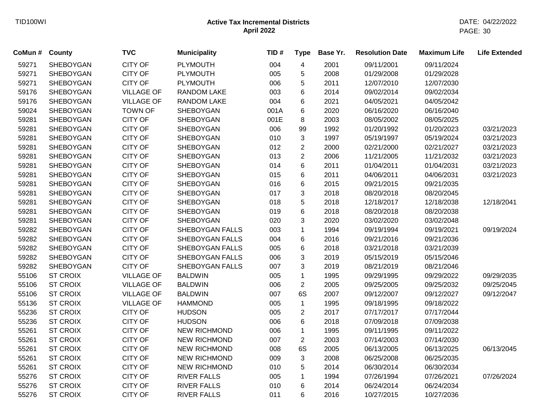| CoMun # | County           | <b>TVC</b>        | <b>Municipality</b>    | TID# | <b>Type</b>    | Base Yr. | <b>Resolution Date</b> | <b>Maximum Life</b> | <b>Life Extended</b> |
|---------|------------------|-------------------|------------------------|------|----------------|----------|------------------------|---------------------|----------------------|
| 59271   | <b>SHEBOYGAN</b> | <b>CITY OF</b>    | <b>PLYMOUTH</b>        | 004  | 4              | 2001     | 09/11/2001             | 09/11/2024          |                      |
| 59271   | <b>SHEBOYGAN</b> | <b>CITY OF</b>    | <b>PLYMOUTH</b>        | 005  | 5              | 2008     | 01/29/2008             | 01/29/2028          |                      |
| 59271   | SHEBOYGAN        | <b>CITY OF</b>    | <b>PLYMOUTH</b>        | 006  | 5              | 2011     | 12/07/2010             | 12/07/2030          |                      |
| 59176   | <b>SHEBOYGAN</b> | <b>VILLAGE OF</b> | <b>RANDOM LAKE</b>     | 003  | 6              | 2014     | 09/02/2014             | 09/02/2034          |                      |
| 59176   | <b>SHEBOYGAN</b> | <b>VILLAGE OF</b> | RANDOM LAKE            | 004  | 6              | 2021     | 04/05/2021             | 04/05/2042          |                      |
| 59024   | <b>SHEBOYGAN</b> | <b>TOWN OF</b>    | SHEBOYGAN              | 001A | 6              | 2020     | 06/16/2020             | 06/16/2040          |                      |
| 59281   | <b>SHEBOYGAN</b> | <b>CITY OF</b>    | <b>SHEBOYGAN</b>       | 001E | 8              | 2003     | 08/05/2002             | 08/05/2025          |                      |
| 59281   | SHEBOYGAN        | <b>CITY OF</b>    | SHEBOYGAN              | 006  | 99             | 1992     | 01/20/1992             | 01/20/2023          | 03/21/2023           |
| 59281   | <b>SHEBOYGAN</b> | <b>CITY OF</b>    | <b>SHEBOYGAN</b>       | 010  | 3              | 1997     | 05/19/1997             | 05/19/2024          | 03/21/2023           |
| 59281   | <b>SHEBOYGAN</b> | <b>CITY OF</b>    | <b>SHEBOYGAN</b>       | 012  | $\overline{2}$ | 2000     | 02/21/2000             | 02/21/2027          | 03/21/2023           |
| 59281   | <b>SHEBOYGAN</b> | <b>CITY OF</b>    | SHEBOYGAN              | 013  | $\overline{2}$ | 2006     | 11/21/2005             | 11/21/2032          | 03/21/2023           |
| 59281   | <b>SHEBOYGAN</b> | <b>CITY OF</b>    | SHEBOYGAN              | 014  | 6              | 2011     | 01/04/2011             | 01/04/2031          | 03/21/2023           |
| 59281   | <b>SHEBOYGAN</b> | <b>CITY OF</b>    | SHEBOYGAN              | 015  | 6              | 2011     | 04/06/2011             | 04/06/2031          | 03/21/2023           |
| 59281   | <b>SHEBOYGAN</b> | <b>CITY OF</b>    | SHEBOYGAN              | 016  | 6              | 2015     | 09/21/2015             | 09/21/2035          |                      |
| 59281   | <b>SHEBOYGAN</b> | <b>CITY OF</b>    | SHEBOYGAN              | 017  | 3              | 2018     | 08/20/2018             | 08/20/2045          |                      |
| 59281   | <b>SHEBOYGAN</b> | <b>CITY OF</b>    | SHEBOYGAN              | 018  | 5              | 2018     | 12/18/2017             | 12/18/2038          | 12/18/2041           |
| 59281   | <b>SHEBOYGAN</b> | <b>CITY OF</b>    | SHEBOYGAN              | 019  | 6              | 2018     | 08/20/2018             | 08/20/2038          |                      |
| 59281   | SHEBOYGAN        | <b>CITY OF</b>    | SHEBOYGAN              | 020  | 3              | 2020     | 03/02/2020             | 03/02/2048          |                      |
| 59282   | <b>SHEBOYGAN</b> | <b>CITY OF</b>    | SHEBOYGAN FALLS        | 003  | $\mathbf 1$    | 1994     | 09/19/1994             | 09/19/2021          | 09/19/2024           |
| 59282   | <b>SHEBOYGAN</b> | <b>CITY OF</b>    | SHEBOYGAN FALLS        | 004  | 6              | 2016     | 09/21/2016             | 09/21/2036          |                      |
| 59282   | <b>SHEBOYGAN</b> | <b>CITY OF</b>    | SHEBOYGAN FALLS        | 005  | 6              | 2018     | 03/21/2018             | 03/21/2039          |                      |
| 59282   | <b>SHEBOYGAN</b> | <b>CITY OF</b>    | SHEBOYGAN FALLS        | 006  | 3              | 2019     | 05/15/2019             | 05/15/2046          |                      |
| 59282   | SHEBOYGAN        | <b>CITY OF</b>    | <b>SHEBOYGAN FALLS</b> | 007  | 3              | 2019     | 08/21/2019             | 08/21/2046          |                      |
| 55106   | <b>ST CROIX</b>  | <b>VILLAGE OF</b> | <b>BALDWIN</b>         | 005  | 1              | 1995     | 09/29/1995             | 09/29/2022          | 09/29/2035           |
| 55106   | <b>ST CROIX</b>  | <b>VILLAGE OF</b> | <b>BALDWIN</b>         | 006  | $\overline{2}$ | 2005     | 09/25/2005             | 09/25/2032          | 09/25/2045           |
| 55106   | <b>ST CROIX</b>  | <b>VILLAGE OF</b> | <b>BALDWIN</b>         | 007  | 6S             | 2007     | 09/12/2007             | 09/12/2027          | 09/12/2047           |
| 55136   | <b>ST CROIX</b>  | <b>VILLAGE OF</b> | <b>HAMMOND</b>         | 005  | $\mathbf{1}$   | 1995     | 09/18/1995             | 09/18/2022          |                      |
| 55236   | <b>ST CROIX</b>  | <b>CITY OF</b>    | <b>HUDSON</b>          | 005  | $\overline{c}$ | 2017     | 07/17/2017             | 07/17/2044          |                      |
| 55236   | <b>ST CROIX</b>  | <b>CITY OF</b>    | <b>HUDSON</b>          | 006  | 6              | 2018     | 07/09/2018             | 07/09/2038          |                      |
| 55261   | <b>ST CROIX</b>  | <b>CITY OF</b>    | <b>NEW RICHMOND</b>    | 006  | $\mathbf 1$    | 1995     | 09/11/1995             | 09/11/2022          |                      |
| 55261   | <b>ST CROIX</b>  | <b>CITY OF</b>    | <b>NEW RICHMOND</b>    | 007  | $\overline{2}$ | 2003     | 07/14/2003             | 07/14/2030          |                      |
| 55261   | <b>ST CROIX</b>  | <b>CITY OF</b>    | <b>NEW RICHMOND</b>    | 008  | 6S             | 2005     | 06/13/2005             | 06/13/2025          | 06/13/2045           |
| 55261   | <b>ST CROIX</b>  | <b>CITY OF</b>    | <b>NEW RICHMOND</b>    | 009  | 3              | 2008     | 06/25/2008             | 06/25/2035          |                      |
| 55261   | <b>ST CROIX</b>  | <b>CITY OF</b>    | <b>NEW RICHMOND</b>    | 010  | 5              | 2014     | 06/30/2014             | 06/30/2034          |                      |
| 55276   | <b>ST CROIX</b>  | <b>CITY OF</b>    | <b>RIVER FALLS</b>     | 005  | $\mathbf{1}$   | 1994     | 07/26/1994             | 07/26/2021          | 07/26/2024           |
| 55276   | <b>ST CROIX</b>  | <b>CITY OF</b>    | <b>RIVER FALLS</b>     | 010  | 6              | 2014     | 06/24/2014             | 06/24/2034          |                      |
| 55276   | <b>ST CROIX</b>  | <b>CITY OF</b>    | <b>RIVER FALLS</b>     | 011  | 6              | 2016     | 10/27/2015             | 10/27/2036          |                      |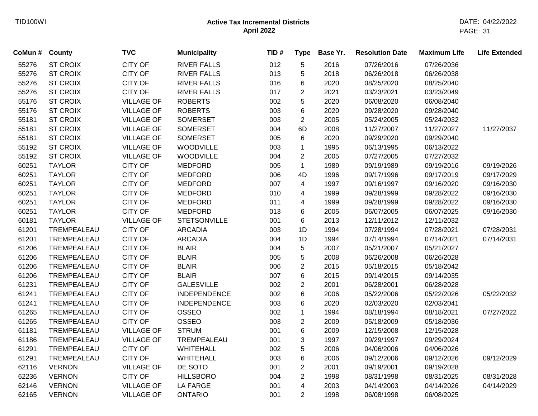| CoMun # | <b>County</b>   | <b>TVC</b>        | <b>Municipality</b> | TID# | <b>Type</b>    | Base Yr. | <b>Resolution Date</b> | <b>Maximum Life</b> | <b>Life Extended</b> |
|---------|-----------------|-------------------|---------------------|------|----------------|----------|------------------------|---------------------|----------------------|
| 55276   | <b>ST CROIX</b> | <b>CITY OF</b>    | <b>RIVER FALLS</b>  | 012  | 5              | 2016     | 07/26/2016             | 07/26/2036          |                      |
| 55276   | <b>ST CROIX</b> | <b>CITY OF</b>    | <b>RIVER FALLS</b>  | 013  | 5              | 2018     | 06/26/2018             | 06/26/2038          |                      |
| 55276   | <b>ST CROIX</b> | <b>CITY OF</b>    | <b>RIVER FALLS</b>  | 016  | 6              | 2020     | 08/25/2020             | 08/25/2040          |                      |
| 55276   | <b>ST CROIX</b> | <b>CITY OF</b>    | <b>RIVER FALLS</b>  | 017  | $\overline{2}$ | 2021     | 03/23/2021             | 03/23/2049          |                      |
| 55176   | <b>ST CROIX</b> | <b>VILLAGE OF</b> | <b>ROBERTS</b>      | 002  | 5              | 2020     | 06/08/2020             | 06/08/2040          |                      |
| 55176   | <b>ST CROIX</b> | <b>VILLAGE OF</b> | <b>ROBERTS</b>      | 003  | 6              | 2020     | 09/28/2020             | 09/28/2040          |                      |
| 55181   | <b>ST CROIX</b> | <b>VILLAGE OF</b> | <b>SOMERSET</b>     | 003  | $\overline{2}$ | 2005     | 05/24/2005             | 05/24/2032          |                      |
| 55181   | <b>ST CROIX</b> | <b>VILLAGE OF</b> | <b>SOMERSET</b>     | 004  | 6D             | 2008     | 11/27/2007             | 11/27/2027          | 11/27/2037           |
| 55181   | <b>ST CROIX</b> | <b>VILLAGE OF</b> | <b>SOMERSET</b>     | 005  | 6              | 2020     | 09/29/2020             | 09/29/2040          |                      |
| 55192   | <b>ST CROIX</b> | <b>VILLAGE OF</b> | <b>WOODVILLE</b>    | 003  | $\mathbf{1}$   | 1995     | 06/13/1995             | 06/13/2022          |                      |
| 55192   | <b>ST CROIX</b> | <b>VILLAGE OF</b> | <b>WOODVILLE</b>    | 004  | $\overline{2}$ | 2005     | 07/27/2005             | 07/27/2032          |                      |
| 60251   | <b>TAYLOR</b>   | <b>CITY OF</b>    | <b>MEDFORD</b>      | 005  | $\mathbf{1}$   | 1989     | 09/19/1989             | 09/19/2016          | 09/19/2026           |
| 60251   | <b>TAYLOR</b>   | <b>CITY OF</b>    | <b>MEDFORD</b>      | 006  | 4D             | 1996     | 09/17/1996             | 09/17/2019          | 09/17/2029           |
| 60251   | <b>TAYLOR</b>   | <b>CITY OF</b>    | <b>MEDFORD</b>      | 007  | 4              | 1997     | 09/16/1997             | 09/16/2020          | 09/16/2030           |
| 60251   | <b>TAYLOR</b>   | <b>CITY OF</b>    | <b>MEDFORD</b>      | 010  | 4              | 1999     | 09/28/1999             | 09/28/2022          | 09/16/2030           |
| 60251   | <b>TAYLOR</b>   | <b>CITY OF</b>    | <b>MEDFORD</b>      | 011  | 4              | 1999     | 09/28/1999             | 09/28/2022          | 09/16/2030           |
| 60251   | <b>TAYLOR</b>   | <b>CITY OF</b>    | <b>MEDFORD</b>      | 013  | 6              | 2005     | 06/07/2005             | 06/07/2025          | 09/16/2030           |
| 60181   | <b>TAYLOR</b>   | <b>VILLAGE OF</b> | <b>STETSONVILLE</b> | 001  | 6              | 2013     | 12/11/2012             | 12/11/2032          |                      |
| 61201   | TREMPEALEAU     | <b>CITY OF</b>    | <b>ARCADIA</b>      | 003  | 1D             | 1994     | 07/28/1994             | 07/28/2021          | 07/28/2031           |
| 61201   | TREMPEALEAU     | <b>CITY OF</b>    | <b>ARCADIA</b>      | 004  | 1D             | 1994     | 07/14/1994             | 07/14/2021          | 07/14/2031           |
| 61206   | TREMPEALEAU     | <b>CITY OF</b>    | <b>BLAIR</b>        | 004  | 5              | 2007     | 05/21/2007             | 05/21/2027          |                      |
| 61206   | TREMPEALEAU     | <b>CITY OF</b>    | <b>BLAIR</b>        | 005  | 5              | 2008     | 06/26/2008             | 06/26/2028          |                      |
| 61206   | TREMPEALEAU     | <b>CITY OF</b>    | <b>BLAIR</b>        | 006  | $\overline{2}$ | 2015     | 05/18/2015             | 05/18/2042          |                      |
| 61206   | TREMPEALEAU     | <b>CITY OF</b>    | <b>BLAIR</b>        | 007  | 6              | 2015     | 09/14/2015             | 09/14/2035          |                      |
| 61231   | TREMPEALEAU     | <b>CITY OF</b>    | <b>GALESVILLE</b>   | 002  | $\overline{c}$ | 2001     | 06/28/2001             | 06/28/2028          |                      |
| 61241   | TREMPEALEAU     | <b>CITY OF</b>    | <b>INDEPENDENCE</b> | 002  | 6              | 2006     | 05/22/2006             | 05/22/2026          | 05/22/2032           |
| 61241   | TREMPEALEAU     | <b>CITY OF</b>    | <b>INDEPENDENCE</b> | 003  | 6              | 2020     | 02/03/2020             | 02/03/2041          |                      |
| 61265   | TREMPEALEAU     | <b>CITY OF</b>    | <b>OSSEO</b>        | 002  | 1              | 1994     | 08/18/1994             | 08/18/2021          | 07/27/2022           |
| 61265   | TREMPEALEAU     | <b>CITY OF</b>    | OSSEO               | 003  | $\overline{c}$ | 2009     | 05/18/2009             | 05/18/2036          |                      |
| 61181   | TREMPEALEAU     | <b>VILLAGE OF</b> | <b>STRUM</b>        | 001  | 6              | 2009     | 12/15/2008             | 12/15/2028          |                      |
| 61186   | TREMPEALEAU     | <b>VILLAGE OF</b> | TREMPEALEAU         | 001  | 3              | 1997     | 09/29/1997             | 09/29/2024          |                      |
| 61291   | TREMPEALEAU     | <b>CITY OF</b>    | <b>WHITEHALL</b>    | 002  | 5              | 2006     | 04/06/2006             | 04/06/2026          |                      |
| 61291   | TREMPEALEAU     | <b>CITY OF</b>    | <b>WHITEHALL</b>    | 003  | 6              | 2006     | 09/12/2006             | 09/12/2026          | 09/12/2029           |
| 62116   | <b>VERNON</b>   | <b>VILLAGE OF</b> | DE SOTO             | 001  | $\overline{c}$ | 2001     | 09/19/2001             | 09/19/2028          |                      |
| 62236   | <b>VERNON</b>   | <b>CITY OF</b>    | <b>HILLSBORO</b>    | 004  | $\overline{2}$ | 1998     | 08/31/1998             | 08/31/2025          | 08/31/2028           |
| 62146   | <b>VERNON</b>   | <b>VILLAGE OF</b> | <b>LA FARGE</b>     | 001  | 4              | 2003     | 04/14/2003             | 04/14/2026          | 04/14/2029           |
| 62165   | <b>VERNON</b>   | <b>VILLAGE OF</b> | <b>ONTARIO</b>      | 001  | $\overline{2}$ | 1998     | 06/08/1998             | 06/08/2025          |                      |
|         |                 |                   |                     |      |                |          |                        |                     |                      |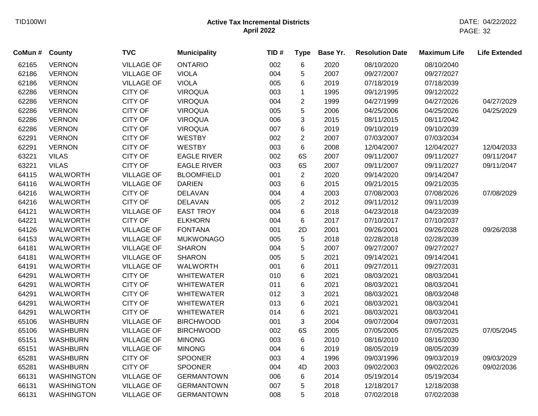| CoMun # | <b>County</b>     | <b>TVC</b>        | <b>Municipality</b> | TID# | <b>Type</b>             | Base Yr. | <b>Resolution Date</b> | <b>Maximum Life</b> | <b>Life Extended</b> |
|---------|-------------------|-------------------|---------------------|------|-------------------------|----------|------------------------|---------------------|----------------------|
| 62165   | <b>VERNON</b>     | <b>VILLAGE OF</b> | <b>ONTARIO</b>      | 002  | 6                       | 2020     | 08/10/2020             | 08/10/2040          |                      |
| 62186   | <b>VERNON</b>     | <b>VILLAGE OF</b> | <b>VIOLA</b>        | 004  | 5                       | 2007     | 09/27/2007             | 09/27/2027          |                      |
| 62186   | <b>VERNON</b>     | <b>VILLAGE OF</b> | <b>VIOLA</b>        | 005  | 6                       | 2019     | 07/18/2019             | 07/18/2039          |                      |
| 62286   | <b>VERNON</b>     | <b>CITY OF</b>    | <b>VIROQUA</b>      | 003  | 1                       | 1995     | 09/12/1995             | 09/12/2022          |                      |
| 62286   | <b>VERNON</b>     | <b>CITY OF</b>    | <b>VIROQUA</b>      | 004  | $\overline{\mathbf{c}}$ | 1999     | 04/27/1999             | 04/27/2026          | 04/27/2029           |
| 62286   | <b>VERNON</b>     | <b>CITY OF</b>    | <b>VIROQUA</b>      | 005  | 5                       | 2006     | 04/25/2006             | 04/25/2026          | 04/25/2029           |
| 62286   | <b>VERNON</b>     | <b>CITY OF</b>    | <b>VIROQUA</b>      | 006  | 3                       | 2015     | 08/11/2015             | 08/11/2042          |                      |
| 62286   | <b>VERNON</b>     | <b>CITY OF</b>    | <b>VIROQUA</b>      | 007  | 6                       | 2019     | 09/10/2019             | 09/10/2039          |                      |
| 62291   | <b>VERNON</b>     | <b>CITY OF</b>    | <b>WESTBY</b>       | 002  | $\overline{2}$          | 2007     | 07/03/2007             | 07/03/2034          |                      |
| 62291   | <b>VERNON</b>     | <b>CITY OF</b>    | <b>WESTBY</b>       | 003  | 6                       | 2008     | 12/04/2007             | 12/04/2027          | 12/04/2033           |
| 63221   | <b>VILAS</b>      | <b>CITY OF</b>    | <b>EAGLE RIVER</b>  | 002  | 6S                      | 2007     | 09/11/2007             | 09/11/2027          | 09/11/2047           |
| 63221   | <b>VILAS</b>      | <b>CITY OF</b>    | <b>EAGLE RIVER</b>  | 003  | 6S                      | 2007     | 09/11/2007             | 09/11/2027          | 09/11/2047           |
| 64115   | <b>WALWORTH</b>   | <b>VILLAGE OF</b> | <b>BLOOMFIELD</b>   | 001  | $\overline{2}$          | 2020     | 09/14/2020             | 09/14/2047          |                      |
| 64116   | <b>WALWORTH</b>   | <b>VILLAGE OF</b> | <b>DARIEN</b>       | 003  | 6                       | 2015     | 09/21/2015             | 09/21/2035          |                      |
| 64216   | <b>WALWORTH</b>   | <b>CITY OF</b>    | <b>DELAVAN</b>      | 004  | 4                       | 2003     | 07/08/2003             | 07/08/2026          | 07/08/2029           |
| 64216   | <b>WALWORTH</b>   | <b>CITY OF</b>    | <b>DELAVAN</b>      | 005  | $\overline{c}$          | 2012     | 09/11/2012             | 09/11/2039          |                      |
| 64121   | WALWORTH          | <b>VILLAGE OF</b> | <b>EAST TROY</b>    | 004  | 6                       | 2018     | 04/23/2018             | 04/23/2039          |                      |
| 64221   | WALWORTH          | <b>CITY OF</b>    | <b>ELKHORN</b>      | 004  | 6                       | 2017     | 07/10/2017             | 07/10/2037          |                      |
| 64126   | <b>WALWORTH</b>   | <b>VILLAGE OF</b> | <b>FONTANA</b>      | 001  | 2D                      | 2001     | 09/26/2001             | 09/26/2028          | 09/26/2038           |
| 64153   | <b>WALWORTH</b>   | <b>VILLAGE OF</b> | <b>MUKWONAGO</b>    | 005  | 5                       | 2018     | 02/28/2018             | 02/28/2039          |                      |
| 64181   | <b>WALWORTH</b>   | <b>VILLAGE OF</b> | <b>SHARON</b>       | 004  | 5                       | 2007     | 09/27/2007             | 09/27/2027          |                      |
| 64181   | <b>WALWORTH</b>   | <b>VILLAGE OF</b> | <b>SHARON</b>       | 005  | 5                       | 2021     | 09/14/2021             | 09/14/2041          |                      |
| 64191   | <b>WALWORTH</b>   | <b>VILLAGE OF</b> | <b>WALWORTH</b>     | 001  | 6                       | 2011     | 09/27/2011             | 09/27/2031          |                      |
| 64291   | <b>WALWORTH</b>   | <b>CITY OF</b>    | <b>WHITEWATER</b>   | 010  | 6                       | 2021     | 08/03/2021             | 08/03/2041          |                      |
| 64291   | <b>WALWORTH</b>   | <b>CITY OF</b>    | <b>WHITEWATER</b>   | 011  | 6                       | 2021     | 08/03/2021             | 08/03/2041          |                      |
| 64291   | <b>WALWORTH</b>   | <b>CITY OF</b>    | <b>WHITEWATER</b>   | 012  | 3                       | 2021     | 08/03/2021             | 08/03/2048          |                      |
| 64291   | WALWORTH          | <b>CITY OF</b>    | <b>WHITEWATER</b>   | 013  | 6                       | 2021     | 08/03/2021             | 08/03/2041          |                      |
| 64291   | WALWORTH          | <b>CITY OF</b>    | <b>WHITEWATER</b>   | 014  | 6                       | 2021     | 08/03/2021             | 08/03/2041          |                      |
| 65106   | <b>WASHBURN</b>   | <b>VILLAGE OF</b> | <b>BIRCHWOOD</b>    | 001  | 3                       | 2004     | 09/07/2004             | 09/07/2031          |                      |
| 65106   | <b>WASHBURN</b>   | <b>VILLAGE OF</b> | <b>BIRCHWOOD</b>    | 002  | 6S                      | 2005     | 07/05/2005             | 07/05/2025          | 07/05/2045           |
| 65151   | <b>WASHBURN</b>   | <b>VILLAGE OF</b> | <b>MINONG</b>       | 003  | 6                       | 2010     | 08/16/2010             | 08/16/2030          |                      |
| 65151   | <b>WASHBURN</b>   | <b>VILLAGE OF</b> | <b>MINONG</b>       | 004  | 6                       | 2019     | 08/05/2019             | 08/05/2039          |                      |
| 65281   | <b>WASHBURN</b>   | <b>CITY OF</b>    | <b>SPOONER</b>      | 003  | 4                       | 1996     | 09/03/1996             | 09/03/2019          | 09/03/2029           |
| 65281   | <b>WASHBURN</b>   | <b>CITY OF</b>    | <b>SPOONER</b>      | 004  | 4D                      | 2003     | 09/02/2003             | 09/02/2026          | 09/02/2036           |
| 66131   | <b>WASHINGTON</b> | <b>VILLAGE OF</b> | <b>GERMANTOWN</b>   | 006  | 6                       | 2014     | 05/19/2014             | 05/19/2034          |                      |
| 66131   | <b>WASHINGTON</b> | <b>VILLAGE OF</b> | <b>GERMANTOWN</b>   | 007  | 5                       | 2018     | 12/18/2017             | 12/18/2038          |                      |
| 66131   | <b>WASHINGTON</b> | <b>VILLAGE OF</b> | <b>GERMANTOWN</b>   | 008  | 5                       | 2018     | 07/02/2018             | 07/02/2038          |                      |
|         |                   |                   |                     |      |                         |          |                        |                     |                      |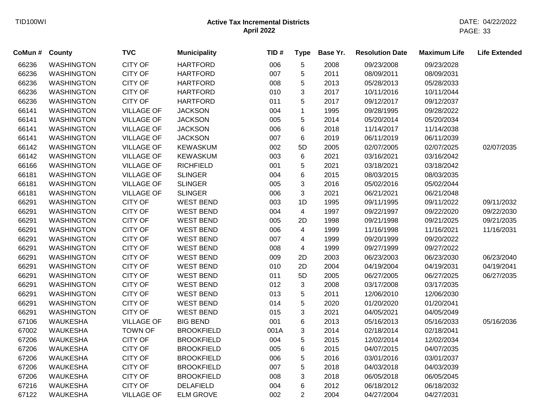| CoMun # | <b>County</b>     | <b>TVC</b>        | <b>Municipality</b> | TID# | <b>Type</b>    | Base Yr. | <b>Resolution Date</b> | <b>Maximum Life</b> | <b>Life Extended</b> |
|---------|-------------------|-------------------|---------------------|------|----------------|----------|------------------------|---------------------|----------------------|
| 66236   | <b>WASHINGTON</b> | <b>CITY OF</b>    | <b>HARTFORD</b>     | 006  | 5              | 2008     | 09/23/2008             | 09/23/2028          |                      |
| 66236   | <b>WASHINGTON</b> | <b>CITY OF</b>    | <b>HARTFORD</b>     | 007  | 5              | 2011     | 08/09/2011             | 08/09/2031          |                      |
| 66236   | <b>WASHINGTON</b> | <b>CITY OF</b>    | <b>HARTFORD</b>     | 008  | 5              | 2013     | 05/28/2013             | 05/28/2033          |                      |
| 66236   | <b>WASHINGTON</b> | <b>CITY OF</b>    | <b>HARTFORD</b>     | 010  | 3              | 2017     | 10/11/2016             | 10/11/2044          |                      |
| 66236   | <b>WASHINGTON</b> | CITY OF           | <b>HARTFORD</b>     | 011  | 5              | 2017     | 09/12/2017             | 09/12/2037          |                      |
| 66141   | <b>WASHINGTON</b> | <b>VILLAGE OF</b> | <b>JACKSON</b>      | 004  | $\mathbf{1}$   | 1995     | 09/28/1995             | 09/28/2022          |                      |
| 66141   | <b>WASHINGTON</b> | <b>VILLAGE OF</b> | <b>JACKSON</b>      | 005  | 5              | 2014     | 05/20/2014             | 05/20/2034          |                      |
| 66141   | <b>WASHINGTON</b> | <b>VILLAGE OF</b> | <b>JACKSON</b>      | 006  | 6              | 2018     | 11/14/2017             | 11/14/2038          |                      |
| 66141   | <b>WASHINGTON</b> | <b>VILLAGE OF</b> | <b>JACKSON</b>      | 007  | 6              | 2019     | 06/11/2019             | 06/11/2039          |                      |
| 66142   | <b>WASHINGTON</b> | <b>VILLAGE OF</b> | <b>KEWASKUM</b>     | 002  | 5D             | 2005     | 02/07/2005             | 02/07/2025          | 02/07/2035           |
| 66142   | <b>WASHINGTON</b> | <b>VILLAGE OF</b> | <b>KEWASKUM</b>     | 003  | 6              | 2021     | 03/16/2021             | 03/16/2042          |                      |
| 66166   | <b>WASHINGTON</b> | <b>VILLAGE OF</b> | <b>RICHFIELD</b>    | 001  | 5              | 2021     | 03/18/2021             | 03/18/2042          |                      |
| 66181   | <b>WASHINGTON</b> | <b>VILLAGE OF</b> | <b>SLINGER</b>      | 004  | 6              | 2015     | 08/03/2015             | 08/03/2035          |                      |
| 66181   | <b>WASHINGTON</b> | <b>VILLAGE OF</b> | <b>SLINGER</b>      | 005  | 3              | 2016     | 05/02/2016             | 05/02/2044          |                      |
| 66181   | <b>WASHINGTON</b> | <b>VILLAGE OF</b> | <b>SLINGER</b>      | 006  | 3              | 2021     | 06/21/2021             | 06/21/2048          |                      |
| 66291   | <b>WASHINGTON</b> | <b>CITY OF</b>    | <b>WEST BEND</b>    | 003  | 1D             | 1995     | 09/11/1995             | 09/11/2022          | 09/11/2032           |
| 66291   | <b>WASHINGTON</b> | <b>CITY OF</b>    | <b>WEST BEND</b>    | 004  | 4              | 1997     | 09/22/1997             | 09/22/2020          | 09/22/2030           |
| 66291   | <b>WASHINGTON</b> | <b>CITY OF</b>    | <b>WEST BEND</b>    | 005  | 2D             | 1998     | 09/21/1998             | 09/21/2025          | 09/21/2035           |
| 66291   | <b>WASHINGTON</b> | <b>CITY OF</b>    | <b>WEST BEND</b>    | 006  | 4              | 1999     | 11/16/1998             | 11/16/2021          | 11/16/2031           |
| 66291   | <b>WASHINGTON</b> | <b>CITY OF</b>    | <b>WEST BEND</b>    | 007  | 4              | 1999     | 09/20/1999             | 09/20/2022          |                      |
| 66291   | <b>WASHINGTON</b> | <b>CITY OF</b>    | <b>WEST BEND</b>    | 008  | 4              | 1999     | 09/27/1999             | 09/27/2022          |                      |
| 66291   | <b>WASHINGTON</b> | <b>CITY OF</b>    | <b>WEST BEND</b>    | 009  | 2D             | 2003     | 06/23/2003             | 06/23/2030          | 06/23/2040           |
| 66291   | <b>WASHINGTON</b> | <b>CITY OF</b>    | <b>WEST BEND</b>    | 010  | 2D             | 2004     | 04/19/2004             | 04/19/2031          | 04/19/2041           |
| 66291   | <b>WASHINGTON</b> | <b>CITY OF</b>    | <b>WEST BEND</b>    | 011  | 5D             | 2005     | 06/27/2005             | 06/27/2025          | 06/27/2035           |
| 66291   | <b>WASHINGTON</b> | <b>CITY OF</b>    | <b>WEST BEND</b>    | 012  | 3              | 2008     | 03/17/2008             | 03/17/2035          |                      |
| 66291   | <b>WASHINGTON</b> | <b>CITY OF</b>    | <b>WEST BEND</b>    | 013  | 5              | 2011     | 12/06/2010             | 12/06/2030          |                      |
| 66291   | <b>WASHINGTON</b> | <b>CITY OF</b>    | <b>WEST BEND</b>    | 014  | 5              | 2020     | 01/20/2020             | 01/20/2041          |                      |
| 66291   | <b>WASHINGTON</b> | CITY OF           | <b>WEST BEND</b>    | 015  | 3              | 2021     | 04/05/2021             | 04/05/2049          |                      |
| 67106   | <b>WAUKESHA</b>   | <b>VILLAGE OF</b> | <b>BIG BEND</b>     | 001  | 6              | 2013     | 05/16/2013             | 05/16/2033          | 05/16/2036           |
| 67002   | <b>WAUKESHA</b>   | <b>TOWN OF</b>    | <b>BROOKFIELD</b>   | 001A | 3              | 2014     | 02/18/2014             | 02/18/2041          |                      |
| 67206   | <b>WAUKESHA</b>   | <b>CITY OF</b>    | <b>BROOKFIELD</b>   | 004  | 5              | 2015     | 12/02/2014             | 12/02/2034          |                      |
| 67206   | <b>WAUKESHA</b>   | <b>CITY OF</b>    | <b>BROOKFIELD</b>   | 005  | 6              | 2015     | 04/07/2015             | 04/07/2035          |                      |
| 67206   | <b>WAUKESHA</b>   | <b>CITY OF</b>    | <b>BROOKFIELD</b>   | 006  | 5              | 2016     | 03/01/2016             | 03/01/2037          |                      |
| 67206   | <b>WAUKESHA</b>   | <b>CITY OF</b>    | <b>BROOKFIELD</b>   | 007  | 5              | 2018     | 04/03/2018             | 04/03/2039          |                      |
| 67206   | <b>WAUKESHA</b>   | <b>CITY OF</b>    | <b>BROOKFIELD</b>   | 008  | 3              | 2018     | 06/05/2018             | 06/05/2045          |                      |
| 67216   | <b>WAUKESHA</b>   | <b>CITY OF</b>    | <b>DELAFIELD</b>    | 004  | 6              | 2012     | 06/18/2012             | 06/18/2032          |                      |
| 67122   | WAUKESHA          | <b>VILLAGE OF</b> | <b>ELM GROVE</b>    | 002  | $\overline{2}$ | 2004     | 04/27/2004             | 04/27/2031          |                      |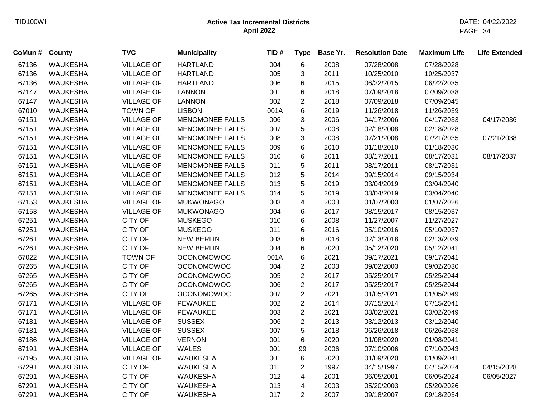| CoMun # County |                 | <b>TVC</b>        | <b>Municipality</b>    | TID# | <b>Type</b>             | Base Yr. | <b>Resolution Date</b> | <b>Maximum Life</b> | <b>Life Extended</b> |
|----------------|-----------------|-------------------|------------------------|------|-------------------------|----------|------------------------|---------------------|----------------------|
| 67136          | <b>WAUKESHA</b> | <b>VILLAGE OF</b> | <b>HARTLAND</b>        | 004  | 6                       | 2008     | 07/28/2008             | 07/28/2028          |                      |
| 67136          | <b>WAUKESHA</b> | <b>VILLAGE OF</b> | <b>HARTLAND</b>        | 005  | 3                       | 2011     | 10/25/2010             | 10/25/2037          |                      |
| 67136          | <b>WAUKESHA</b> | <b>VILLAGE OF</b> | <b>HARTLAND</b>        | 006  | 6                       | 2015     | 06/22/2015             | 06/22/2035          |                      |
| 67147          | <b>WAUKESHA</b> | <b>VILLAGE OF</b> | <b>LANNON</b>          | 001  | 6                       | 2018     | 07/09/2018             | 07/09/2038          |                      |
| 67147          | <b>WAUKESHA</b> | <b>VILLAGE OF</b> | <b>LANNON</b>          | 002  | $\overline{2}$          | 2018     | 07/09/2018             | 07/09/2045          |                      |
| 67010          | <b>WAUKESHA</b> | <b>TOWN OF</b>    | <b>LISBON</b>          | 001A | 6                       | 2019     | 11/26/2018             | 11/26/2039          |                      |
| 67151          | <b>WAUKESHA</b> | <b>VILLAGE OF</b> | <b>MENOMONEE FALLS</b> | 006  | 3                       | 2006     | 04/17/2006             | 04/17/2033          | 04/17/2036           |
| 67151          | <b>WAUKESHA</b> | <b>VILLAGE OF</b> | <b>MENOMONEE FALLS</b> | 007  | 5                       | 2008     | 02/18/2008             | 02/18/2028          |                      |
| 67151          | <b>WAUKESHA</b> | <b>VILLAGE OF</b> | <b>MENOMONEE FALLS</b> | 008  | 3                       | 2008     | 07/21/2008             | 07/21/2035          | 07/21/2038           |
| 67151          | <b>WAUKESHA</b> | <b>VILLAGE OF</b> | <b>MENOMONEE FALLS</b> | 009  | 6                       | 2010     | 01/18/2010             | 01/18/2030          |                      |
| 67151          | <b>WAUKESHA</b> | <b>VILLAGE OF</b> | <b>MENOMONEE FALLS</b> | 010  | 6                       | 2011     | 08/17/2011             | 08/17/2031          | 08/17/2037           |
| 67151          | <b>WAUKESHA</b> | <b>VILLAGE OF</b> | <b>MENOMONEE FALLS</b> | 011  | 5                       | 2011     | 08/17/2011             | 08/17/2031          |                      |
| 67151          | <b>WAUKESHA</b> | <b>VILLAGE OF</b> | <b>MENOMONEE FALLS</b> | 012  | 5                       | 2014     | 09/15/2014             | 09/15/2034          |                      |
| 67151          | <b>WAUKESHA</b> | <b>VILLAGE OF</b> | <b>MENOMONEE FALLS</b> | 013  | 5                       | 2019     | 03/04/2019             | 03/04/2040          |                      |
| 67151          | <b>WAUKESHA</b> | <b>VILLAGE OF</b> | <b>MENOMONEE FALLS</b> | 014  | 5                       | 2019     | 03/04/2019             | 03/04/2040          |                      |
| 67153          | <b>WAUKESHA</b> | <b>VILLAGE OF</b> | <b>MUKWONAGO</b>       | 003  | $\overline{\mathbf{4}}$ | 2003     | 01/07/2003             | 01/07/2026          |                      |
| 67153          | <b>WAUKESHA</b> | <b>VILLAGE OF</b> | <b>MUKWONAGO</b>       | 004  | 6                       | 2017     | 08/15/2017             | 08/15/2037          |                      |
| 67251          | <b>WAUKESHA</b> | CITY OF           | <b>MUSKEGO</b>         | 010  | 6                       | 2008     | 11/27/2007             | 11/27/2027          |                      |
| 67251          | <b>WAUKESHA</b> | CITY OF           | <b>MUSKEGO</b>         | 011  | 6                       | 2016     | 05/10/2016             | 05/10/2037          |                      |
| 67261          | <b>WAUKESHA</b> | CITY OF           | <b>NEW BERLIN</b>      | 003  | 6                       | 2018     | 02/13/2018             | 02/13/2039          |                      |
| 67261          | <b>WAUKESHA</b> | CITY OF           | <b>NEW BERLIN</b>      | 004  | 6                       | 2020     | 05/12/2020             | 05/12/2041          |                      |
| 67022          | <b>WAUKESHA</b> | <b>TOWN OF</b>    | <b>OCONOMOWOC</b>      | 001A | 6                       | 2021     | 09/17/2021             | 09/17/2041          |                      |
| 67265          | <b>WAUKESHA</b> | CITY OF           | <b>OCONOMOWOC</b>      | 004  | $\overline{2}$          | 2003     | 09/02/2003             | 09/02/2030          |                      |
| 67265          | <b>WAUKESHA</b> | CITY OF           | <b>OCONOMOWOC</b>      | 005  | $\overline{2}$          | 2017     | 05/25/2017             | 05/25/2044          |                      |
| 67265          | <b>WAUKESHA</b> | <b>CITY OF</b>    | <b>OCONOMOWOC</b>      | 006  | $\overline{2}$          | 2017     | 05/25/2017             | 05/25/2044          |                      |
| 67265          | <b>WAUKESHA</b> | <b>CITY OF</b>    | <b>OCONOMOWOC</b>      | 007  | $\overline{2}$          | 2021     | 01/05/2021             | 01/05/2049          |                      |
| 67171          | <b>WAUKESHA</b> | <b>VILLAGE OF</b> | <b>PEWAUKEE</b>        | 002  | $\overline{2}$          | 2014     | 07/15/2014             | 07/15/2041          |                      |
| 67171          | <b>WAUKESHA</b> | <b>VILLAGE OF</b> | <b>PEWAUKEE</b>        | 003  | $\overline{2}$          | 2021     | 03/02/2021             | 03/02/2049          |                      |
| 67181          | <b>WAUKESHA</b> | <b>VILLAGE OF</b> | <b>SUSSEX</b>          | 006  | $\overline{2}$          | 2013     | 03/12/2013             | 03/12/2040          |                      |
| 67181          | <b>WAUKESHA</b> | <b>VILLAGE OF</b> | <b>SUSSEX</b>          | 007  | 5                       | 2018     | 06/26/2018             | 06/26/2038          |                      |
| 67186          | <b>WAUKESHA</b> | <b>VILLAGE OF</b> | <b>VERNON</b>          | 001  | 6                       | 2020     | 01/08/2020             | 01/08/2041          |                      |
| 67191          | <b>WAUKESHA</b> | <b>VILLAGE OF</b> | <b>WALES</b>           | 001  | 99                      | 2006     | 07/10/2006             | 07/10/2043          |                      |
| 67195          | <b>WAUKESHA</b> | <b>VILLAGE OF</b> | <b>WAUKESHA</b>        | 001  | 6                       | 2020     | 01/09/2020             | 01/09/2041          |                      |
| 67291          | <b>WAUKESHA</b> | CITY OF           | <b>WAUKESHA</b>        | 011  | $\overline{2}$          | 1997     | 04/15/1997             | 04/15/2024          | 04/15/2028           |
| 67291          | <b>WAUKESHA</b> | CITY OF           | <b>WAUKESHA</b>        | 012  | 4                       | 2001     | 06/05/2001             | 06/05/2024          | 06/05/2027           |
| 67291          | <b>WAUKESHA</b> | CITY OF           | <b>WAUKESHA</b>        | 013  | 4                       | 2003     | 05/20/2003             | 05/20/2026          |                      |
| 67291          | <b>WAUKESHA</b> | CITY OF           | <b>WAUKESHA</b>        | 017  | $\overline{2}$          | 2007     | 09/18/2007             | 09/18/2034          |                      |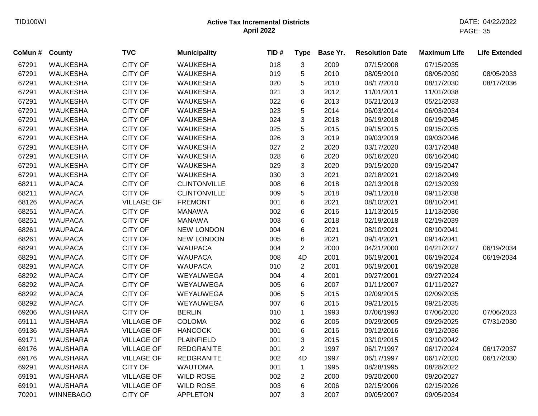| CoMun # | County           | <b>TVC</b>        | <b>Municipality</b> | TID# | <b>Type</b>    | Base Yr. | <b>Resolution Date</b> | <b>Maximum Life</b> | <b>Life Extended</b> |
|---------|------------------|-------------------|---------------------|------|----------------|----------|------------------------|---------------------|----------------------|
| 67291   | <b>WAUKESHA</b>  | <b>CITY OF</b>    | <b>WAUKESHA</b>     | 018  | 3              | 2009     | 07/15/2008             | 07/15/2035          |                      |
| 67291   | <b>WAUKESHA</b>  | <b>CITY OF</b>    | <b>WAUKESHA</b>     | 019  | 5              | 2010     | 08/05/2010             | 08/05/2030          | 08/05/2033           |
| 67291   | <b>WAUKESHA</b>  | <b>CITY OF</b>    | <b>WAUKESHA</b>     | 020  | 5              | 2010     | 08/17/2010             | 08/17/2030          | 08/17/2036           |
| 67291   | <b>WAUKESHA</b>  | <b>CITY OF</b>    | <b>WAUKESHA</b>     | 021  | 3              | 2012     | 11/01/2011             | 11/01/2038          |                      |
| 67291   | <b>WAUKESHA</b>  | <b>CITY OF</b>    | <b>WAUKESHA</b>     | 022  | 6              | 2013     | 05/21/2013             | 05/21/2033          |                      |
| 67291   | <b>WAUKESHA</b>  | <b>CITY OF</b>    | <b>WAUKESHA</b>     | 023  | 5              | 2014     | 06/03/2014             | 06/03/2034          |                      |
| 67291   | <b>WAUKESHA</b>  | <b>CITY OF</b>    | <b>WAUKESHA</b>     | 024  | 3              | 2018     | 06/19/2018             | 06/19/2045          |                      |
| 67291   | <b>WAUKESHA</b>  | <b>CITY OF</b>    | <b>WAUKESHA</b>     | 025  | 5              | 2015     | 09/15/2015             | 09/15/2035          |                      |
| 67291   | WAUKESHA         | <b>CITY OF</b>    | <b>WAUKESHA</b>     | 026  | 3              | 2019     | 09/03/2019             | 09/03/2046          |                      |
| 67291   | <b>WAUKESHA</b>  | <b>CITY OF</b>    | <b>WAUKESHA</b>     | 027  | $\overline{2}$ | 2020     | 03/17/2020             | 03/17/2048          |                      |
| 67291   | <b>WAUKESHA</b>  | <b>CITY OF</b>    | <b>WAUKESHA</b>     | 028  | 6              | 2020     | 06/16/2020             | 06/16/2040          |                      |
| 67291   | <b>WAUKESHA</b>  | <b>CITY OF</b>    | <b>WAUKESHA</b>     | 029  | 3              | 2020     | 09/15/2020             | 09/15/2047          |                      |
| 67291   | <b>WAUKESHA</b>  | <b>CITY OF</b>    | <b>WAUKESHA</b>     | 030  | 3              | 2021     | 02/18/2021             | 02/18/2049          |                      |
| 68211   | <b>WAUPACA</b>   | <b>CITY OF</b>    | <b>CLINTONVILLE</b> | 008  | 6              | 2018     | 02/13/2018             | 02/13/2039          |                      |
| 68211   | <b>WAUPACA</b>   | <b>CITY OF</b>    | <b>CLINTONVILLE</b> | 009  | 5              | 2018     | 09/11/2018             | 09/11/2038          |                      |
| 68126   | <b>WAUPACA</b>   | <b>VILLAGE OF</b> | <b>FREMONT</b>      | 001  | 6              | 2021     | 08/10/2021             | 08/10/2041          |                      |
| 68251   | <b>WAUPACA</b>   | <b>CITY OF</b>    | <b>MANAWA</b>       | 002  | 6              | 2016     | 11/13/2015             | 11/13/2036          |                      |
| 68251   | <b>WAUPACA</b>   | <b>CITY OF</b>    | <b>MANAWA</b>       | 003  | 6              | 2018     | 02/19/2018             | 02/19/2039          |                      |
| 68261   | <b>WAUPACA</b>   | <b>CITY OF</b>    | <b>NEW LONDON</b>   | 004  | 6              | 2021     | 08/10/2021             | 08/10/2041          |                      |
| 68261   | <b>WAUPACA</b>   | <b>CITY OF</b>    | <b>NEW LONDON</b>   | 005  | 6              | 2021     | 09/14/2021             | 09/14/2041          |                      |
| 68291   | <b>WAUPACA</b>   | <b>CITY OF</b>    | <b>WAUPACA</b>      | 004  | $\overline{2}$ | 2000     | 04/21/2000             | 04/21/2027          | 06/19/2034           |
| 68291   | <b>WAUPACA</b>   | <b>CITY OF</b>    | <b>WAUPACA</b>      | 008  | 4D             | 2001     | 06/19/2001             | 06/19/2024          | 06/19/2034           |
| 68291   | <b>WAUPACA</b>   | <b>CITY OF</b>    | <b>WAUPACA</b>      | 010  | $\overline{c}$ | 2001     | 06/19/2001             | 06/19/2028          |                      |
| 68292   | <b>WAUPACA</b>   | <b>CITY OF</b>    | WEYAUWEGA           | 004  | 4              | 2001     | 09/27/2001             | 09/27/2024          |                      |
| 68292   | <b>WAUPACA</b>   | CITY OF           | WEYAUWEGA           | 005  | 6              | 2007     | 01/11/2007             | 01/11/2027          |                      |
| 68292   | <b>WAUPACA</b>   | <b>CITY OF</b>    | WEYAUWEGA           | 006  | 5              | 2015     | 02/09/2015             | 02/09/2035          |                      |
| 68292   | <b>WAUPACA</b>   | <b>CITY OF</b>    | WEYAUWEGA           | 007  | 6              | 2015     | 09/21/2015             | 09/21/2035          |                      |
| 69206   | <b>WAUSHARA</b>  | <b>CITY OF</b>    | <b>BERLIN</b>       | 010  | $\mathbf 1$    | 1993     | 07/06/1993             | 07/06/2020          | 07/06/2023           |
| 69111   | <b>WAUSHARA</b>  | <b>VILLAGE OF</b> | <b>COLOMA</b>       | 002  | 6              | 2005     | 09/29/2005             | 09/29/2025          | 07/31/2030           |
| 69136   | <b>WAUSHARA</b>  | <b>VILLAGE OF</b> | <b>HANCOCK</b>      | 001  | 6              | 2016     | 09/12/2016             | 09/12/2036          |                      |
| 69171   | <b>WAUSHARA</b>  | <b>VILLAGE OF</b> | <b>PLAINFIELD</b>   | 001  | 3              | 2015     | 03/10/2015             | 03/10/2042          |                      |
| 69176   | <b>WAUSHARA</b>  | <b>VILLAGE OF</b> | <b>REDGRANITE</b>   | 001  | $\overline{2}$ | 1997     | 06/17/1997             | 06/17/2024          | 06/17/2037           |
| 69176   | <b>WAUSHARA</b>  | <b>VILLAGE OF</b> | <b>REDGRANITE</b>   | 002  | 4D             | 1997     | 06/17/1997             | 06/17/2020          | 06/17/2030           |
| 69291   | <b>WAUSHARA</b>  | <b>CITY OF</b>    | <b>WAUTOMA</b>      | 001  | $\mathbf{1}$   | 1995     | 08/28/1995             | 08/28/2022          |                      |
| 69191   | <b>WAUSHARA</b>  | <b>VILLAGE OF</b> | <b>WILD ROSE</b>    | 002  | $\overline{2}$ | 2000     | 09/20/2000             | 09/20/2027          |                      |
| 69191   | <b>WAUSHARA</b>  | <b>VILLAGE OF</b> | <b>WILD ROSE</b>    | 003  | 6              | 2006     | 02/15/2006             | 02/15/2026          |                      |
| 70201   | <b>WINNEBAGO</b> | <b>CITY OF</b>    | <b>APPLETON</b>     | 007  | 3              | 2007     | 09/05/2007             | 09/05/2034          |                      |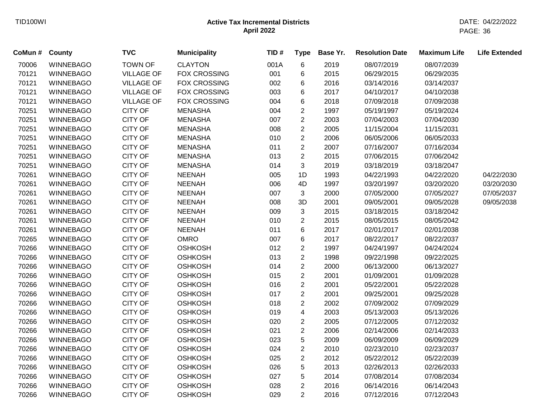| CoMun # | County           | <b>TVC</b>        | <b>Municipality</b> | TID# | <b>Type</b>             | Base Yr. | <b>Resolution Date</b> | <b>Maximum Life</b> | <b>Life Extended</b> |
|---------|------------------|-------------------|---------------------|------|-------------------------|----------|------------------------|---------------------|----------------------|
| 70006   | <b>WINNEBAGO</b> | <b>TOWN OF</b>    | <b>CLAYTON</b>      | 001A | 6                       | 2019     | 08/07/2019             | 08/07/2039          |                      |
| 70121   | <b>WINNEBAGO</b> | <b>VILLAGE OF</b> | <b>FOX CROSSING</b> | 001  | 6                       | 2015     | 06/29/2015             | 06/29/2035          |                      |
| 70121   | <b>WINNEBAGO</b> | <b>VILLAGE OF</b> | <b>FOX CROSSING</b> | 002  | 6                       | 2016     | 03/14/2016             | 03/14/2037          |                      |
| 70121   | <b>WINNEBAGO</b> | <b>VILLAGE OF</b> | <b>FOX CROSSING</b> | 003  | 6                       | 2017     | 04/10/2017             | 04/10/2038          |                      |
| 70121   | <b>WINNEBAGO</b> | <b>VILLAGE OF</b> | <b>FOX CROSSING</b> | 004  | 6                       | 2018     | 07/09/2018             | 07/09/2038          |                      |
| 70251   | <b>WINNEBAGO</b> | <b>CITY OF</b>    | <b>MENASHA</b>      | 004  | $\overline{2}$          | 1997     | 05/19/1997             | 05/19/2024          |                      |
| 70251   | <b>WINNEBAGO</b> | <b>CITY OF</b>    | <b>MENASHA</b>      | 007  | $\overline{2}$          | 2003     | 07/04/2003             | 07/04/2030          |                      |
| 70251   | <b>WINNEBAGO</b> | <b>CITY OF</b>    | <b>MENASHA</b>      | 008  | $\overline{2}$          | 2005     | 11/15/2004             | 11/15/2031          |                      |
| 70251   | <b>WINNEBAGO</b> | CITY OF           | <b>MENASHA</b>      | 010  | $\overline{2}$          | 2006     | 06/05/2006             | 06/05/2033          |                      |
| 70251   | <b>WINNEBAGO</b> | <b>CITY OF</b>    | <b>MENASHA</b>      | 011  | $\overline{2}$          | 2007     | 07/16/2007             | 07/16/2034          |                      |
| 70251   | <b>WINNEBAGO</b> | <b>CITY OF</b>    | <b>MENASHA</b>      | 013  | $\overline{2}$          | 2015     | 07/06/2015             | 07/06/2042          |                      |
| 70251   | <b>WINNEBAGO</b> | <b>CITY OF</b>    | <b>MENASHA</b>      | 014  | 3                       | 2019     | 03/18/2019             | 03/18/2047          |                      |
| 70261   | <b>WINNEBAGO</b> | <b>CITY OF</b>    | <b>NEENAH</b>       | 005  | 1D                      | 1993     | 04/22/1993             | 04/22/2020          | 04/22/2030           |
| 70261   | <b>WINNEBAGO</b> | <b>CITY OF</b>    | <b>NEENAH</b>       | 006  | 4D                      | 1997     | 03/20/1997             | 03/20/2020          | 03/20/2030           |
| 70261   | <b>WINNEBAGO</b> | <b>CITY OF</b>    | <b>NEENAH</b>       | 007  | 3                       | 2000     | 07/05/2000             | 07/05/2027          | 07/05/2037           |
| 70261   | <b>WINNEBAGO</b> | <b>CITY OF</b>    | <b>NEENAH</b>       | 008  | 3D                      | 2001     | 09/05/2001             | 09/05/2028          | 09/05/2038           |
| 70261   | <b>WINNEBAGO</b> | <b>CITY OF</b>    | <b>NEENAH</b>       | 009  | 3                       | 2015     | 03/18/2015             | 03/18/2042          |                      |
| 70261   | <b>WINNEBAGO</b> | <b>CITY OF</b>    | <b>NEENAH</b>       | 010  | $\overline{c}$          | 2015     | 08/05/2015             | 08/05/2042          |                      |
| 70261   | <b>WINNEBAGO</b> | <b>CITY OF</b>    | <b>NEENAH</b>       | 011  | 6                       | 2017     | 02/01/2017             | 02/01/2038          |                      |
| 70265   | <b>WINNEBAGO</b> | <b>CITY OF</b>    | <b>OMRO</b>         | 007  | 6                       | 2017     | 08/22/2017             | 08/22/2037          |                      |
| 70266   | <b>WINNEBAGO</b> | <b>CITY OF</b>    | <b>OSHKOSH</b>      | 012  | $\overline{2}$          | 1997     | 04/24/1997             | 04/24/2024          |                      |
| 70266   | <b>WINNEBAGO</b> | <b>CITY OF</b>    | <b>OSHKOSH</b>      | 013  | $\overline{2}$          | 1998     | 09/22/1998             | 09/22/2025          |                      |
| 70266   | <b>WINNEBAGO</b> | <b>CITY OF</b>    | <b>OSHKOSH</b>      | 014  | $\overline{c}$          | 2000     | 06/13/2000             | 06/13/2027          |                      |
| 70266   | <b>WINNEBAGO</b> | <b>CITY OF</b>    | <b>OSHKOSH</b>      | 015  | $\overline{c}$          | 2001     | 01/09/2001             | 01/09/2028          |                      |
| 70266   | <b>WINNEBAGO</b> | CITY OF           | <b>OSHKOSH</b>      | 016  | $\overline{c}$          | 2001     | 05/22/2001             | 05/22/2028          |                      |
| 70266   | <b>WINNEBAGO</b> | <b>CITY OF</b>    | <b>OSHKOSH</b>      | 017  | $\overline{2}$          | 2001     | 09/25/2001             | 09/25/2028          |                      |
| 70266   | <b>WINNEBAGO</b> | <b>CITY OF</b>    | <b>OSHKOSH</b>      | 018  | $\overline{2}$          | 2002     | 07/09/2002             | 07/09/2029          |                      |
| 70266   | <b>WINNEBAGO</b> | <b>CITY OF</b>    | <b>OSHKOSH</b>      | 019  | $\overline{\mathbf{4}}$ | 2003     | 05/13/2003             | 05/13/2026          |                      |
| 70266   | WINNEBAGO        | <b>CITY OF</b>    | <b>OSHKOSH</b>      | 020  | $\overline{2}$          | 2005     | 07/12/2005             | 07/12/2032          |                      |
| 70266   | <b>WINNEBAGO</b> | CITY OF           | <b>OSHKOSH</b>      | 021  | $\overline{2}$          | 2006     | 02/14/2006             | 02/14/2033          |                      |
| 70266   | <b>WINNEBAGO</b> | <b>CITY OF</b>    | <b>OSHKOSH</b>      | 023  | 5                       | 2009     | 06/09/2009             | 06/09/2029          |                      |
| 70266   | <b>WINNEBAGO</b> | <b>CITY OF</b>    | <b>OSHKOSH</b>      | 024  | $\overline{2}$          | 2010     | 02/23/2010             | 02/23/2037          |                      |
| 70266   | <b>WINNEBAGO</b> | <b>CITY OF</b>    | <b>OSHKOSH</b>      | 025  | $\overline{2}$          | 2012     | 05/22/2012             | 05/22/2039          |                      |
| 70266   | <b>WINNEBAGO</b> | <b>CITY OF</b>    | <b>OSHKOSH</b>      | 026  | 5                       | 2013     | 02/26/2013             | 02/26/2033          |                      |
| 70266   | <b>WINNEBAGO</b> | <b>CITY OF</b>    | <b>OSHKOSH</b>      | 027  | 5                       | 2014     | 07/08/2014             | 07/08/2034          |                      |
| 70266   | <b>WINNEBAGO</b> | <b>CITY OF</b>    | <b>OSHKOSH</b>      | 028  | $\overline{2}$          | 2016     | 06/14/2016             | 06/14/2043          |                      |
| 70266   | <b>WINNEBAGO</b> | <b>CITY OF</b>    | <b>OSHKOSH</b>      | 029  | $\overline{2}$          | 2016     | 07/12/2016             | 07/12/2043          |                      |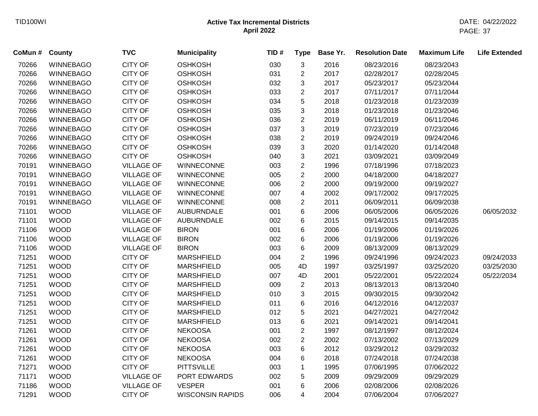| CoMun# | County           | <b>TVC</b>        | <b>Municipality</b>     | TID# | <b>Type</b>    | Base Yr. | <b>Resolution Date</b> | <b>Maximum Life</b> | <b>Life Extended</b> |
|--------|------------------|-------------------|-------------------------|------|----------------|----------|------------------------|---------------------|----------------------|
| 70266  | <b>WINNEBAGO</b> | <b>CITY OF</b>    | <b>OSHKOSH</b>          | 030  | 3              | 2016     | 08/23/2016             | 08/23/2043          |                      |
| 70266  | <b>WINNEBAGO</b> | <b>CITY OF</b>    | <b>OSHKOSH</b>          | 031  | $\overline{2}$ | 2017     | 02/28/2017             | 02/28/2045          |                      |
| 70266  | <b>WINNEBAGO</b> | <b>CITY OF</b>    | <b>OSHKOSH</b>          | 032  | 3              | 2017     | 05/23/2017             | 05/23/2044          |                      |
| 70266  | <b>WINNEBAGO</b> | <b>CITY OF</b>    | <b>OSHKOSH</b>          | 033  | $\overline{c}$ | 2017     | 07/11/2017             | 07/11/2044          |                      |
| 70266  | <b>WINNEBAGO</b> | <b>CITY OF</b>    | <b>OSHKOSH</b>          | 034  | 5              | 2018     | 01/23/2018             | 01/23/2039          |                      |
| 70266  | <b>WINNEBAGO</b> | <b>CITY OF</b>    | <b>OSHKOSH</b>          | 035  | 3              | 2018     | 01/23/2018             | 01/23/2046          |                      |
| 70266  | <b>WINNEBAGO</b> | <b>CITY OF</b>    | <b>OSHKOSH</b>          | 036  | $\overline{2}$ | 2019     | 06/11/2019             | 06/11/2046          |                      |
| 70266  | <b>WINNEBAGO</b> | <b>CITY OF</b>    | <b>OSHKOSH</b>          | 037  | 3              | 2019     | 07/23/2019             | 07/23/2046          |                      |
| 70266  | <b>WINNEBAGO</b> | <b>CITY OF</b>    | <b>OSHKOSH</b>          | 038  | $\overline{2}$ | 2019     | 09/24/2019             | 09/24/2046          |                      |
| 70266  | <b>WINNEBAGO</b> | <b>CITY OF</b>    | <b>OSHKOSH</b>          | 039  | 3              | 2020     | 01/14/2020             | 01/14/2048          |                      |
| 70266  | <b>WINNEBAGO</b> | <b>CITY OF</b>    | <b>OSHKOSH</b>          | 040  | 3              | 2021     | 03/09/2021             | 03/09/2049          |                      |
| 70191  | <b>WINNEBAGO</b> | <b>VILLAGE OF</b> | WINNECONNE              | 003  | $\overline{2}$ | 1996     | 07/18/1996             | 07/18/2023          |                      |
| 70191  | <b>WINNEBAGO</b> | <b>VILLAGE OF</b> | WINNECONNE              | 005  | $\overline{2}$ | 2000     | 04/18/2000             | 04/18/2027          |                      |
| 70191  | <b>WINNEBAGO</b> | <b>VILLAGE OF</b> | <b>WINNECONNE</b>       | 006  | $\overline{c}$ | 2000     | 09/19/2000             | 09/19/2027          |                      |
| 70191  | <b>WINNEBAGO</b> | <b>VILLAGE OF</b> | <b>WINNECONNE</b>       | 007  | 4              | 2002     | 09/17/2002             | 09/17/2025          |                      |
| 70191  | <b>WINNEBAGO</b> | <b>VILLAGE OF</b> | <b>WINNECONNE</b>       | 008  | $\overline{2}$ | 2011     | 06/09/2011             | 06/09/2038          |                      |
| 71101  | <b>WOOD</b>      | <b>VILLAGE OF</b> | <b>AUBURNDALE</b>       | 001  | 6              | 2006     | 06/05/2006             | 06/05/2026          | 06/05/2032           |
| 71101  | <b>WOOD</b>      | <b>VILLAGE OF</b> | <b>AUBURNDALE</b>       | 002  | 6              | 2015     | 09/14/2015             | 09/14/2035          |                      |
| 71106  | <b>WOOD</b>      | <b>VILLAGE OF</b> | <b>BIRON</b>            | 001  | 6              | 2006     | 01/19/2006             | 01/19/2026          |                      |
| 71106  | <b>WOOD</b>      | <b>VILLAGE OF</b> | <b>BIRON</b>            | 002  | 6              | 2006     | 01/19/2006             | 01/19/2026          |                      |
| 71106  | <b>WOOD</b>      | <b>VILLAGE OF</b> | <b>BIRON</b>            | 003  | 6              | 2009     | 08/13/2009             | 08/13/2029          |                      |
| 71251  | <b>WOOD</b>      | <b>CITY OF</b>    | <b>MARSHFIELD</b>       | 004  | $\overline{2}$ | 1996     | 09/24/1996             | 09/24/2023          | 09/24/2033           |
| 71251  | <b>WOOD</b>      | <b>CITY OF</b>    | <b>MARSHFIELD</b>       | 005  | 4D             | 1997     | 03/25/1997             | 03/25/2020          | 03/25/2030           |
| 71251  | <b>WOOD</b>      | <b>CITY OF</b>    | <b>MARSHFIELD</b>       | 007  | 4D             | 2001     | 05/22/2001             | 05/22/2024          | 05/22/2034           |
| 71251  | <b>WOOD</b>      | <b>CITY OF</b>    | <b>MARSHFIELD</b>       | 009  | $\overline{c}$ | 2013     | 08/13/2013             | 08/13/2040          |                      |
| 71251  | <b>WOOD</b>      | <b>CITY OF</b>    | <b>MARSHFIELD</b>       | 010  | 3              | 2015     | 09/30/2015             | 09/30/2042          |                      |
| 71251  | <b>WOOD</b>      | <b>CITY OF</b>    | <b>MARSHFIELD</b>       | 011  | 6              | 2016     | 04/12/2016             | 04/12/2037          |                      |
| 71251  | <b>WOOD</b>      | <b>CITY OF</b>    | <b>MARSHFIELD</b>       | 012  | 5              | 2021     | 04/27/2021             | 04/27/2042          |                      |
| 71251  | <b>WOOD</b>      | <b>CITY OF</b>    | <b>MARSHFIELD</b>       | 013  | 6              | 2021     | 09/14/2021             | 09/14/2041          |                      |
| 71261  | <b>WOOD</b>      | <b>CITY OF</b>    | <b>NEKOOSA</b>          | 001  | $\overline{2}$ | 1997     | 08/12/1997             | 08/12/2024          |                      |
| 71261  | <b>WOOD</b>      | <b>CITY OF</b>    | <b>NEKOOSA</b>          | 002  | $\overline{c}$ | 2002     | 07/13/2002             | 07/13/2029          |                      |
| 71261  | <b>WOOD</b>      | <b>CITY OF</b>    | <b>NEKOOSA</b>          | 003  | 6              | 2012     | 03/29/2012             | 03/29/2032          |                      |
| 71261  | <b>WOOD</b>      | <b>CITY OF</b>    | <b>NEKOOSA</b>          | 004  | 6              | 2018     | 07/24/2018             | 07/24/2038          |                      |
| 71271  | <b>WOOD</b>      | <b>CITY OF</b>    | <b>PITTSVILLE</b>       | 003  | 1              | 1995     | 07/06/1995             | 07/06/2022          |                      |
| 71171  | <b>WOOD</b>      | <b>VILLAGE OF</b> | PORT EDWARDS            | 002  | 5              | 2009     | 09/29/2009             | 09/29/2029          |                      |
| 71186  | <b>WOOD</b>      | <b>VILLAGE OF</b> | <b>VESPER</b>           | 001  | 6              | 2006     | 02/08/2006             | 02/08/2026          |                      |
| 71291  | <b>WOOD</b>      | <b>CITY OF</b>    | <b>WISCONSIN RAPIDS</b> | 006  | 4              | 2004     | 07/06/2004             | 07/06/2027          |                      |